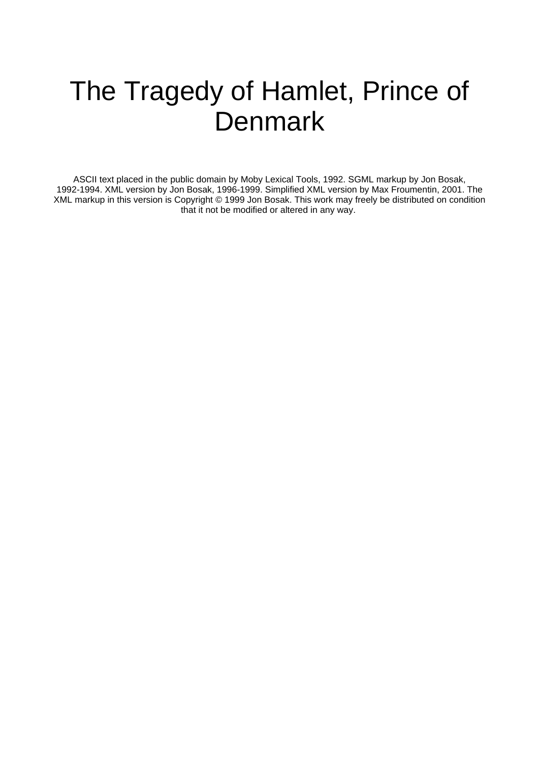# The Tragedy of Hamlet, Prince of **Denmark**

ASCII text placed in the public domain by Moby Lexical Tools, 1992. SGML markup by Jon Bosak, 1992-1994. XML version by Jon Bosak, 1996-1999. Simplified XML version by Max Froumentin, 2001. The XML markup in this version is Copyright © 1999 Jon Bosak. This work may freely be distributed on condition that it not be modified or altered in any way.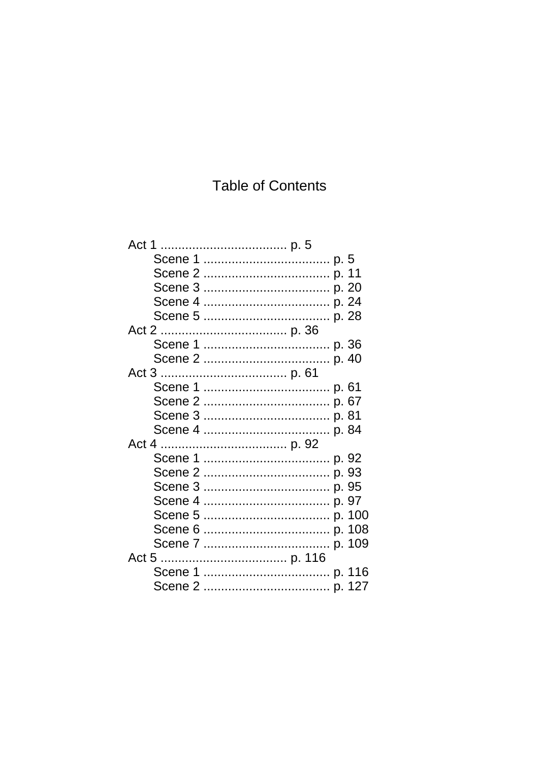# **Table of Contents**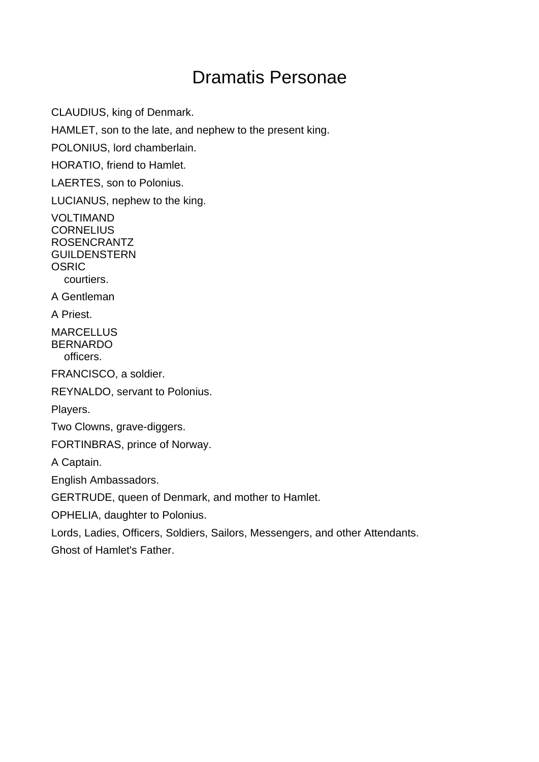# Dramatis Personae

CLAUDIUS, king of Denmark.

HAMLET, son to the late, and nephew to the present king.

POLONIUS, lord chamberlain.

HORATIO, friend to Hamlet.

LAERTES, son to Polonius.

LUCIANUS, nephew to the king.

VOLTIMAND **CORNELIUS** ROSENCRANTZ GUILDENSTERN **OSRIC** courtiers.

A Gentleman

A Priest.

**MARCELLUS** BERNARDO officers.

FRANCISCO, a soldier.

REYNALDO, servant to Polonius.

Players.

Two Clowns, grave-diggers.

FORTINBRAS, prince of Norway.

A Captain.

English Ambassadors.

GERTRUDE, queen of Denmark, and mother to Hamlet.

OPHELIA, daughter to Polonius.

Lords, Ladies, Officers, Soldiers, Sailors, Messengers, and other Attendants.

Ghost of Hamlet's Father.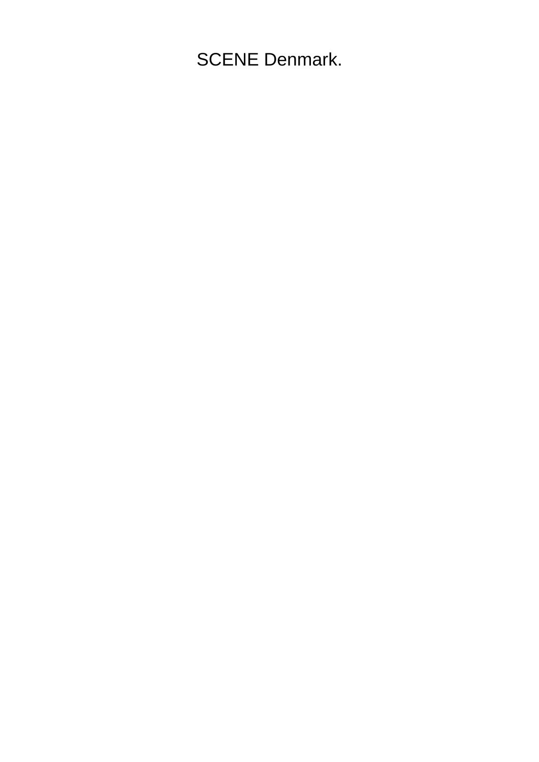SCENE Denmark.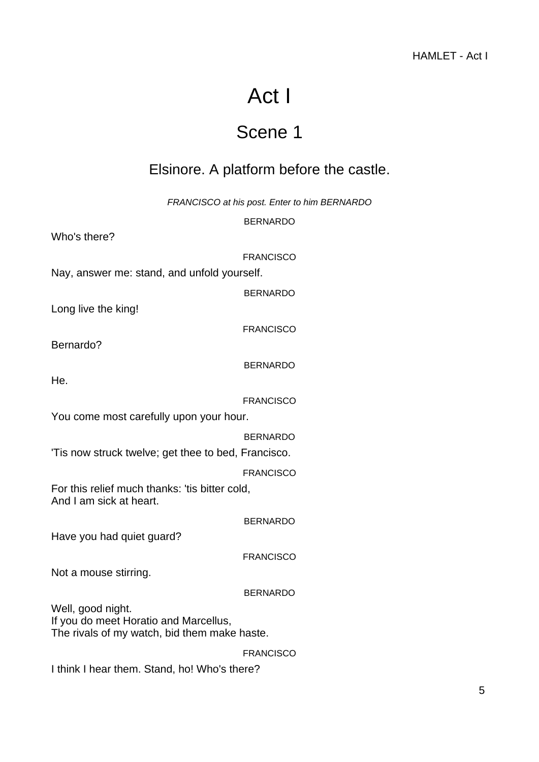# Act I

# Scene 1

## <span id="page-4-1"></span><span id="page-4-0"></span>Elsinore. A platform before the castle.

FRANCISCO at his post. Enter to him BERNARDO

BERNARDO

Who's there?

FRANCISCO

Nay, answer me: stand, and unfold yourself.

BERNARDO

Long live the king!

FRANCISCO

Bernardo?

BERNARDO

He.

FRANCISCO

You come most carefully upon your hour.

BERNARDO

'Tis now struck twelve; get thee to bed, Francisco.

FRANCISCO

For this relief much thanks: 'tis bitter cold, And I am sick at heart.

BERNARDO

Have you had quiet guard?

FRANCISCO

Not a mouse stirring.

BERNARDO

Well, good night. If you do meet Horatio and Marcellus, The rivals of my watch, bid them make haste.

FRANCISCO

I think I hear them. Stand, ho! Who's there?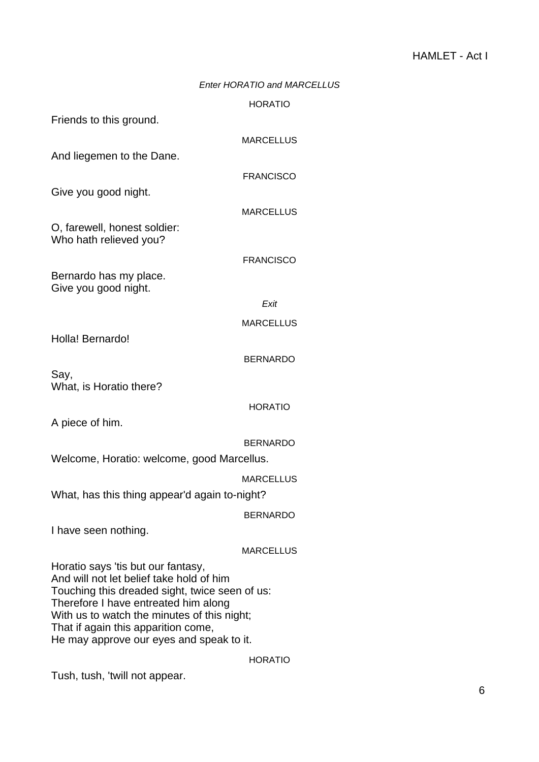## Enter HORATIO and MARCELLUS

## HORATIO

| Friends to this ground.                                                                                                                                                                                                                                                                                    |                  |
|------------------------------------------------------------------------------------------------------------------------------------------------------------------------------------------------------------------------------------------------------------------------------------------------------------|------------------|
|                                                                                                                                                                                                                                                                                                            | <b>MARCELLUS</b> |
| And liegemen to the Dane.                                                                                                                                                                                                                                                                                  |                  |
|                                                                                                                                                                                                                                                                                                            | <b>FRANCISCO</b> |
| Give you good night.                                                                                                                                                                                                                                                                                       |                  |
|                                                                                                                                                                                                                                                                                                            | <b>MARCELLUS</b> |
| O, farewell, honest soldier:<br>Who hath relieved you?                                                                                                                                                                                                                                                     |                  |
|                                                                                                                                                                                                                                                                                                            | <b>FRANCISCO</b> |
| Bernardo has my place.<br>Give you good night.                                                                                                                                                                                                                                                             |                  |
|                                                                                                                                                                                                                                                                                                            | Exit             |
|                                                                                                                                                                                                                                                                                                            | <b>MARCELLUS</b> |
| Holla! Bernardo!                                                                                                                                                                                                                                                                                           |                  |
|                                                                                                                                                                                                                                                                                                            | <b>BERNARDO</b>  |
| Say,<br>What, is Horatio there?                                                                                                                                                                                                                                                                            |                  |
|                                                                                                                                                                                                                                                                                                            | <b>HORATIO</b>   |
| A piece of him.                                                                                                                                                                                                                                                                                            |                  |
|                                                                                                                                                                                                                                                                                                            | BERNARDO         |
| Welcome, Horatio: welcome, good Marcellus.                                                                                                                                                                                                                                                                 |                  |
|                                                                                                                                                                                                                                                                                                            | <b>MARCELLUS</b> |
| What, has this thing appear'd again to-night?                                                                                                                                                                                                                                                              |                  |
|                                                                                                                                                                                                                                                                                                            |                  |
| I have seen nothing.                                                                                                                                                                                                                                                                                       | <b>BERNARDO</b>  |
|                                                                                                                                                                                                                                                                                                            |                  |
|                                                                                                                                                                                                                                                                                                            | <b>MARCELLUS</b> |
| Horatio says 'tis but our fantasy,<br>And will not let belief take hold of him<br>Touching this dreaded sight, twice seen of us:<br>Therefore I have entreated him along<br>With us to watch the minutes of this night;<br>That if again this apparition come,<br>He may approve our eyes and speak to it. |                  |
|                                                                                                                                                                                                                                                                                                            |                  |

HORATIO

Tush, tush, 'twill not appear.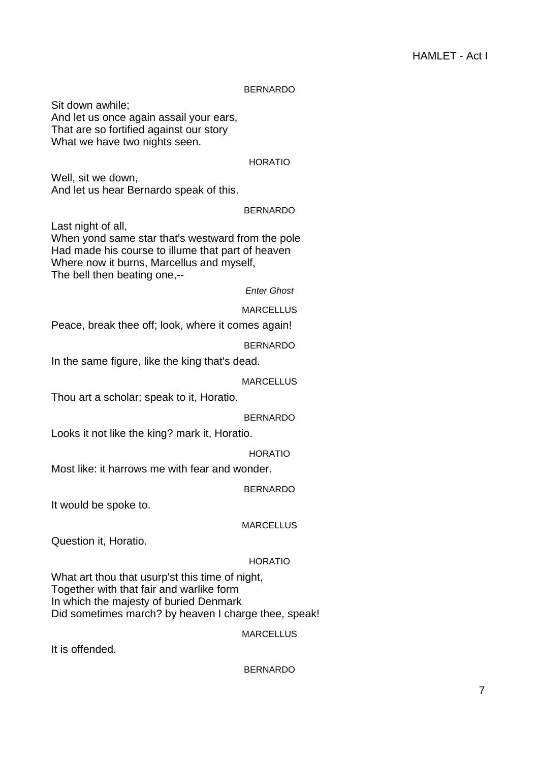## BERNARDO

Sit down awhile; And let us once again assail your ears, That are so fortified against our story What we have two nights seen.

#### HORATIO

Well, sit we down, And let us hear Bernardo speak of this.

#### BERNARDO

Last night of all,

When yond same star that's westward from the pole Had made his course to illume that part of heaven Where now it burns, Marcellus and myself, The bell then beating one,--

## Enter Ghost

MARCELLUS

Peace, break thee off; look, where it comes again!

BERNARDO

In the same figure, like the king that's dead.

MARCELLUS

Thou art a scholar; speak to it, Horatio.

BERNARDO

Looks it not like the king? mark it, Horatio.

HORATIO

Most like: it harrows me with fear and wonder.

BERNARDO

It would be spoke to.

#### MARCELLUS

Question it, Horatio.

#### HORATIO

What art thou that usurp'st this time of night, Together with that fair and warlike form In which the majesty of buried Denmark Did sometimes march? by heaven I charge thee, speak!

MARCELLUS

It is offended.

BERNARDO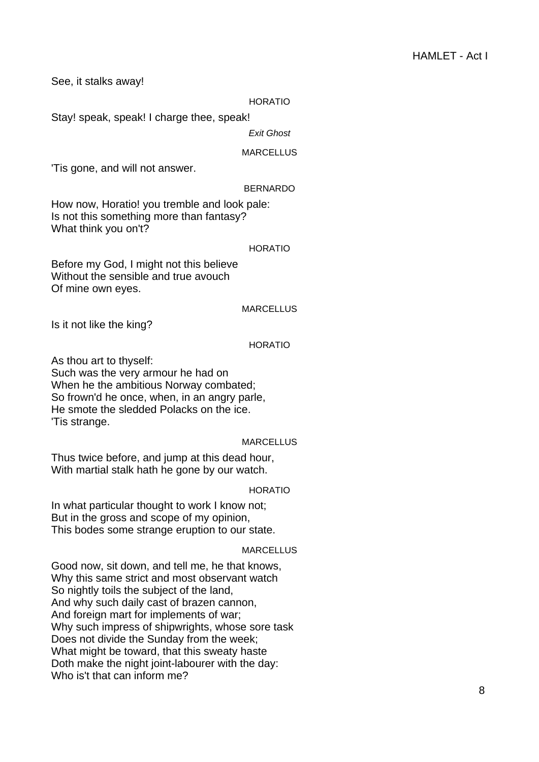See, it stalks away!

#### HORATIO

Stay! speak, speak! I charge thee, speak!

Exit Ghost

#### MARCELLUS

'Tis gone, and will not answer.

#### BERNARDO

How now, Horatio! you tremble and look pale: Is not this something more than fantasy? What think you on't?

#### HORATIO

Before my God, I might not this believe Without the sensible and true avouch Of mine own eyes.

#### MARCELLUS

Is it not like the king?

### HORATIO

As thou art to thyself:

Such was the very armour he had on When he the ambitious Norway combated; So frown'd he once, when, in an angry parle, He smote the sledded Polacks on the ice. 'Tis strange.

#### MARCELLUS

Thus twice before, and jump at this dead hour, With martial stalk hath he gone by our watch.

## HORATIO

In what particular thought to work I know not; But in the gross and scope of my opinion, This bodes some strange eruption to our state.

#### MARCELLUS

Good now, sit down, and tell me, he that knows, Why this same strict and most observant watch So nightly toils the subject of the land, And why such daily cast of brazen cannon, And foreign mart for implements of war; Why such impress of shipwrights, whose sore task Does not divide the Sunday from the week; What might be toward, that this sweaty haste Doth make the night joint-labourer with the day: Who is't that can inform me?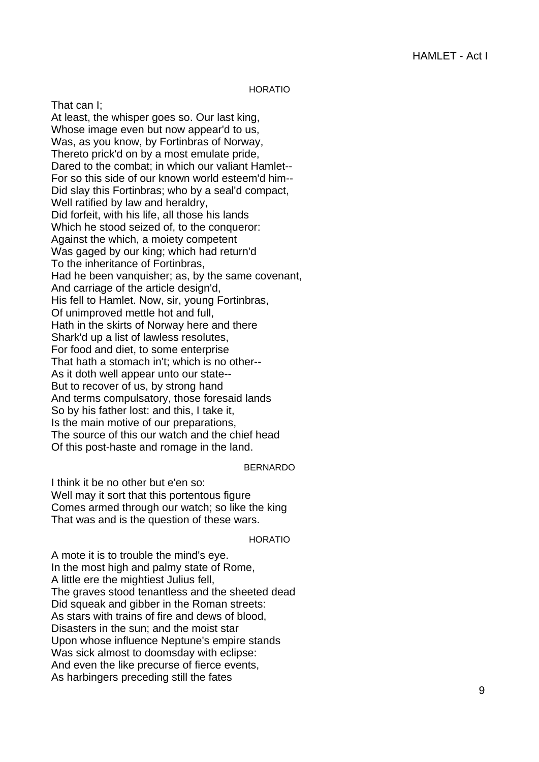#### HORATIO

That can I; At least, the whisper goes so. Our last king, Whose image even but now appear'd to us, Was, as you know, by Fortinbras of Norway, Thereto prick'd on by a most emulate pride, Dared to the combat; in which our valiant Hamlet-- For so this side of our known world esteem'd him-- Did slay this Fortinbras; who by a seal'd compact, Well ratified by law and heraldry, Did forfeit, with his life, all those his lands Which he stood seized of, to the conqueror: Against the which, a moiety competent Was gaged by our king; which had return'd To the inheritance of Fortinbras, Had he been vanquisher; as, by the same covenant, And carriage of the article design'd, His fell to Hamlet. Now, sir, young Fortinbras, Of unimproved mettle hot and full, Hath in the skirts of Norway here and there Shark'd up a list of lawless resolutes, For food and diet, to some enterprise That hath a stomach in't; which is no other-- As it doth well appear unto our state-- But to recover of us, by strong hand And terms compulsatory, those foresaid lands So by his father lost: and this, I take it, Is the main motive of our preparations, The source of this our watch and the chief head Of this post-haste and romage in the land.

#### BERNARDO

I think it be no other but e'en so: Well may it sort that this portentous figure Comes armed through our watch; so like the king That was and is the question of these wars.

#### HORATIO

A mote it is to trouble the mind's eye. In the most high and palmy state of Rome, A little ere the mightiest Julius fell, The graves stood tenantless and the sheeted dead Did squeak and gibber in the Roman streets: As stars with trains of fire and dews of blood, Disasters in the sun; and the moist star Upon whose influence Neptune's empire stands Was sick almost to doomsday with eclipse: And even the like precurse of fierce events, As harbingers preceding still the fates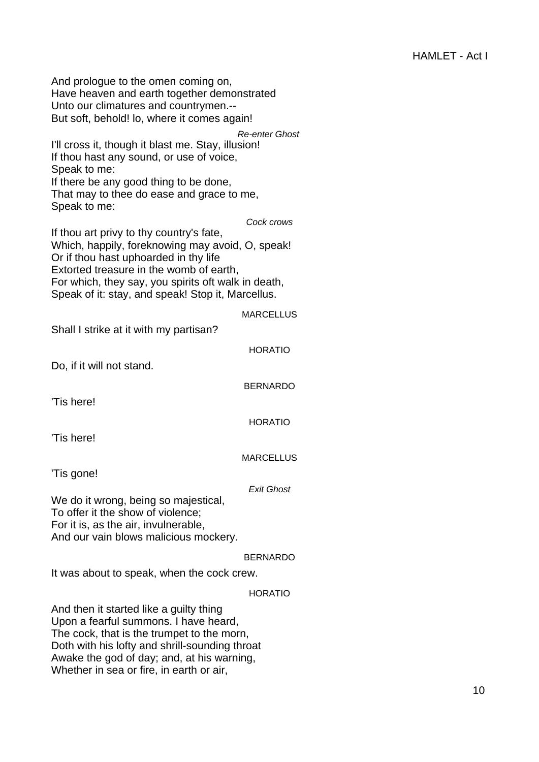And prologue to the omen coming on, Have heaven and earth together demonstrated Unto our climatures and countrymen.-- But soft, behold! lo, where it comes again! Re-enter Ghost I'll cross it, though it blast me. Stay, illusion! If thou hast any sound, or use of voice, Speak to me: If there be any good thing to be done, That may to thee do ease and grace to me, Speak to me: Cock crows If thou art privy to thy country's fate, Which, happily, foreknowing may avoid, O, speak! Or if thou hast uphoarded in thy life Extorted treasure in the womb of earth, For which, they say, you spirits oft walk in death, Speak of it: stay, and speak! Stop it, Marcellus. MARCELLUS Shall I strike at it with my partisan? HORATIO Do, if it will not stand. BERNARDO

'Tis here!

HORATIO

'Tis here!

**MARCELLUS** 

'Tis gone!

## Exit Ghost

We do it wrong, being so majestical, To offer it the show of violence; For it is, as the air, invulnerable, And our vain blows malicious mockery.

## BERNARDO

It was about to speak, when the cock crew.

## HORATIO

And then it started like a guilty thing Upon a fearful summons. I have heard, The cock, that is the trumpet to the morn, Doth with his lofty and shrill-sounding throat Awake the god of day; and, at his warning, Whether in sea or fire, in earth or air,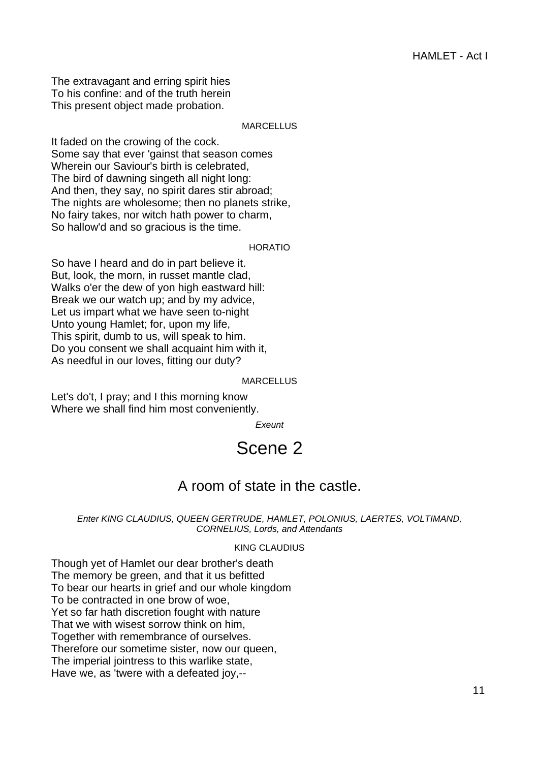The extravagant and erring spirit hies To his confine: and of the truth herein This present object made probation.

## MARCELLUS

It faded on the crowing of the cock. Some say that ever 'gainst that season comes Wherein our Saviour's birth is celebrated, The bird of dawning singeth all night long: And then, they say, no spirit dares stir abroad; The nights are wholesome; then no planets strike, No fairy takes, nor witch hath power to charm, So hallow'd and so gracious is the time.

## HORATIO

So have I heard and do in part believe it. But, look, the morn, in russet mantle clad, Walks o'er the dew of yon high eastward hill: Break we our watch up; and by my advice, Let us impart what we have seen to-night Unto young Hamlet; for, upon my life, This spirit, dumb to us, will speak to him. Do you consent we shall acquaint him with it, As needful in our loves, fitting our duty?

#### MARCELLUS

<span id="page-10-0"></span>Let's do't, I pray; and I this morning know Where we shall find him most conveniently.

**Exeunt** 

# Scene 2

## A room of state in the castle.

#### Enter KING CLAUDIUS, QUEEN GERTRUDE, HAMLET, POLONIUS, LAERTES, VOLTIMAND, CORNELIUS, Lords, and Attendants

#### KING CLAUDIUS

Though yet of Hamlet our dear brother's death The memory be green, and that it us befitted To bear our hearts in grief and our whole kingdom To be contracted in one brow of woe, Yet so far hath discretion fought with nature That we with wisest sorrow think on him, Together with remembrance of ourselves. Therefore our sometime sister, now our queen, The imperial jointress to this warlike state, Have we, as 'twere with a defeated joy,--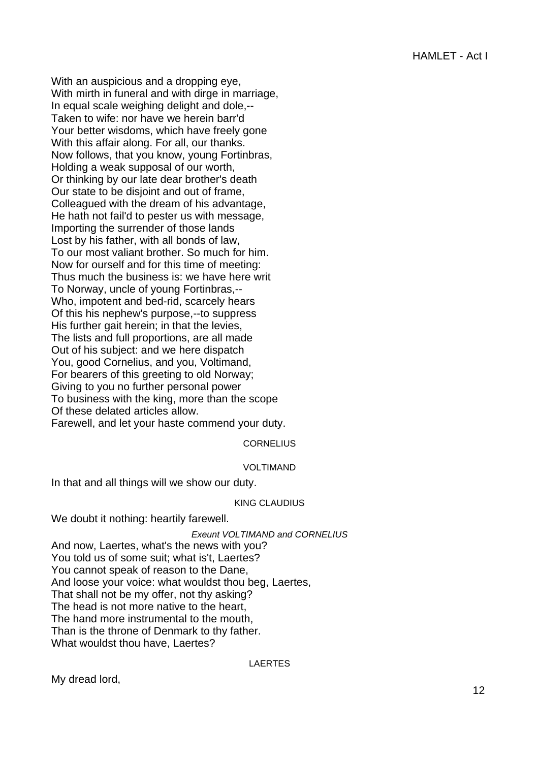With an auspicious and a dropping eye, With mirth in funeral and with dirge in marriage, In equal scale weighing delight and dole,-- Taken to wife: nor have we herein barr'd Your better wisdoms, which have freely gone With this affair along. For all, our thanks. Now follows, that you know, young Fortinbras, Holding a weak supposal of our worth, Or thinking by our late dear brother's death Our state to be disjoint and out of frame, Colleagued with the dream of his advantage, He hath not fail'd to pester us with message, Importing the surrender of those lands Lost by his father, with all bonds of law, To our most valiant brother. So much for him. Now for ourself and for this time of meeting: Thus much the business is: we have here writ To Norway, uncle of young Fortinbras,-- Who, impotent and bed-rid, scarcely hears Of this his nephew's purpose,--to suppress His further gait herein; in that the levies, The lists and full proportions, are all made Out of his subject: and we here dispatch You, good Cornelius, and you, Voltimand, For bearers of this greeting to old Norway; Giving to you no further personal power To business with the king, more than the scope Of these delated articles allow. Farewell, and let your haste commend your duty.

## **CORNELIUS**

## VOLTIMAND

In that and all things will we show our duty.

#### KING CLAUDIUS

We doubt it nothing: heartily farewell.

Exeunt VOLTIMAND and CORNELIUS

And now, Laertes, what's the news with you? You told us of some suit; what is't, Laertes? You cannot speak of reason to the Dane, And loose your voice: what wouldst thou beg, Laertes, That shall not be my offer, not thy asking? The head is not more native to the heart, The hand more instrumental to the mouth, Than is the throne of Denmark to thy father. What wouldst thou have, Laertes?

LAERTES

My dread lord,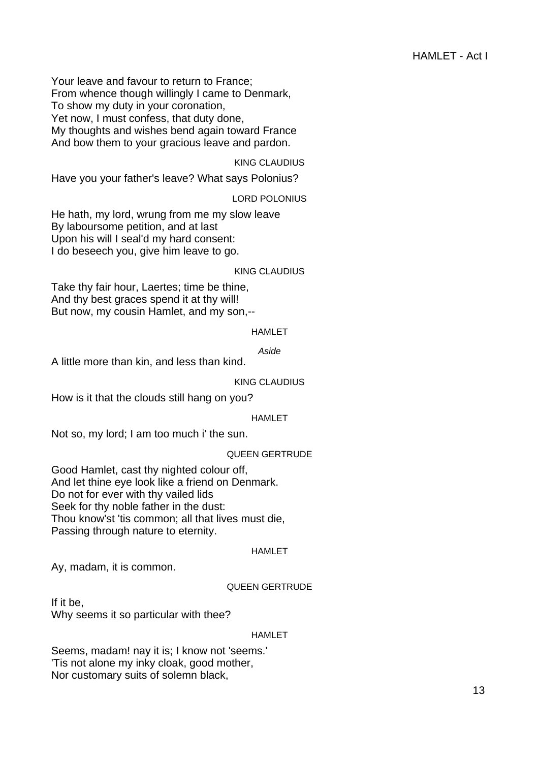Your leave and favour to return to France; From whence though willingly I came to Denmark, To show my duty in your coronation, Yet now, I must confess, that duty done, My thoughts and wishes bend again toward France And bow them to your gracious leave and pardon.

## KING CLAUDIUS

Have you your father's leave? What says Polonius?

## LORD POLONIUS

He hath, my lord, wrung from me my slow leave By laboursome petition, and at last Upon his will I seal'd my hard consent: I do beseech you, give him leave to go.

#### KING CLAUDIUS

Take thy fair hour, Laertes; time be thine, And thy best graces spend it at thy will! But now, my cousin Hamlet, and my son,--

### HAMLET

Aside

A little more than kin, and less than kind.

## KING CLAUDIUS

How is it that the clouds still hang on you?

#### HAMLET

Not so, my lord; I am too much i' the sun.

## QUEEN GERTRUDE

Good Hamlet, cast thy nighted colour off, And let thine eye look like a friend on Denmark. Do not for ever with thy vailed lids Seek for thy noble father in the dust: Thou know'st 'tis common; all that lives must die, Passing through nature to eternity.

#### HAMLET

Ay, madam, it is common.

## QUEEN GERTRUDE

If it be, Why seems it so particular with thee?

#### HAMLET

Seems, madam! nay it is; I know not 'seems.' 'Tis not alone my inky cloak, good mother, Nor customary suits of solemn black,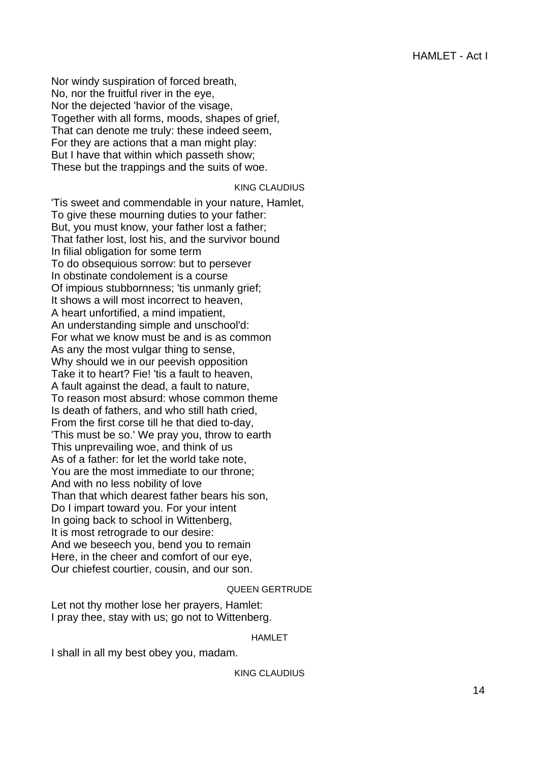Nor windy suspiration of forced breath, No, nor the fruitful river in the eye, Nor the dejected 'havior of the visage, Together with all forms, moods, shapes of grief, That can denote me truly: these indeed seem, For they are actions that a man might play: But I have that within which passeth show; These but the trappings and the suits of woe.

## KING CLAUDIUS

'Tis sweet and commendable in your nature, Hamlet, To give these mourning duties to your father: But, you must know, your father lost a father; That father lost, lost his, and the survivor bound In filial obligation for some term To do obsequious sorrow: but to persever In obstinate condolement is a course Of impious stubbornness; 'tis unmanly grief; It shows a will most incorrect to heaven, A heart unfortified, a mind impatient, An understanding simple and unschool'd: For what we know must be and is as common As any the most vulgar thing to sense, Why should we in our peevish opposition Take it to heart? Fie! 'tis a fault to heaven, A fault against the dead, a fault to nature, To reason most absurd: whose common theme Is death of fathers, and who still hath cried, From the first corse till he that died to-day, 'This must be so.' We pray you, throw to earth This unprevailing woe, and think of us As of a father: for let the world take note, You are the most immediate to our throne; And with no less nobility of love Than that which dearest father bears his son, Do I impart toward you. For your intent In going back to school in Wittenberg, It is most retrograde to our desire: And we beseech you, bend you to remain Here, in the cheer and comfort of our eye, Our chiefest courtier, cousin, and our son.

## QUEEN GERTRUDE

Let not thy mother lose her prayers, Hamlet: I pray thee, stay with us; go not to Wittenberg.

## HAMLET

I shall in all my best obey you, madam.

## KING CLAUDIUS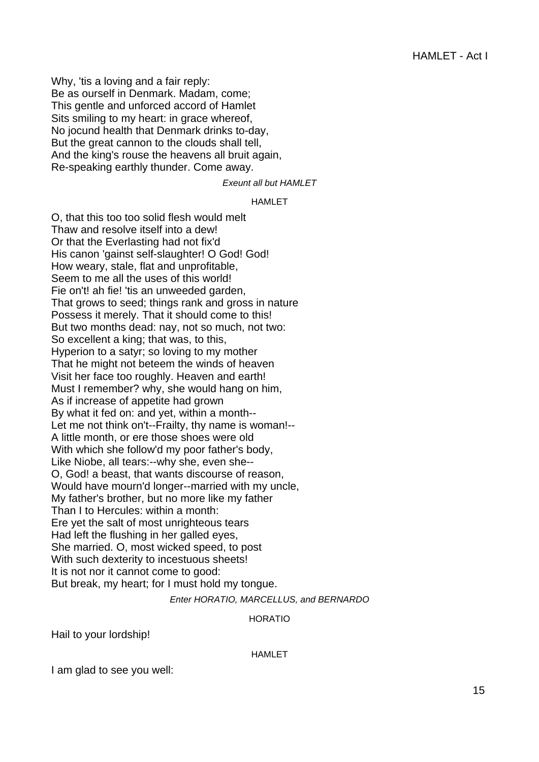Why, 'tis a loving and a fair reply: Be as ourself in Denmark. Madam, come; This gentle and unforced accord of Hamlet Sits smiling to my heart: in grace whereof, No jocund health that Denmark drinks to-day, But the great cannon to the clouds shall tell, And the king's rouse the heavens all bruit again, Re-speaking earthly thunder. Come away.

Exeunt all but HAMLET

#### HAMLET

O, that this too too solid flesh would melt Thaw and resolve itself into a dew! Or that the Everlasting had not fix'd His canon 'gainst self-slaughter! O God! God! How weary, stale, flat and unprofitable, Seem to me all the uses of this world! Fie on't! ah fie! 'tis an unweeded garden, That grows to seed; things rank and gross in nature Possess it merely. That it should come to this! But two months dead: nay, not so much, not two: So excellent a king; that was, to this, Hyperion to a satyr; so loving to my mother That he might not beteem the winds of heaven Visit her face too roughly. Heaven and earth! Must I remember? why, she would hang on him, As if increase of appetite had grown By what it fed on: and yet, within a month-- Let me not think on't--Frailty, thy name is woman!-- A little month, or ere those shoes were old With which she follow'd my poor father's body, Like Niobe, all tears:--why she, even she-- O, God! a beast, that wants discourse of reason, Would have mourn'd longer--married with my uncle, My father's brother, but no more like my father Than I to Hercules: within a month: Ere yet the salt of most unrighteous tears Had left the flushing in her galled eyes, She married. O, most wicked speed, to post With such dexterity to incestuous sheets! It is not nor it cannot come to good: But break, my heart; for I must hold my tongue.

## Enter HORATIO, MARCELLUS, and BERNARDO

## HORATIO

Hail to your lordship!

#### HAMLET

I am glad to see you well: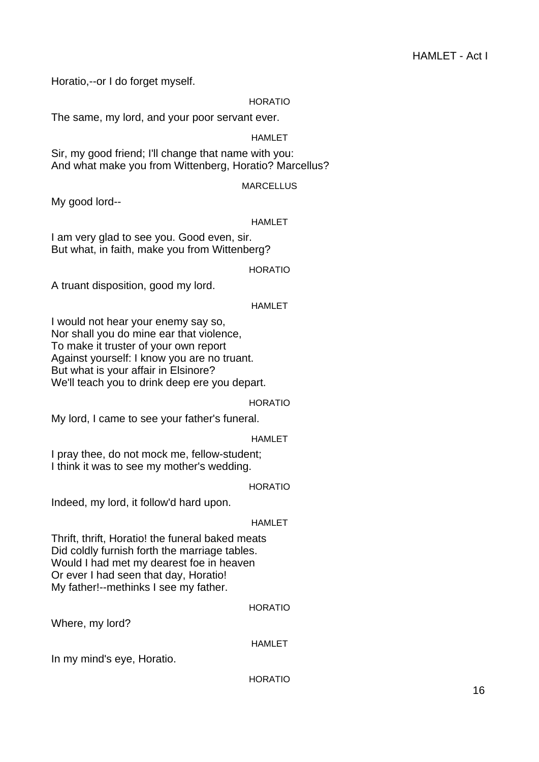Horatio,--or I do forget myself.

## HORATIO

The same, my lord, and your poor servant ever.

## **HAMLET**

Sir, my good friend; I'll change that name with you: And what make you from Wittenberg, Horatio? Marcellus?

## **MARCELLUS**

My good lord--

## **HAMLET**

I am very glad to see you. Good even, sir. But what, in faith, make you from Wittenberg?

## HORATIO

A truant disposition, good my lord.

## HAMLET

I would not hear your enemy say so, Nor shall you do mine ear that violence, To make it truster of your own report Against yourself: I know you are no truant. But what is your affair in Elsinore? We'll teach you to drink deep ere you depart.

## HORATIO

My lord, I came to see your father's funeral.

## HAMLET

I pray thee, do not mock me, fellow-student; I think it was to see my mother's wedding.

## HORATIO

Indeed, my lord, it follow'd hard upon.

## HAMLET

Thrift, thrift, Horatio! the funeral baked meats Did coldly furnish forth the marriage tables. Would I had met my dearest foe in heaven Or ever I had seen that day, Horatio! My father!--methinks I see my father.

## HORATIO

Where, my lord?

## HAMLET

In my mind's eye, Horatio.

HORATIO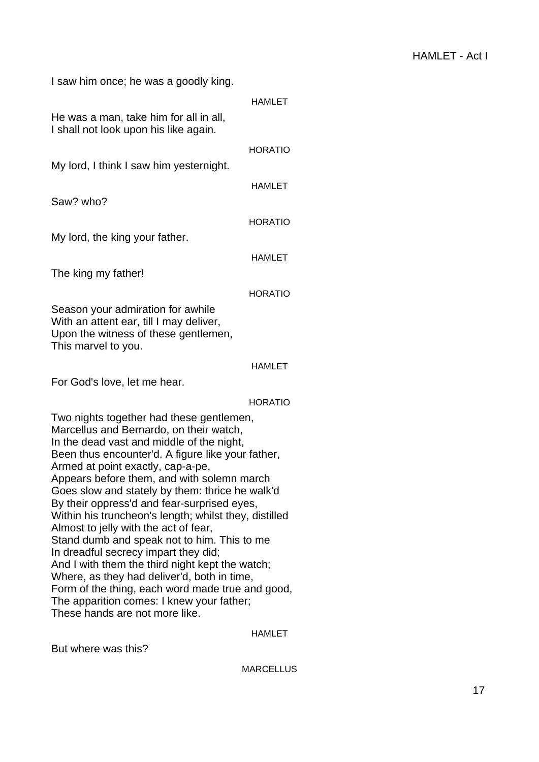| I saw him once; he was a goodly king.                                                                                                                                                                                                                                                                                                                                                                                                                                                                                                                                                                                                                                 |                |
|-----------------------------------------------------------------------------------------------------------------------------------------------------------------------------------------------------------------------------------------------------------------------------------------------------------------------------------------------------------------------------------------------------------------------------------------------------------------------------------------------------------------------------------------------------------------------------------------------------------------------------------------------------------------------|----------------|
|                                                                                                                                                                                                                                                                                                                                                                                                                                                                                                                                                                                                                                                                       | <b>HAMLET</b>  |
| He was a man, take him for all in all,<br>I shall not look upon his like again.                                                                                                                                                                                                                                                                                                                                                                                                                                                                                                                                                                                       |                |
|                                                                                                                                                                                                                                                                                                                                                                                                                                                                                                                                                                                                                                                                       | <b>HORATIO</b> |
| My lord, I think I saw him yesternight.                                                                                                                                                                                                                                                                                                                                                                                                                                                                                                                                                                                                                               |                |
|                                                                                                                                                                                                                                                                                                                                                                                                                                                                                                                                                                                                                                                                       | <b>HAMLET</b>  |
| Saw? who?                                                                                                                                                                                                                                                                                                                                                                                                                                                                                                                                                                                                                                                             |                |
|                                                                                                                                                                                                                                                                                                                                                                                                                                                                                                                                                                                                                                                                       | <b>HORATIO</b> |
| My lord, the king your father.                                                                                                                                                                                                                                                                                                                                                                                                                                                                                                                                                                                                                                        |                |
|                                                                                                                                                                                                                                                                                                                                                                                                                                                                                                                                                                                                                                                                       |                |
|                                                                                                                                                                                                                                                                                                                                                                                                                                                                                                                                                                                                                                                                       | <b>HAMLET</b>  |
| The king my father!                                                                                                                                                                                                                                                                                                                                                                                                                                                                                                                                                                                                                                                   |                |
|                                                                                                                                                                                                                                                                                                                                                                                                                                                                                                                                                                                                                                                                       | <b>HORATIO</b> |
| Season your admiration for awhile<br>With an attent ear, till I may deliver,<br>Upon the witness of these gentlemen,<br>This marvel to you.                                                                                                                                                                                                                                                                                                                                                                                                                                                                                                                           |                |
|                                                                                                                                                                                                                                                                                                                                                                                                                                                                                                                                                                                                                                                                       | <b>HAMLET</b>  |
| For God's love, let me hear.                                                                                                                                                                                                                                                                                                                                                                                                                                                                                                                                                                                                                                          |                |
|                                                                                                                                                                                                                                                                                                                                                                                                                                                                                                                                                                                                                                                                       | <b>HORATIO</b> |
| Two nights together had these gentlemen,<br>Marcellus and Bernardo, on their watch,<br>In the dead vast and middle of the night,<br>Been thus encounter'd. A figure like your father,<br>Armed at point exactly, cap-a-pe,<br>Appears before them, and with solemn march<br>Goes slow and stately by them: thrice he walk'd<br>By their oppress'd and fear-surprised eyes,<br>Within his truncheon's length; whilst they, distilled<br>Almost to jelly with the act of fear,<br>Stand dumb and speak not to him. This to me<br>In dreadful secrecy impart they did;<br>And I with them the third night kept the watch;<br>Where, as they had deliver'd, both in time, |                |
| Form of the thing, each word made true and good,<br>The apparition comes: I knew your father;<br>These hands are not more like.                                                                                                                                                                                                                                                                                                                                                                                                                                                                                                                                       |                |

HAMLET

But where was this?

MARCELLUS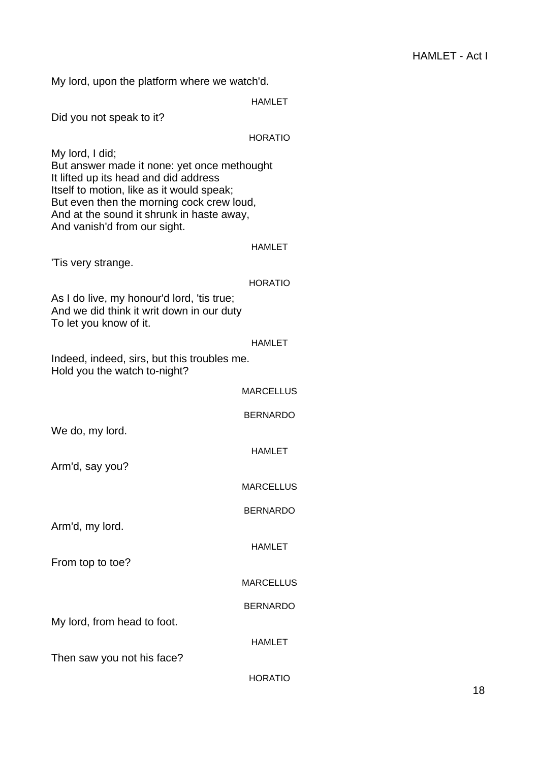My lord, upon the platform where we watch'd.

| iviy iold, apolities platform where we watch d.                                                                        |                  |
|------------------------------------------------------------------------------------------------------------------------|------------------|
|                                                                                                                        | <b>HAMLET</b>    |
| Did you not speak to it?                                                                                               |                  |
|                                                                                                                        | <b>HORATIO</b>   |
| My lord, I did;<br>But answer made it none: yet once methought                                                         |                  |
| It lifted up its head and did address<br>Itself to motion, like as it would speak;                                     |                  |
| But even then the morning cock crew loud,<br>And at the sound it shrunk in haste away,<br>And vanish'd from our sight. |                  |
|                                                                                                                        | <b>HAMLET</b>    |
| Tis very strange.                                                                                                      |                  |
|                                                                                                                        | <b>HORATIO</b>   |
| As I do live, my honour'd lord, 'tis true;<br>And we did think it writ down in our duty<br>To let you know of it.      |                  |
|                                                                                                                        | <b>HAMLET</b>    |
| Indeed, indeed, sirs, but this troubles me.<br>Hold you the watch to-night?                                            |                  |
|                                                                                                                        | <b>MARCELLUS</b> |
|                                                                                                                        | <b>BERNARDO</b>  |
| We do, my lord.                                                                                                        |                  |
|                                                                                                                        | <b>HAMLET</b>    |
| Arm'd, say you?                                                                                                        |                  |
|                                                                                                                        | <b>MARCELLUS</b> |
|                                                                                                                        | <b>BERNARDO</b>  |
| Arm'd, my lord.                                                                                                        |                  |
|                                                                                                                        | <b>HAMLET</b>    |
| From top to toe?                                                                                                       |                  |
|                                                                                                                        | <b>MARCELLUS</b> |
|                                                                                                                        | <b>BERNARDO</b>  |
| My lord, from head to foot.                                                                                            |                  |
|                                                                                                                        | <b>HAMLET</b>    |
| Then saw you not his face?                                                                                             |                  |
|                                                                                                                        | <b>HORATIO</b>   |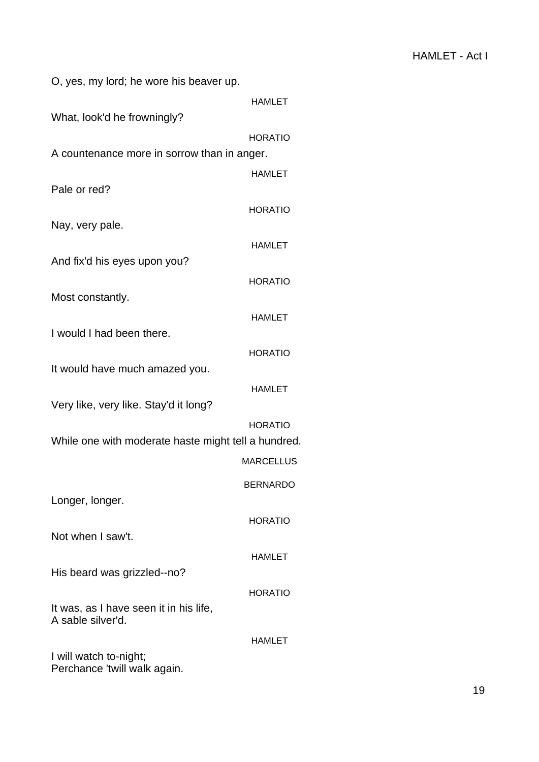| O, yes, my lord; he wore his beaver up.                     |               |
|-------------------------------------------------------------|---------------|
|                                                             | <b>HAMLET</b> |
| What, look'd he frowningly?                                 |               |
| <b>HORATIO</b>                                              |               |
| A countenance more in sorrow than in anger.                 |               |
|                                                             |               |
| Pale or red?                                                | <b>HAMLET</b> |
|                                                             |               |
| <b>HORATIO</b>                                              |               |
| Nay, very pale.                                             |               |
|                                                             | <b>HAMLET</b> |
| And fix'd his eyes upon you?                                |               |
| <b>HORATIO</b>                                              |               |
| Most constantly.                                            |               |
|                                                             | <b>HAMLET</b> |
| I would I had been there.                                   |               |
|                                                             |               |
| <b>HORATIO</b>                                              |               |
| It would have much amazed you.                              |               |
|                                                             | <b>HAMLET</b> |
| Very like, very like. Stay'd it long?                       |               |
| <b>HORATIO</b>                                              |               |
| While one with moderate haste might tell a hundred.         |               |
| <b>MARCELLUS</b>                                            |               |
|                                                             |               |
| BERNARDO                                                    |               |
| Longer, longer.                                             |               |
| <b>HORATIO</b>                                              |               |
| Not when I saw't.                                           |               |
|                                                             | HAMLET        |
| His beard was grizzled--no?                                 |               |
|                                                             |               |
| <b>HORATIO</b>                                              |               |
| It was, as I have seen it in his life,<br>A sable silver'd. |               |
|                                                             |               |
| HAMLET                                                      |               |
| I will watch to-night;<br>Perchance 'twill walk again.      |               |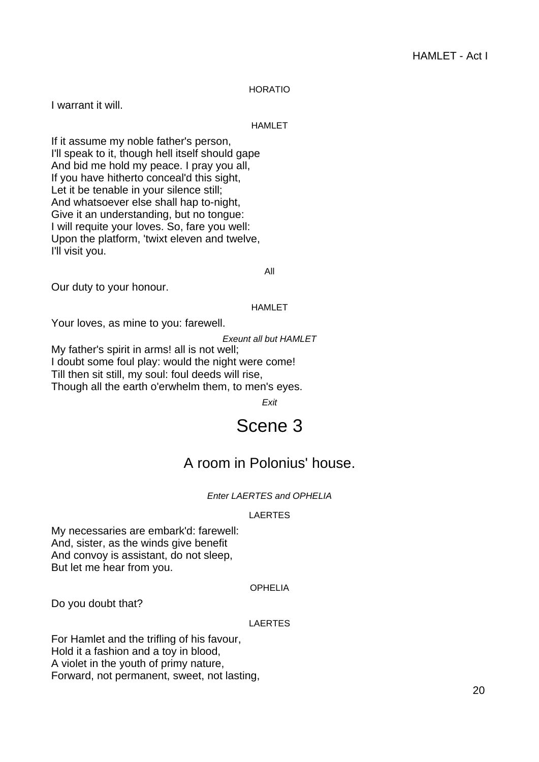## HORATIO

I warrant it will.

#### HAMLET

If it assume my noble father's person, I'll speak to it, though hell itself should gape And bid me hold my peace. I pray you all, If you have hitherto conceal'd this sight, Let it be tenable in your silence still; And whatsoever else shall hap to-night, Give it an understanding, but no tongue: I will requite your loves. So, fare you well: Upon the platform, 'twixt eleven and twelve, I'll visit you.

All

Our duty to your honour.

#### HAMLET

Your loves, as mine to you: farewell.

Exeunt all but HAMLET

<span id="page-19-0"></span>My father's spirit in arms! all is not well; I doubt some foul play: would the night were come! Till then sit still, my soul: foul deeds will rise, Though all the earth o'erwhelm them, to men's eyes.

Exit

# Scene 3

## A room in Polonius' house.

## Enter LAERTES and OPHELIA

#### LAERTES

My necessaries are embark'd: farewell: And, sister, as the winds give benefit And convoy is assistant, do not sleep, But let me hear from you.

## OPHELIA

Do you doubt that?

#### LAERTES

For Hamlet and the trifling of his favour, Hold it a fashion and a toy in blood, A violet in the youth of primy nature, Forward, not permanent, sweet, not lasting,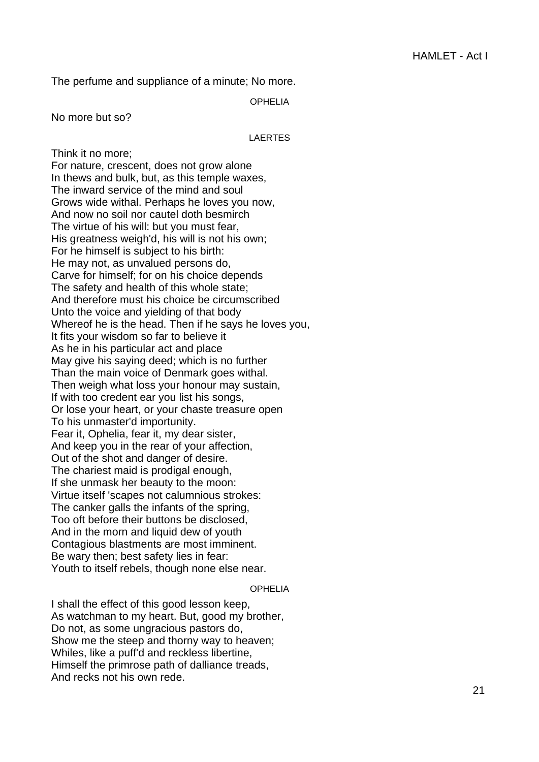The perfume and suppliance of a minute; No more.

OPHELIA

No more but so?

#### LAERTES

Think it no more; For nature, crescent, does not grow alone In thews and bulk, but, as this temple waxes, The inward service of the mind and soul Grows wide withal. Perhaps he loves you now, And now no soil nor cautel doth besmirch The virtue of his will: but you must fear, His greatness weigh'd, his will is not his own; For he himself is subject to his birth: He may not, as unvalued persons do, Carve for himself; for on his choice depends The safety and health of this whole state; And therefore must his choice be circumscribed Unto the voice and yielding of that body Whereof he is the head. Then if he says he loves you, It fits your wisdom so far to believe it As he in his particular act and place May give his saying deed; which is no further Than the main voice of Denmark goes withal. Then weigh what loss your honour may sustain, If with too credent ear you list his songs, Or lose your heart, or your chaste treasure open To his unmaster'd importunity. Fear it, Ophelia, fear it, my dear sister, And keep you in the rear of your affection, Out of the shot and danger of desire. The chariest maid is prodigal enough, If she unmask her beauty to the moon: Virtue itself 'scapes not calumnious strokes: The canker galls the infants of the spring. Too oft before their buttons be disclosed, And in the morn and liquid dew of youth Contagious blastments are most imminent. Be wary then; best safety lies in fear: Youth to itself rebels, though none else near.

OPHELIA

I shall the effect of this good lesson keep, As watchman to my heart. But, good my brother, Do not, as some ungracious pastors do, Show me the steep and thorny way to heaven; Whiles, like a puff'd and reckless libertine, Himself the primrose path of dalliance treads, And recks not his own rede.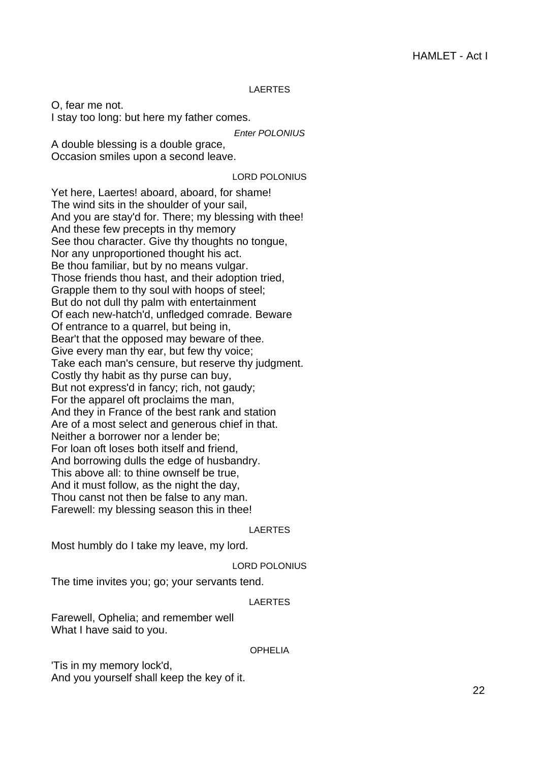#### LAERTES

O, fear me not. I stay too long: but here my father comes.

Enter POLONIUS

A double blessing is a double grace, Occasion smiles upon a second leave.

## LORD POLONIUS

Yet here, Laertes! aboard, aboard, for shame! The wind sits in the shoulder of your sail, And you are stay'd for. There; my blessing with thee! And these few precepts in thy memory See thou character. Give thy thoughts no tongue, Nor any unproportioned thought his act. Be thou familiar, but by no means vulgar. Those friends thou hast, and their adoption tried, Grapple them to thy soul with hoops of steel; But do not dull thy palm with entertainment Of each new-hatch'd, unfledged comrade. Beware Of entrance to a quarrel, but being in, Bear't that the opposed may beware of thee. Give every man thy ear, but few thy voice; Take each man's censure, but reserve thy judgment. Costly thy habit as thy purse can buy, But not express'd in fancy; rich, not gaudy; For the apparel oft proclaims the man, And they in France of the best rank and station Are of a most select and generous chief in that. Neither a borrower nor a lender be; For loan oft loses both itself and friend, And borrowing dulls the edge of husbandry. This above all: to thine ownself be true, And it must follow, as the night the day, Thou canst not then be false to any man. Farewell: my blessing season this in thee!

#### LAERTES

Most humbly do I take my leave, my lord.

LORD POLONIUS

The time invites you; go; your servants tend.

#### LAERTES

Farewell, Ophelia; and remember well What I have said to you.

#### OPHELIA

'Tis in my memory lock'd, And you yourself shall keep the key of it.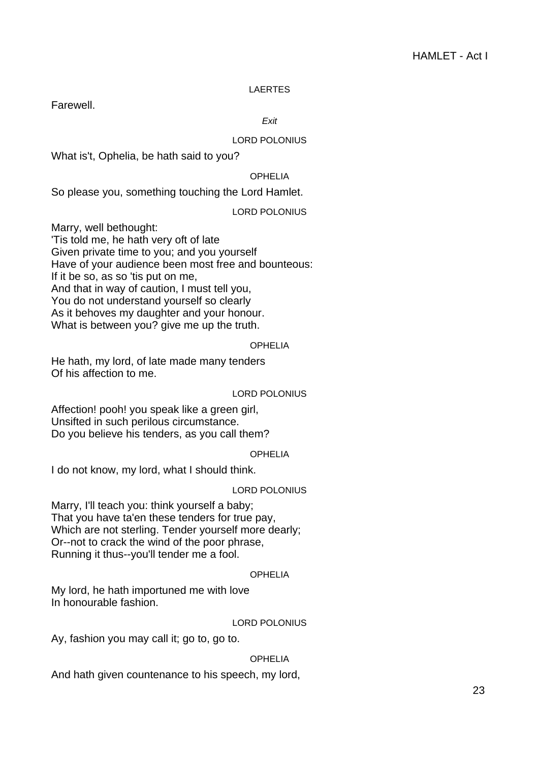## LAERTES

Farewell.

Exit

## LORD POLONIUS

What is't, Ophelia, be hath said to you?

## OPHELIA

So please you, something touching the Lord Hamlet.

LORD POLONIUS

Marry, well bethought:

'Tis told me, he hath very oft of late Given private time to you; and you yourself Have of your audience been most free and bounteous: If it be so, as so 'tis put on me, And that in way of caution, I must tell you, You do not understand yourself so clearly As it behoves my daughter and your honour. What is between you? give me up the truth.

## OPHELIA

He hath, my lord, of late made many tenders Of his affection to me.

## LORD POLONIUS

Affection! pooh! you speak like a green girl, Unsifted in such perilous circumstance. Do you believe his tenders, as you call them?

## OPHELIA

I do not know, my lord, what I should think.

## LORD POLONIUS

Marry, I'll teach you: think yourself a baby; That you have ta'en these tenders for true pay, Which are not sterling. Tender yourself more dearly; Or--not to crack the wind of the poor phrase, Running it thus--you'll tender me a fool.

## OPHELIA

My lord, he hath importuned me with love In honourable fashion.

## LORD POLONIUS

Ay, fashion you may call it; go to, go to.

## OPHELIA

And hath given countenance to his speech, my lord,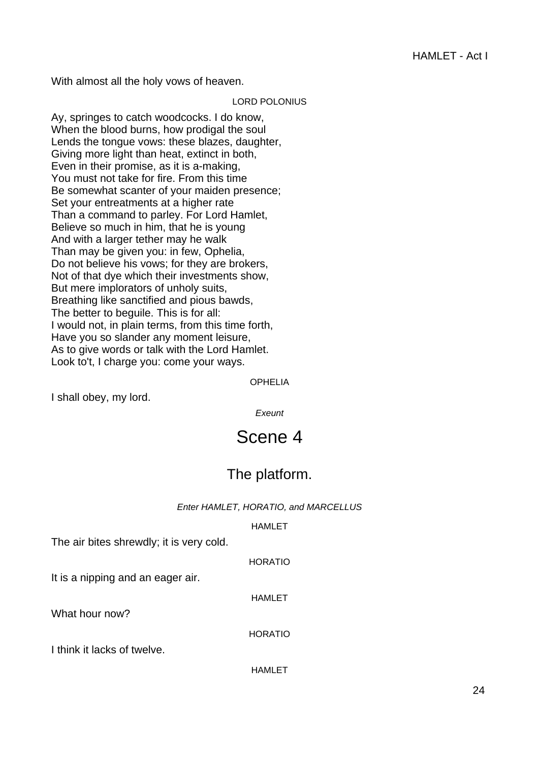With almost all the holy vows of heaven.

#### LORD POLONIUS

Ay, springes to catch woodcocks. I do know, When the blood burns, how prodigal the soul Lends the tongue vows: these blazes, daughter, Giving more light than heat, extinct in both, Even in their promise, as it is a-making, You must not take for fire. From this time Be somewhat scanter of your maiden presence; Set your entreatments at a higher rate Than a command to parley. For Lord Hamlet, Believe so much in him, that he is young And with a larger tether may he walk Than may be given you: in few, Ophelia, Do not believe his vows; for they are brokers, Not of that dye which their investments show, But mere implorators of unholy suits, Breathing like sanctified and pious bawds, The better to beguile. This is for all: I would not, in plain terms, from this time forth, Have you so slander any moment leisure, As to give words or talk with the Lord Hamlet. Look to't, I charge you: come your ways.

OPHELIA

<span id="page-23-0"></span>I shall obey, my lord.

**Exeunt** 

# Scene 4

## The platform.

## Enter HAMLET, HORATIO, and MARCELLUS

## HAMLET

HORATIO

The air bites shrewdly; it is very cold.

It is a nipping and an eager air.

What hour now?

HORATIO

HAMLET

I think it lacks of twelve.

HAMLET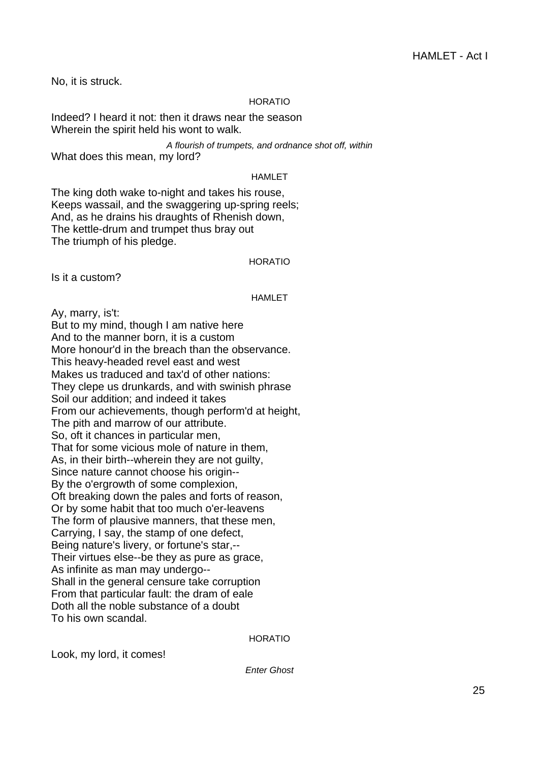No, it is struck.

## HORATIO

Indeed? I heard it not: then it draws near the season Wherein the spirit held his wont to walk.

A flourish of trumpets, and ordnance shot off, within What does this mean, my lord?

#### HAMLET

The king doth wake to-night and takes his rouse, Keeps wassail, and the swaggering up-spring reels; And, as he drains his draughts of Rhenish down, The kettle-drum and trumpet thus bray out The triumph of his pledge.

#### HORATIO

Is it a custom?

## HAMLET

Ay, marry, is't:

But to my mind, though I am native here And to the manner born, it is a custom More honour'd in the breach than the observance. This heavy-headed revel east and west Makes us traduced and tax'd of other nations: They clepe us drunkards, and with swinish phrase Soil our addition; and indeed it takes From our achievements, though perform'd at height, The pith and marrow of our attribute. So, oft it chances in particular men, That for some vicious mole of nature in them, As, in their birth--wherein they are not guilty, Since nature cannot choose his origin-- By the o'ergrowth of some complexion, Oft breaking down the pales and forts of reason, Or by some habit that too much o'er-leavens The form of plausive manners, that these men, Carrying, I say, the stamp of one defect, Being nature's livery, or fortune's star,-- Their virtues else--be they as pure as grace, As infinite as man may undergo-- Shall in the general censure take corruption From that particular fault: the dram of eale Doth all the noble substance of a doubt To his own scandal.

HORATIO

Look, my lord, it comes!

Enter Ghost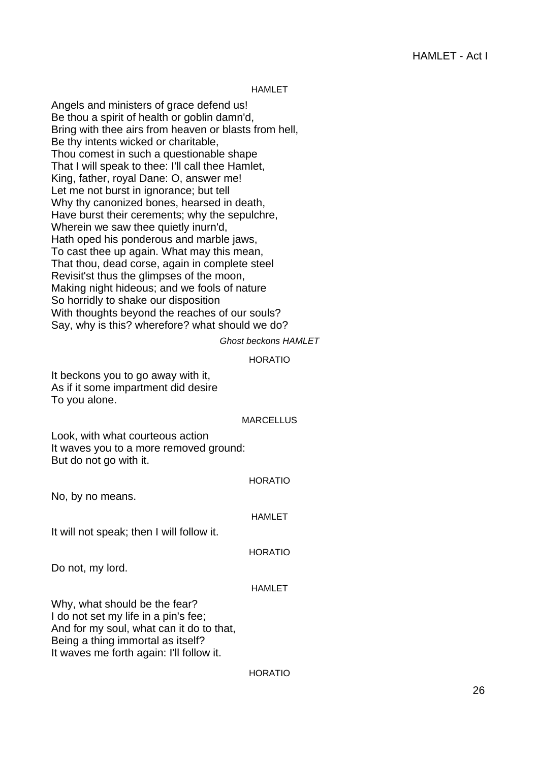#### HAMLET

Angels and ministers of grace defend us! Be thou a spirit of health or goblin damn'd, Bring with thee airs from heaven or blasts from hell, Be thy intents wicked or charitable, Thou comest in such a questionable shape That I will speak to thee: I'll call thee Hamlet, King, father, royal Dane: O, answer me! Let me not burst in ignorance; but tell Why thy canonized bones, hearsed in death, Have burst their cerements; why the sepulchre, Wherein we saw thee quietly inurn'd, Hath oped his ponderous and marble jaws, To cast thee up again. What may this mean, That thou, dead corse, again in complete steel Revisit'st thus the glimpses of the moon, Making night hideous; and we fools of nature So horridly to shake our disposition With thoughts beyond the reaches of our souls? Say, why is this? wherefore? what should we do?

Ghost beckons HAMLET

#### HORATIO

It beckons you to go away with it, As if it some impartment did desire To you alone.

#### MARCELLUS

Look, with what courteous action It waves you to a more removed ground: But do not go with it.

#### HORATIO

No, by no means.

#### HAMLET

It will not speak; then I will follow it.

#### HORATIO

Do not, my lord.

#### HAMLET

Why, what should be the fear? I do not set my life in a pin's fee; And for my soul, what can it do to that, Being a thing immortal as itself? It waves me forth again: I'll follow it.

#### **HORATIO**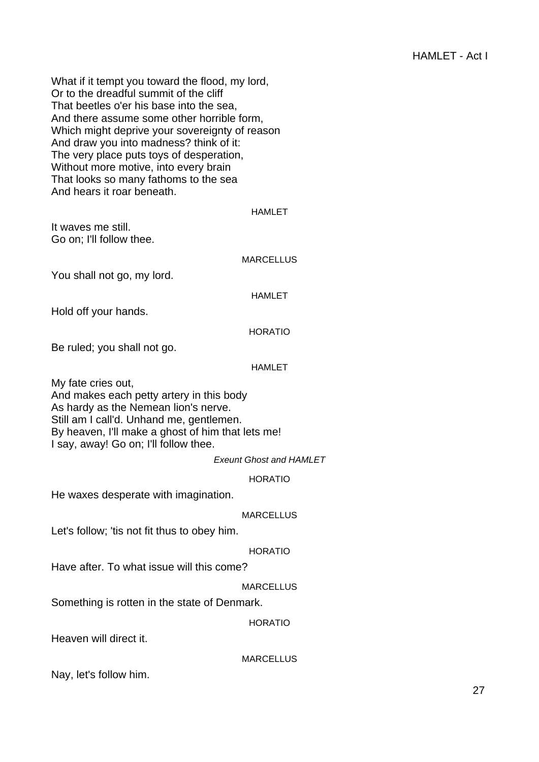What if it tempt you toward the flood, my lord, Or to the dreadful summit of the cliff That beetles o'er his base into the sea, And there assume some other horrible form, Which might deprive your sovereignty of reason And draw you into madness? think of it: The very place puts toys of desperation, Without more motive, into every brain That looks so many fathoms to the sea And hears it roar beneath.

## HAMLET

It waves me still. Go on; I'll follow thee.

#### **MARCELLUS**

You shall not go, my lord.

HAMLET

Hold off your hands.

## HORATIO

Be ruled; you shall not go.

## HAMLET

My fate cries out, And makes each petty artery in this body As hardy as the Nemean lion's nerve. Still am I call'd. Unhand me, gentlemen. By heaven, I'll make a ghost of him that lets me! I say, away! Go on; I'll follow thee.

Exeunt Ghost and HAMLET

## HORATIO

He waxes desperate with imagination.

## MARCELLUS

Let's follow; 'tis not fit thus to obey him.

## HORATIO

Have after. To what issue will this come?

## MARCELLUS

Something is rotten in the state of Denmark.

#### HORATIO

Heaven will direct it.

**MARCELLUS** 

Nay, let's follow him.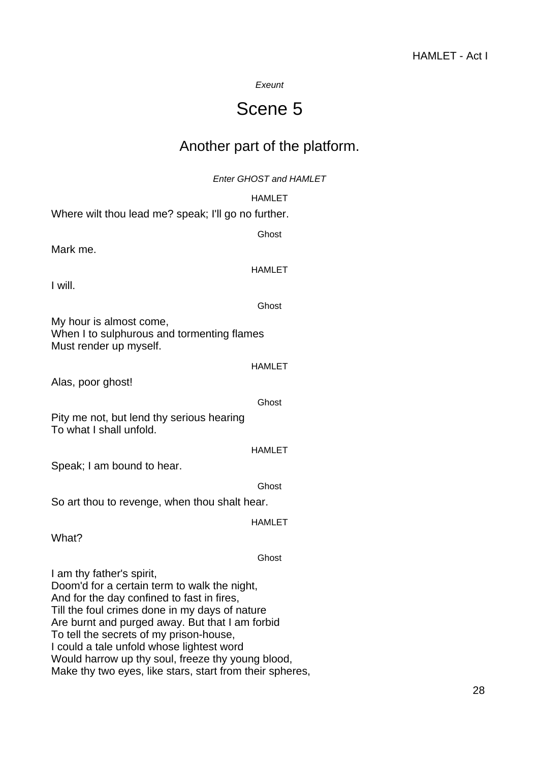## Exeunt

# Scene 5

## Another part of the platform.

Enter GHOST and HAMLET

<span id="page-27-0"></span>

|                                                                                                                                                                                                                                                                                                                                                                                                                                       | <b>HAMLET</b> |
|---------------------------------------------------------------------------------------------------------------------------------------------------------------------------------------------------------------------------------------------------------------------------------------------------------------------------------------------------------------------------------------------------------------------------------------|---------------|
| Where wilt thou lead me? speak; I'll go no further.                                                                                                                                                                                                                                                                                                                                                                                   |               |
|                                                                                                                                                                                                                                                                                                                                                                                                                                       | Ghost         |
| Mark me.                                                                                                                                                                                                                                                                                                                                                                                                                              |               |
| I will.                                                                                                                                                                                                                                                                                                                                                                                                                               | <b>HAMLET</b> |
|                                                                                                                                                                                                                                                                                                                                                                                                                                       |               |
|                                                                                                                                                                                                                                                                                                                                                                                                                                       | Ghost         |
| My hour is almost come,<br>When I to sulphurous and tormenting flames<br>Must render up myself.                                                                                                                                                                                                                                                                                                                                       |               |
|                                                                                                                                                                                                                                                                                                                                                                                                                                       | <b>HAMLET</b> |
| Alas, poor ghost!                                                                                                                                                                                                                                                                                                                                                                                                                     |               |
|                                                                                                                                                                                                                                                                                                                                                                                                                                       | Ghost         |
| Pity me not, but lend thy serious hearing<br>To what I shall unfold.                                                                                                                                                                                                                                                                                                                                                                  |               |
|                                                                                                                                                                                                                                                                                                                                                                                                                                       | <b>HAMLET</b> |
| Speak; I am bound to hear.                                                                                                                                                                                                                                                                                                                                                                                                            |               |
|                                                                                                                                                                                                                                                                                                                                                                                                                                       | Ghost         |
| So art thou to revenge, when thou shalt hear.                                                                                                                                                                                                                                                                                                                                                                                         |               |
|                                                                                                                                                                                                                                                                                                                                                                                                                                       | <b>HAMLET</b> |
| What?                                                                                                                                                                                                                                                                                                                                                                                                                                 |               |
|                                                                                                                                                                                                                                                                                                                                                                                                                                       | Ghost         |
| I am thy father's spirit,<br>Doom'd for a certain term to walk the night,<br>And for the day confined to fast in fires,<br>Till the foul crimes done in my days of nature<br>Are burnt and purged away. But that I am forbid<br>To tell the secrets of my prison-house,<br>I could a tale unfold whose lightest word<br>Would harrow up thy soul, freeze thy young blood,<br>Make thy two eyes, like stars, start from their spheres, |               |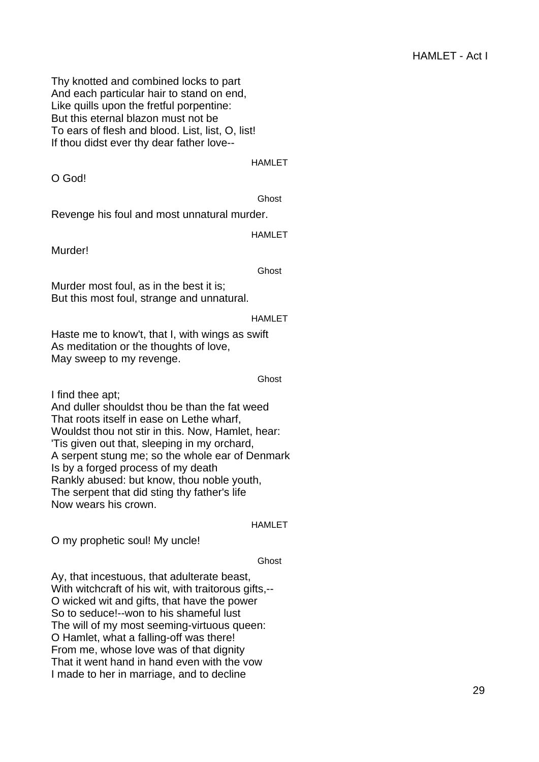Thy knotted and combined locks to part And each particular hair to stand on end, Like quills upon the fretful porpentine: But this eternal blazon must not be To ears of flesh and blood. List, list, O, list! If thou didst ever thy dear father love--

#### HAMLET

O God!

Ghost

Revenge his foul and most unnatural murder.

HAMLET

Murder!

Ghost

Murder most foul, as in the best it is; But this most foul, strange and unnatural.

## HAMLET

Haste me to know't, that I, with wings as swift As meditation or the thoughts of love, May sweep to my revenge.

#### Ghost

I find thee apt;

And duller shouldst thou be than the fat weed That roots itself in ease on Lethe wharf, Wouldst thou not stir in this. Now, Hamlet, hear: 'Tis given out that, sleeping in my orchard, A serpent stung me; so the whole ear of Denmark Is by a forged process of my death Rankly abused: but know, thou noble youth, The serpent that did sting thy father's life Now wears his crown.

## HAMLET

O my prophetic soul! My uncle!

## **Ghost**

Ay, that incestuous, that adulterate beast, With witchcraft of his wit, with traitorous gifts,-- O wicked wit and gifts, that have the power So to seduce!--won to his shameful lust The will of my most seeming-virtuous queen: O Hamlet, what a falling-off was there! From me, whose love was of that dignity That it went hand in hand even with the vow I made to her in marriage, and to decline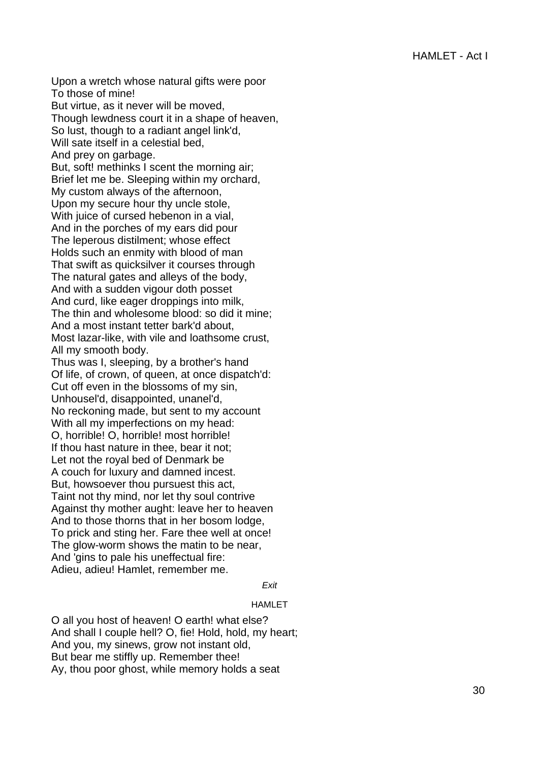Upon a wretch whose natural gifts were poor To those of mine!

But virtue, as it never will be moved, Though lewdness court it in a shape of heaven, So lust, though to a radiant angel link'd, Will sate itself in a celestial bed, And prey on garbage.

But, soft! methinks I scent the morning air; Brief let me be. Sleeping within my orchard, My custom always of the afternoon, Upon my secure hour thy uncle stole, With juice of cursed hebenon in a vial, And in the porches of my ears did pour The leperous distilment; whose effect Holds such an enmity with blood of man That swift as quicksilver it courses through The natural gates and alleys of the body, And with a sudden vigour doth posset And curd, like eager droppings into milk, The thin and wholesome blood: so did it mine; And a most instant tetter bark'd about, Most lazar-like, with vile and loathsome crust, All my smooth body.

Thus was I, sleeping, by a brother's hand Of life, of crown, of queen, at once dispatch'd: Cut off even in the blossoms of my sin, Unhousel'd, disappointed, unanel'd, No reckoning made, but sent to my account With all my imperfections on my head: O, horrible! O, horrible! most horrible! If thou hast nature in thee, bear it not; Let not the royal bed of Denmark be A couch for luxury and damned incest. But, howsoever thou pursuest this act, Taint not thy mind, nor let thy soul contrive Against thy mother aught: leave her to heaven And to those thorns that in her bosom lodge, To prick and sting her. Fare thee well at once! The glow-worm shows the matin to be near, And 'gins to pale his uneffectual fire: Adieu, adieu! Hamlet, remember me.

#### Exit

#### HAMLET

O all you host of heaven! O earth! what else? And shall I couple hell? O, fie! Hold, hold, my heart; And you, my sinews, grow not instant old, But bear me stiffly up. Remember thee! Ay, thou poor ghost, while memory holds a seat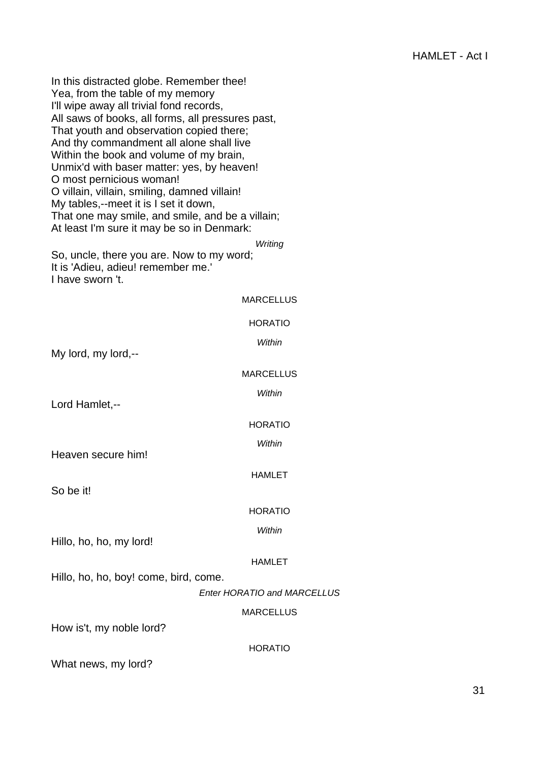In this distracted globe. Remember thee! Yea, from the table of my memory I'll wipe away all trivial fond records, All saws of books, all forms, all pressures past, That youth and observation copied there; And thy commandment all alone shall live Within the book and volume of my brain, Unmix'd with baser matter: yes, by heaven! O most pernicious woman! O villain, villain, smiling, damned villain! My tables,--meet it is I set it down, That one may smile, and smile, and be a villain; At least I'm sure it may be so in Denmark: **Writing** So, uncle, there you are. Now to my word; It is 'Adieu, adieu! remember me.' I have sworn 't. MARCELLUS HORATIO **Within** My lord, my lord,--**MARCELLUS** Within Lord Hamlet,-- HORATIO Within Heaven secure him! HAMLET So be it! HORATIO **Within** Hillo, ho, ho, my lord! HAMLET Hillo, ho, ho, boy! come, bird, come. Enter HORATIO and MARCELLUS **MARCELLUS** How is't, my noble lord? HORATIO What news, my lord?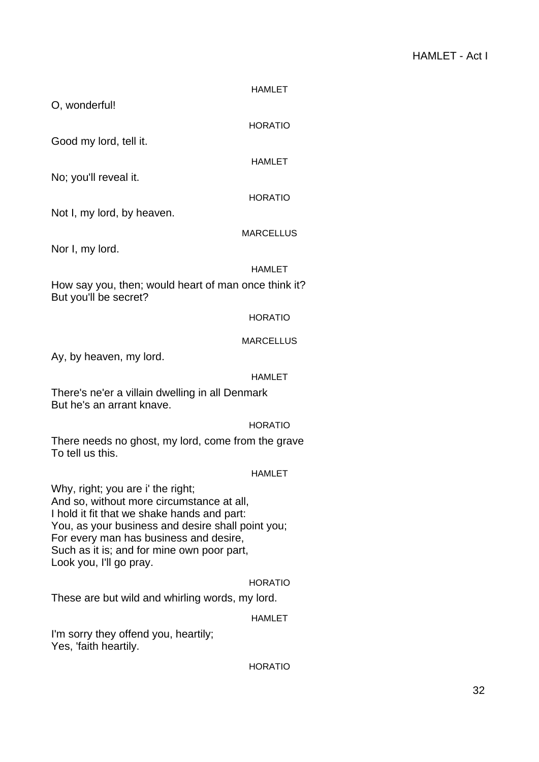|                                                                               | <b>HAMLET</b>    |
|-------------------------------------------------------------------------------|------------------|
| O, wonderful!                                                                 |                  |
|                                                                               | <b>HORATIO</b>   |
| Good my lord, tell it.                                                        |                  |
|                                                                               | <b>HAMLET</b>    |
| No; you'll reveal it.                                                         |                  |
|                                                                               | <b>HORATIO</b>   |
| Not I, my lord, by heaven.                                                    |                  |
|                                                                               | <b>MARCELLUS</b> |
| Nor I, my lord.                                                               |                  |
|                                                                               | <b>HAMLET</b>    |
| How say you, then; would heart of man once think it?<br>But you'll be secret? |                  |
|                                                                               | <b>HORATIO</b>   |
|                                                                               | <b>MARCELLUS</b> |
| Ay, by heaven, my lord.                                                       |                  |
|                                                                               | HAMLET           |

There's ne'er a villain dwelling in all Denmark But he's an arrant knave.

## HORATIO

There needs no ghost, my lord, come from the grave To tell us this.

## HAMLET

Why, right; you are i' the right; And so, without more circumstance at all, I hold it fit that we shake hands and part: You, as your business and desire shall point you; For every man has business and desire, Such as it is; and for mine own poor part, Look you, I'll go pray.

## HORATIO

These are but wild and whirling words, my lord.

## HAMLET

I'm sorry they offend you, heartily; Yes, 'faith heartily.

## HORATIO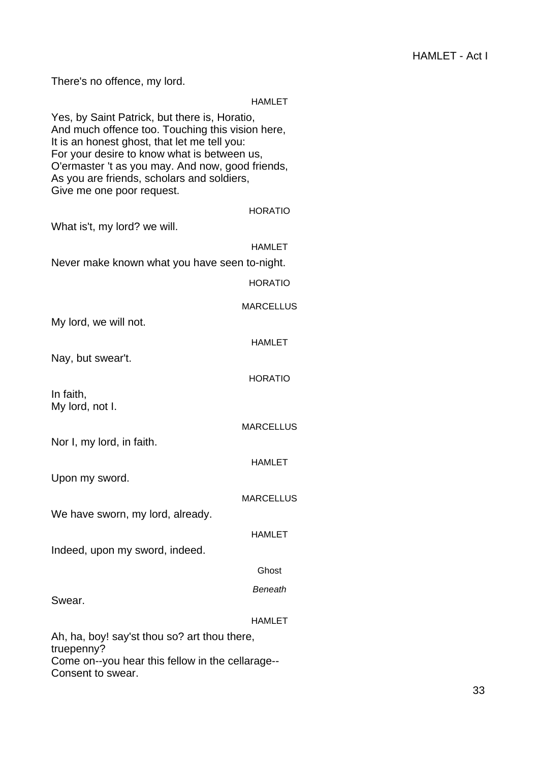There's no offence, my lord.

truepenny?

Consent to swear.

## HAMLET

|                                                                                                                                                                                                                                                                                                                                 | <b>NAIVILE I</b> |
|---------------------------------------------------------------------------------------------------------------------------------------------------------------------------------------------------------------------------------------------------------------------------------------------------------------------------------|------------------|
| Yes, by Saint Patrick, but there is, Horatio,<br>And much offence too. Touching this vision here,<br>It is an honest ghost, that let me tell you:<br>For your desire to know what is between us,<br>O'ermaster 't as you may. And now, good friends,<br>As you are friends, scholars and soldiers,<br>Give me one poor request. |                  |
|                                                                                                                                                                                                                                                                                                                                 | <b>HORATIO</b>   |
| What is't, my lord? we will.                                                                                                                                                                                                                                                                                                    |                  |
|                                                                                                                                                                                                                                                                                                                                 | <b>HAMLET</b>    |
| Never make known what you have seen to-night.                                                                                                                                                                                                                                                                                   |                  |
|                                                                                                                                                                                                                                                                                                                                 | <b>HORATIO</b>   |
|                                                                                                                                                                                                                                                                                                                                 | <b>MARCELLUS</b> |
| My lord, we will not.                                                                                                                                                                                                                                                                                                           |                  |
|                                                                                                                                                                                                                                                                                                                                 | <b>HAMLET</b>    |
| Nay, but swear't.                                                                                                                                                                                                                                                                                                               |                  |
|                                                                                                                                                                                                                                                                                                                                 | <b>HORATIO</b>   |
| In faith,<br>My lord, not I.                                                                                                                                                                                                                                                                                                    |                  |
|                                                                                                                                                                                                                                                                                                                                 | <b>MARCELLUS</b> |
| Nor I, my lord, in faith.                                                                                                                                                                                                                                                                                                       |                  |
|                                                                                                                                                                                                                                                                                                                                 | <b>HAMLET</b>    |
| Upon my sword.                                                                                                                                                                                                                                                                                                                  |                  |
|                                                                                                                                                                                                                                                                                                                                 | <b>MARCELLUS</b> |
| We have sworn, my lord, already.                                                                                                                                                                                                                                                                                                |                  |
|                                                                                                                                                                                                                                                                                                                                 | <b>HAMLET</b>    |
| Indeed, upon my sword, indeed.                                                                                                                                                                                                                                                                                                  |                  |
|                                                                                                                                                                                                                                                                                                                                 | Ghost            |
|                                                                                                                                                                                                                                                                                                                                 | <b>Beneath</b>   |
| Swear.                                                                                                                                                                                                                                                                                                                          |                  |
|                                                                                                                                                                                                                                                                                                                                 | <b>HAMLET</b>    |
| Ah, ha, boy! say'st thou so? art thou there,                                                                                                                                                                                                                                                                                    |                  |

Come on--you hear this fellow in the cellarage--

33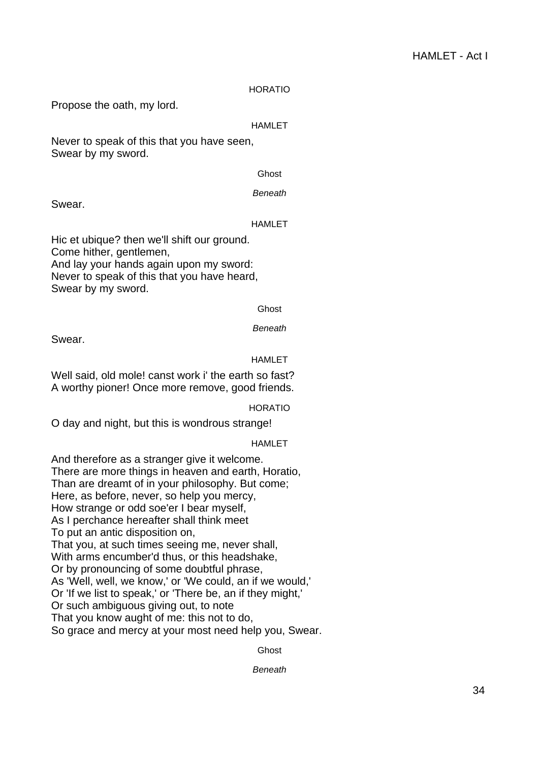## HORATIO

Propose the oath, my lord.

## HAMLET

Never to speak of this that you have seen, Swear by my sword.

#### Ghost

**Beneath** 

Swear.

#### HAMLET

Hic et ubique? then we'll shift our ground. Come hither, gentlemen, And lay your hands again upon my sword: Never to speak of this that you have heard, Swear by my sword.

#### Ghost

Beneath

Swear.

#### HAMI FT

Well said, old mole! canst work i' the earth so fast? A worthy pioner! Once more remove, good friends.

#### HORATIO

O day and night, but this is wondrous strange!

## HAMLET

And therefore as a stranger give it welcome. There are more things in heaven and earth, Horatio, Than are dreamt of in your philosophy. But come; Here, as before, never, so help you mercy, How strange or odd soe'er I bear myself, As I perchance hereafter shall think meet To put an antic disposition on, That you, at such times seeing me, never shall, With arms encumber'd thus, or this headshake, Or by pronouncing of some doubtful phrase, As 'Well, well, we know,' or 'We could, an if we would,' Or 'If we list to speak,' or 'There be, an if they might,' Or such ambiguous giving out, to note That you know aught of me: this not to do, So grace and mercy at your most need help you, Swear.

Ghost

**Beneath**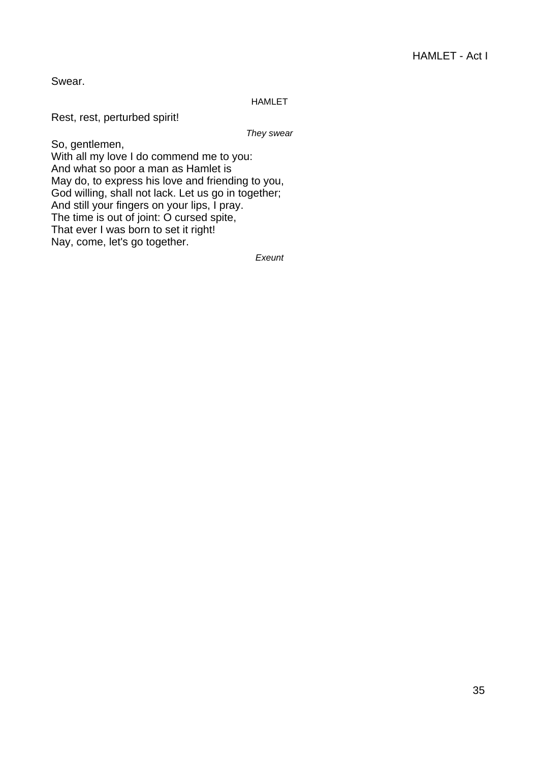Swear.

## HAMLET

Rest, rest, perturbed spirit!

They swear

So, gentlemen, With all my love I do commend me to you: And what so poor a man as Hamlet is May do, to express his love and friending to you, God willing, shall not lack. Let us go in together; And still your fingers on your lips, I pray. The time is out of joint: O cursed spite, That ever I was born to set it right! Nay, come, let's go together.

Exeunt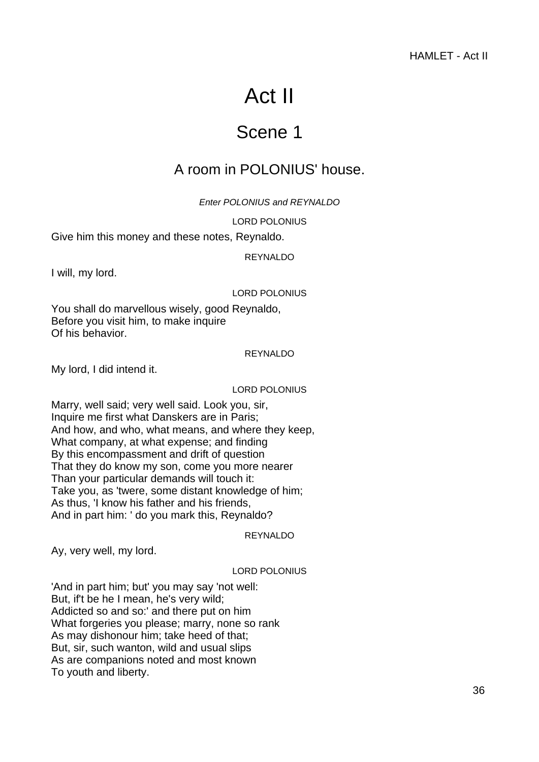# Act II

# Scene 1

## <span id="page-35-0"></span>A room in POLONIUS' house.

Enter POLONIUS and REYNALDO

LORD POLONIUS

<span id="page-35-1"></span>Give him this money and these notes, Reynaldo.

REYNALDO

I will, my lord.

## LORD POLONIUS

You shall do marvellous wisely, good Reynaldo, Before you visit him, to make inquire Of his behavior.

#### REYNALDO

My lord, I did intend it.

#### LORD POLONIUS

Marry, well said; very well said. Look you, sir, Inquire me first what Danskers are in Paris; And how, and who, what means, and where they keep, What company, at what expense; and finding By this encompassment and drift of question That they do know my son, come you more nearer Than your particular demands will touch it: Take you, as 'twere, some distant knowledge of him; As thus, 'I know his father and his friends, And in part him: ' do you mark this, Reynaldo?

## REYNALDO

Ay, very well, my lord.

## LORD POLONIUS

'And in part him; but' you may say 'not well: But, if't be he I mean, he's very wild; Addicted so and so:' and there put on him What forgeries you please; marry, none so rank As may dishonour him; take heed of that; But, sir, such wanton, wild and usual slips As are companions noted and most known To youth and liberty.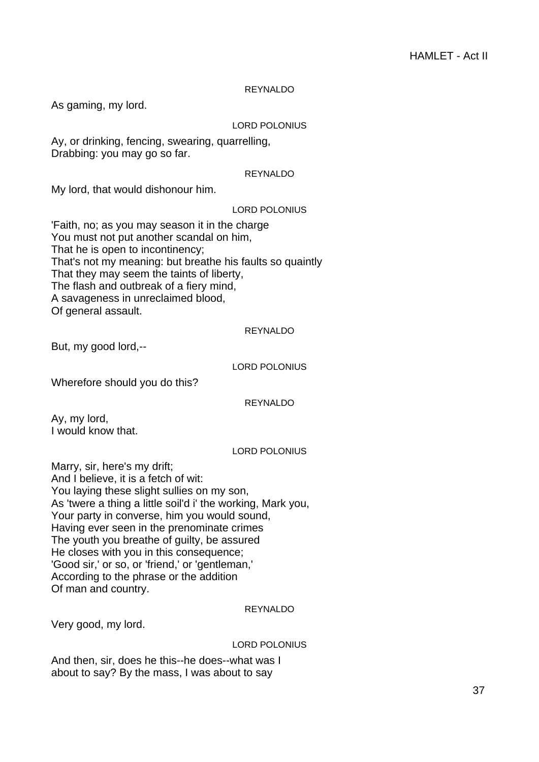## REYNALDO

As gaming, my lord.

## LORD POLONIUS

Ay, or drinking, fencing, swearing, quarrelling, Drabbing: you may go so far.

#### REYNALDO

My lord, that would dishonour him.

## LORD POLONIUS

'Faith, no; as you may season it in the charge You must not put another scandal on him, That he is open to incontinency; That's not my meaning: but breathe his faults so quaintly That they may seem the taints of liberty, The flash and outbreak of a fiery mind, A savageness in unreclaimed blood, Of general assault.

## REYNALDO

But, my good lord,--

## LORD POLONIUS

Wherefore should you do this?

## REYNALDO

Ay, my lord, I would know that.

## LORD POLONIUS

Marry, sir, here's my drift; And I believe, it is a fetch of wit: You laying these slight sullies on my son, As 'twere a thing a little soil'd i' the working, Mark you, Your party in converse, him you would sound, Having ever seen in the prenominate crimes The youth you breathe of guilty, be assured He closes with you in this consequence; 'Good sir,' or so, or 'friend,' or 'gentleman,' According to the phrase or the addition Of man and country.

## REYNALDO

Very good, my lord.

## LORD POLONIUS

And then, sir, does he this--he does--what was I about to say? By the mass, I was about to say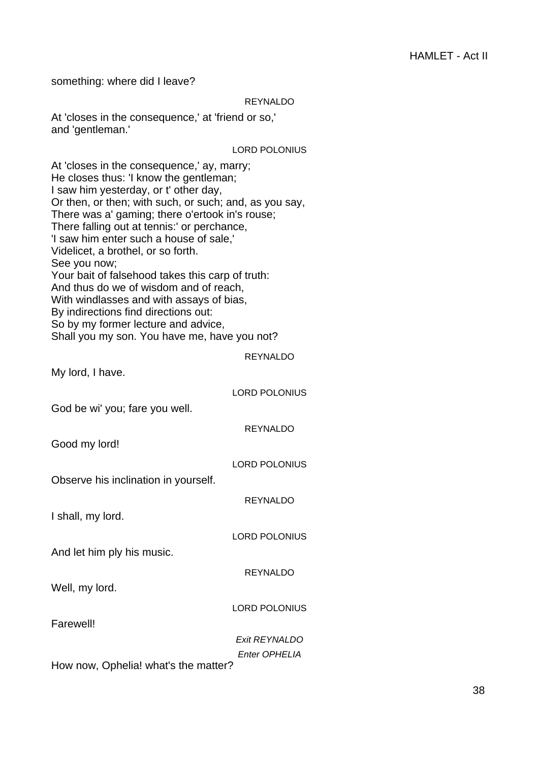something: where did I leave?

## REYNALDO

At 'closes in the consequence,' at 'friend or so,' and 'gentleman.'

#### LORD POLONIUS

At 'closes in the consequence,' ay, marry; He closes thus: 'I know the gentleman; I saw him yesterday, or t' other day, Or then, or then; with such, or such; and, as you say, There was a' gaming; there o'ertook in's rouse; There falling out at tennis:' or perchance, 'I saw him enter such a house of sale,' Videlicet, a brothel, or so forth. See you now; Your bait of falsehood takes this carp of truth: And thus do we of wisdom and of reach, With windlasses and with assays of bias, By indirections find directions out: So by my former lecture and advice, Shall you my son. You have me, have you not? REYNALDO My lord, I have. LORD POLONIUS God be wi' you; fare you well. REYNALDO Good my lord! LORD POLONIUS Observe his inclination in yourself. REYNALDO I shall, my lord. LORD POLONIUS And let him ply his music. REYNALDO Well, my lord. LORD POLONIUS Farewell! Exit REYNALDO Enter OPHELIA How now, Ophelia! what's the matter?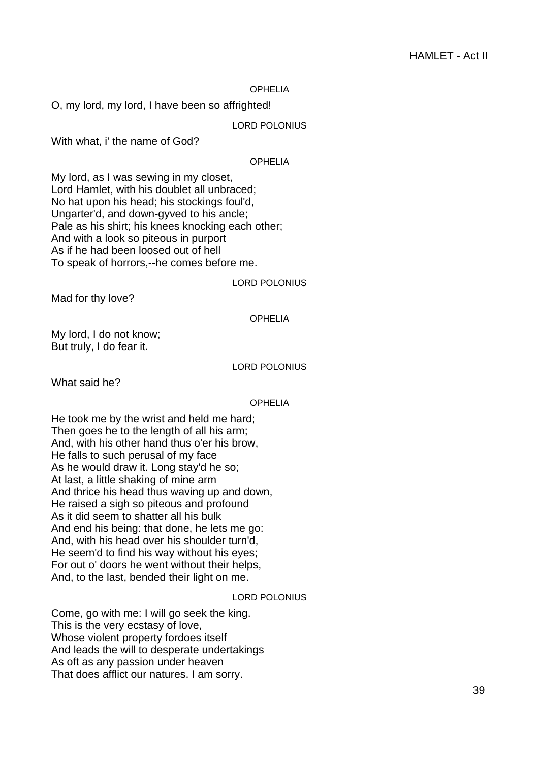#### OPHELIA

O, my lord, my lord, I have been so affrighted!

LORD POLONIUS

With what, i' the name of God?

## **OPHELIA**

My lord, as I was sewing in my closet, Lord Hamlet, with his doublet all unbraced; No hat upon his head; his stockings foul'd, Ungarter'd, and down-gyved to his ancle; Pale as his shirt; his knees knocking each other; And with a look so piteous in purport As if he had been loosed out of hell To speak of horrors,--he comes before me.

#### LORD POLONIUS

Mad for thy love?

## OPHELIA

My lord, I do not know; But truly, I do fear it.

#### LORD POLONIUS

What said he?

#### OPHELIA

He took me by the wrist and held me hard; Then goes he to the length of all his arm; And, with his other hand thus o'er his brow, He falls to such perusal of my face As he would draw it. Long stay'd he so; At last, a little shaking of mine arm And thrice his head thus waving up and down, He raised a sigh so piteous and profound As it did seem to shatter all his bulk And end his being: that done, he lets me go: And, with his head over his shoulder turn'd, He seem'd to find his way without his eyes; For out o' doors he went without their helps, And, to the last, bended their light on me.

## LORD POLONIUS

Come, go with me: I will go seek the king. This is the very ecstasy of love, Whose violent property fordoes itself And leads the will to desperate undertakings As oft as any passion under heaven That does afflict our natures. I am sorry.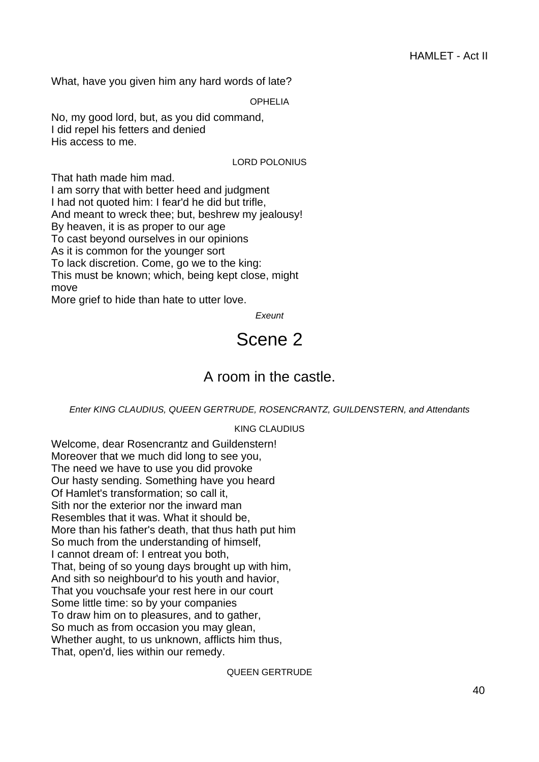What, have you given him any hard words of late?

OPHELIA

No, my good lord, but, as you did command, I did repel his fetters and denied His access to me.

## LORD POLONIUS

That hath made him mad. I am sorry that with better heed and judgment I had not quoted him: I fear'd he did but trifle, And meant to wreck thee; but, beshrew my jealousy! By heaven, it is as proper to our age To cast beyond ourselves in our opinions As it is common for the younger sort To lack discretion. Come, go we to the king: This must be known; which, being kept close, might move

More grief to hide than hate to utter love.

**Exeunt** 

## Scene 2

## A room in the castle.

## Enter KING CLAUDIUS, QUEEN GERTRUDE, ROSENCRANTZ, GUILDENSTERN, and Attendants

## KING CLAUDIUS

Welcome, dear Rosencrantz and Guildenstern! Moreover that we much did long to see you, The need we have to use you did provoke Our hasty sending. Something have you heard Of Hamlet's transformation; so call it, Sith nor the exterior nor the inward man Resembles that it was. What it should be, More than his father's death, that thus hath put him So much from the understanding of himself, I cannot dream of: I entreat you both, That, being of so young days brought up with him, And sith so neighbour'd to his youth and havior, That you vouchsafe your rest here in our court Some little time: so by your companies To draw him on to pleasures, and to gather, So much as from occasion you may glean, Whether aught, to us unknown, afflicts him thus, That, open'd, lies within our remedy.

## QUEEN GERTRUDE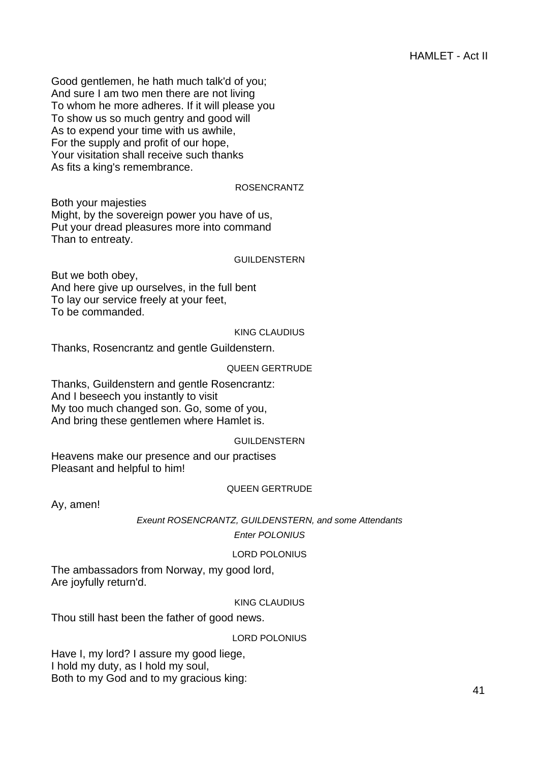Good gentlemen, he hath much talk'd of you; And sure I am two men there are not living To whom he more adheres. If it will please you To show us so much gentry and good will As to expend your time with us awhile, For the supply and profit of our hope, Your visitation shall receive such thanks As fits a king's remembrance.

## ROSENCRANTZ

Both your majesties Might, by the sovereign power you have of us, Put your dread pleasures more into command Than to entreaty.

#### GUILDENSTERN

But we both obey, And here give up ourselves, in the full bent To lay our service freely at your feet, To be commanded.

### KING CLAUDIUS

Thanks, Rosencrantz and gentle Guildenstern.

## QUEEN GERTRUDE

Thanks, Guildenstern and gentle Rosencrantz: And I beseech you instantly to visit My too much changed son. Go, some of you, And bring these gentlemen where Hamlet is.

## GUILDENSTERN

Heavens make our presence and our practises Pleasant and helpful to him!

#### QUEEN GERTRUDE

Ay, amen!

Exeunt ROSENCRANTZ, GUILDENSTERN, and some Attendants

Enter POLONIUS

## LORD POLONIUS

The ambassadors from Norway, my good lord, Are joyfully return'd.

## KING CLAUDIUS

Thou still hast been the father of good news.

## LORD POLONIUS

Have I, my lord? I assure my good liege, I hold my duty, as I hold my soul, Both to my God and to my gracious king: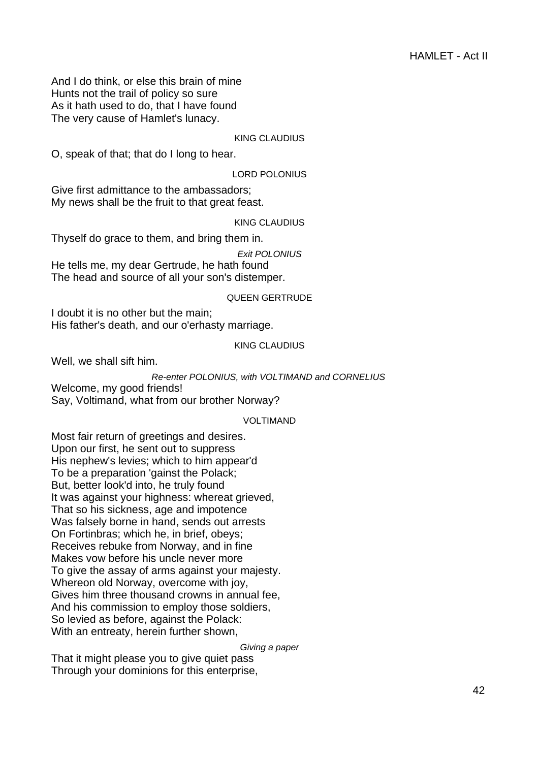And I do think, or else this brain of mine Hunts not the trail of policy so sure As it hath used to do, that I have found The very cause of Hamlet's lunacy.

## KING CLAUDIUS

O, speak of that; that do I long to hear.

LORD POLONIUS

Give first admittance to the ambassadors; My news shall be the fruit to that great feast.

KING CLAUDIUS

Thyself do grace to them, and bring them in.

Exit POLONIUS

He tells me, my dear Gertrude, he hath found The head and source of all your son's distemper.

#### QUEEN GERTRUDE

I doubt it is no other but the main; His father's death, and our o'erhasty marriage.

## KING CLAUDIUS

Well, we shall sift him.

#### Re-enter POLONIUS, with VOLTIMAND and CORNELIUS

Welcome, my good friends! Say, Voltimand, what from our brother Norway?

#### VOLTIMAND

Most fair return of greetings and desires. Upon our first, he sent out to suppress His nephew's levies; which to him appear'd To be a preparation 'gainst the Polack; But, better look'd into, he truly found It was against your highness: whereat grieved, That so his sickness, age and impotence Was falsely borne in hand, sends out arrests On Fortinbras; which he, in brief, obeys; Receives rebuke from Norway, and in fine Makes vow before his uncle never more To give the assay of arms against your majesty. Whereon old Norway, overcome with joy, Gives him three thousand crowns in annual fee, And his commission to employ those soldiers, So levied as before, against the Polack: With an entreaty, herein further shown,

Giving a paper

That it might please you to give quiet pass Through your dominions for this enterprise,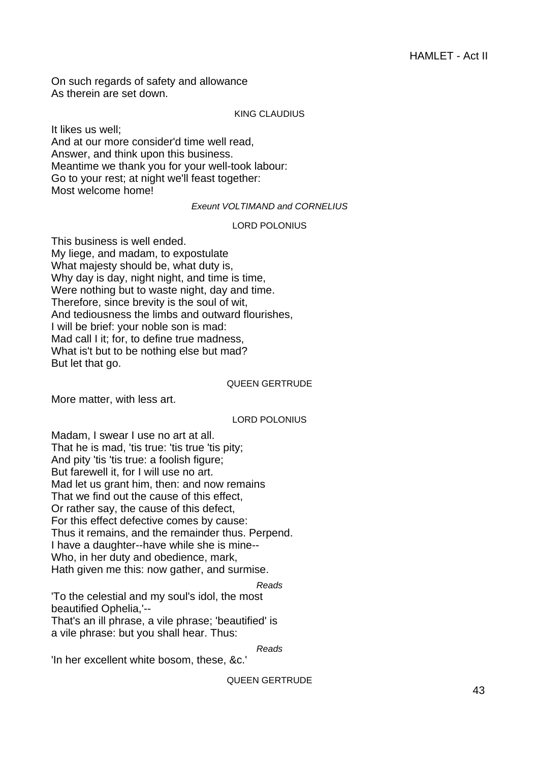On such regards of safety and allowance As therein are set down.

## KING CLAUDIUS

It likes us well; And at our more consider'd time well read, Answer, and think upon this business. Meantime we thank you for your well-took labour: Go to your rest; at night we'll feast together: Most welcome home!

Exeunt VOLTIMAND and CORNELIUS

#### LORD POLONIUS

This business is well ended. My liege, and madam, to expostulate What majesty should be, what duty is, Why day is day, night night, and time is time, Were nothing but to waste night, day and time. Therefore, since brevity is the soul of wit, And tediousness the limbs and outward flourishes, I will be brief: your noble son is mad: Mad call I it; for, to define true madness, What is't but to be nothing else but mad? But let that go.

#### QUEEN GERTRUDE

More matter, with less art.

## LORD POLONIUS

Madam, I swear I use no art at all. That he is mad, 'tis true: 'tis true 'tis pity; And pity 'tis 'tis true: a foolish figure; But farewell it, for I will use no art. Mad let us grant him, then: and now remains That we find out the cause of this effect, Or rather say, the cause of this defect, For this effect defective comes by cause: Thus it remains, and the remainder thus. Perpend. I have a daughter--have while she is mine-- Who, in her duty and obedience, mark, Hath given me this: now gather, and surmise.

Reads 'To the celestial and my soul's idol, the most beautified Ophelia,'--

That's an ill phrase, a vile phrase; 'beautified' is a vile phrase: but you shall hear. Thus:

Reads

'In her excellent white bosom, these, &c.'

QUEEN GERTRUDE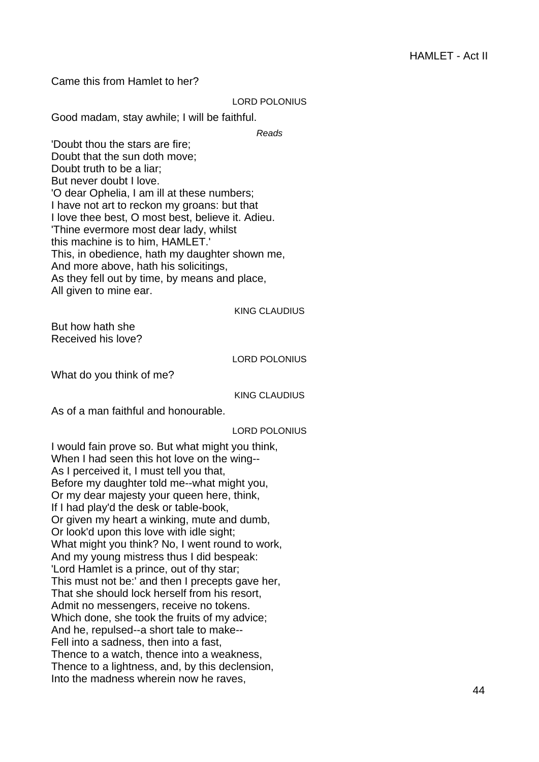Came this from Hamlet to her?

#### LORD POLONIUS

Good madam, stay awhile; I will be faithful.

Reads

'Doubt thou the stars are fire; Doubt that the sun doth move; Doubt truth to be a liar; But never doubt I love. 'O dear Ophelia, I am ill at these numbers; I have not art to reckon my groans: but that I love thee best, O most best, believe it. Adieu. 'Thine evermore most dear lady, whilst this machine is to him, HAMLET.' This, in obedience, hath my daughter shown me, And more above, hath his solicitings, As they fell out by time, by means and place, All given to mine ear.

## KING CLAUDIUS

But how hath she Received his love?

## LORD POLONIUS

What do you think of me?

KING CLAUDIUS

As of a man faithful and honourable.

## LORD POLONIUS

I would fain prove so. But what might you think, When I had seen this hot love on the wing-- As I perceived it, I must tell you that, Before my daughter told me--what might you, Or my dear majesty your queen here, think, If I had play'd the desk or table-book, Or given my heart a winking, mute and dumb, Or look'd upon this love with idle sight; What might you think? No, I went round to work, And my young mistress thus I did bespeak: 'Lord Hamlet is a prince, out of thy star; This must not be:' and then I precepts gave her, That she should lock herself from his resort, Admit no messengers, receive no tokens. Which done, she took the fruits of my advice; And he, repulsed--a short tale to make-- Fell into a sadness, then into a fast, Thence to a watch, thence into a weakness, Thence to a lightness, and, by this declension, Into the madness wherein now he raves,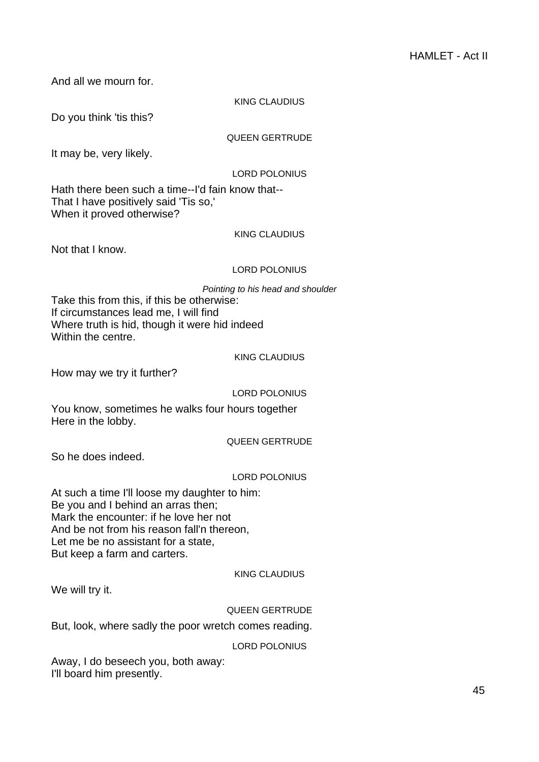And all we mourn for.

## KING CLAUDIUS

Do you think 'tis this?

## QUEEN GERTRUDE

It may be, very likely.

## LORD POLONIUS

Hath there been such a time--I'd fain know that-- That I have positively said 'Tis so,' When it proved otherwise?

## KING CLAUDIUS

Not that I know.

## LORD POLONIUS

Pointing to his head and shoulder

Take this from this, if this be otherwise: If circumstances lead me, I will find Where truth is hid, though it were hid indeed Within the centre.

## KING CLAUDIUS

How may we try it further?

LORD POLONIUS

You know, sometimes he walks four hours together Here in the lobby.

## QUEEN GERTRUDE

So he does indeed.

## LORD POLONIUS

At such a time I'll loose my daughter to him: Be you and I behind an arras then; Mark the encounter: if he love her not And be not from his reason fall'n thereon, Let me be no assistant for a state, But keep a farm and carters.

## KING CLAUDIUS

We will try it.

## QUEEN GERTRUDE

But, look, where sadly the poor wretch comes reading.

## LORD POLONIUS

Away, I do beseech you, both away: I'll board him presently.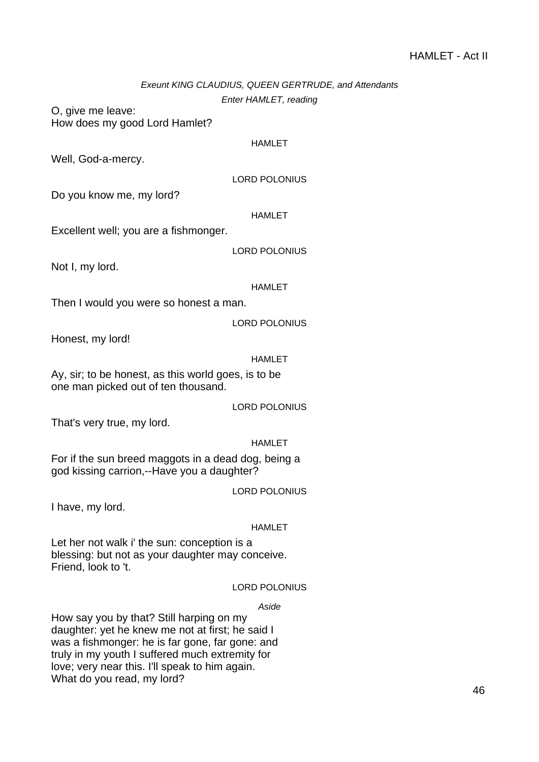## Exeunt KING CLAUDIUS, QUEEN GERTRUDE, and Attendants Enter HAMLET, reading

O, give me leave: How does my good Lord Hamlet?

## HAMLET

Well, God-a-mercy.

LORD POLONIUS

Do you know me, my lord?

HAMLET

Excellent well; you are a fishmonger.

LORD POLONIUS

Not I, my lord.

HAMLET

Then I would you were so honest a man.

LORD POLONIUS

Honest, my lord!

## HAMI FT

Ay, sir; to be honest, as this world goes, is to be one man picked out of ten thousand.

LORD POLONIUS

That's very true, my lord.

## HAMLET

For if the sun breed maggots in a dead dog, being a god kissing carrion,--Have you a daughter?

LORD POLONIUS

I have, my lord.

## HAMLET

Let her not walk i' the sun: conception is a blessing: but not as your daughter may conceive. Friend, look to 't.

## LORD POLONIUS

## Aside

How say you by that? Still harping on my daughter: yet he knew me not at first; he said I was a fishmonger: he is far gone, far gone: and truly in my youth I suffered much extremity for love; very near this. I'll speak to him again. What do you read, my lord?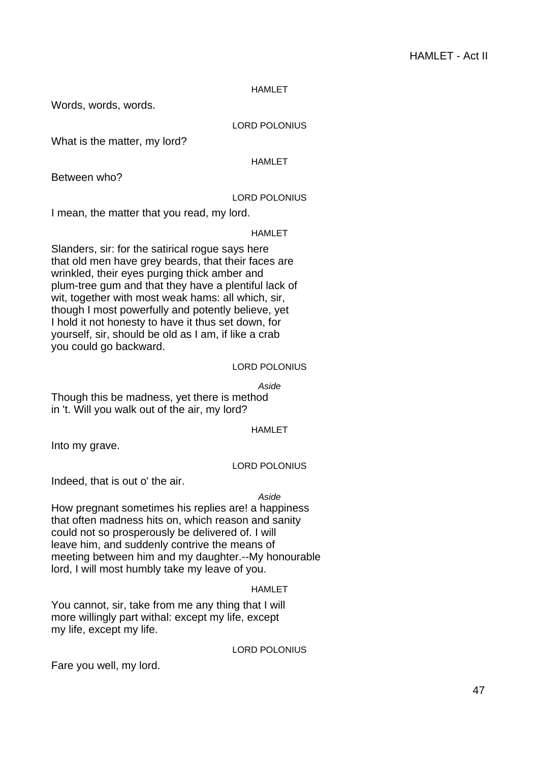Words, words, words.

## LORD POLONIUS

What is the matter, my lord?

## HAMLET

Between who?

## LORD POLONIUS

I mean, the matter that you read, my lord.

#### HAMLET

Slanders, sir: for the satirical rogue says here that old men have grey beards, that their faces are wrinkled, their eyes purging thick amber and plum-tree gum and that they have a plentiful lack of wit, together with most weak hams: all which, sir, though I most powerfully and potently believe, yet I hold it not honesty to have it thus set down, for yourself, sir, should be old as I am, if like a crab you could go backward.

## LORD POLONIUS

Aside

Though this be madness, yet there is method in 't. Will you walk out of the air, my lord?

## HAMLET

Into my grave.

## LORD POLONIUS

Indeed, that is out o' the air.

## Aside

How pregnant sometimes his replies are! a happiness that often madness hits on, which reason and sanity could not so prosperously be delivered of. I will leave him, and suddenly contrive the means of meeting between him and my daughter.--My honourable lord, I will most humbly take my leave of you.

## **HAMI FT**

You cannot, sir, take from me any thing that I will more willingly part withal: except my life, except my life, except my life.

LORD POLONIUS

Fare you well, my lord.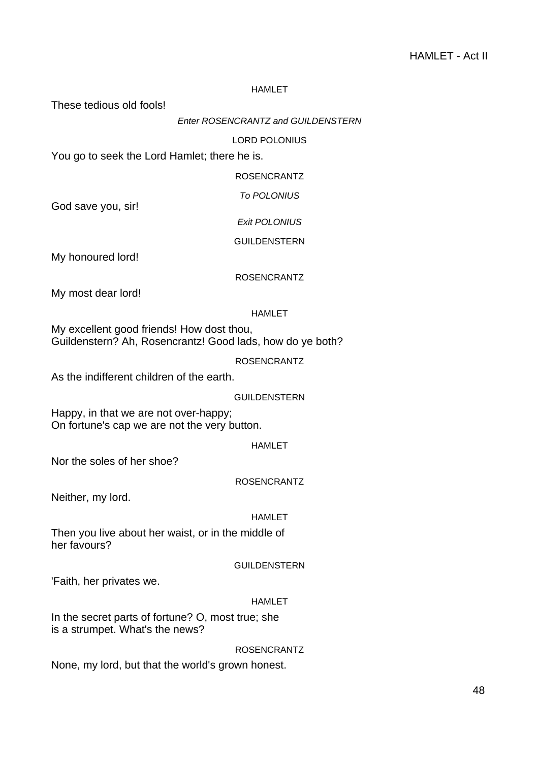These tedious old fools!

## Enter ROSENCRANTZ and GUILDENSTERN

## LORD POLONIUS

You go to seek the Lord Hamlet; there he is.

ROSENCRANTZ

To POLONIUS

God save you, sir!

Exit POLONIUS

GUILDENSTERN

My honoured lord!

ROSENCRANTZ

My most dear lord!

#### HAMLET

My excellent good friends! How dost thou, Guildenstern? Ah, Rosencrantz! Good lads, how do ye both?

ROSENCRANTZ

As the indifferent children of the earth.

GUILDENSTERN

Happy, in that we are not over-happy; On fortune's cap we are not the very button.

HAMLET

Nor the soles of her shoe?

ROSENCRANTZ

Neither, my lord.

#### HAMLET

Then you live about her waist, or in the middle of her favours?

#### GUILDENSTERN

'Faith, her privates we.

## HAMLET

In the secret parts of fortune? O, most true; she is a strumpet. What's the news?

## ROSENCRANTZ

None, my lord, but that the world's grown honest.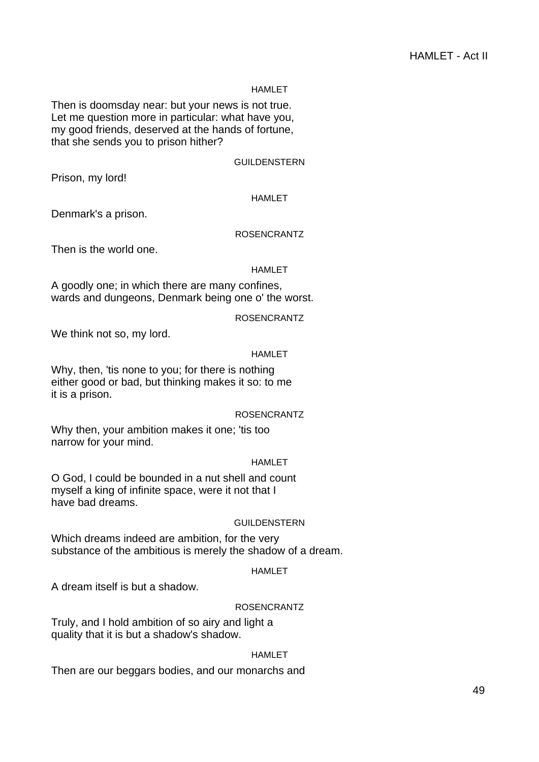Then is doomsday near: but your news is not true. Let me question more in particular: what have you, my good friends, deserved at the hands of fortune, that she sends you to prison hither?

GUILDENSTERN

Prison, my lord!

#### HAMLET

Denmark's a prison.

#### ROSENCRANTZ

Then is the world one.

#### HAMLET

A goodly one; in which there are many confines, wards and dungeons, Denmark being one o' the worst.

## ROSENCRANTZ

We think not so, my lord.

#### HAMLET

Why, then, 'tis none to you; for there is nothing either good or bad, but thinking makes it so: to me it is a prison.

ROSENCRANTZ

Why then, your ambition makes it one; 'tis too narrow for your mind.

## HAMLET

O God, I could be bounded in a nut shell and count myself a king of infinite space, were it not that I have bad dreams.

## GUILDENSTERN

Which dreams indeed are ambition, for the very substance of the ambitious is merely the shadow of a dream.

## HAMLET

A dream itself is but a shadow.

## ROSENCRANTZ

Truly, and I hold ambition of so airy and light a quality that it is but a shadow's shadow.

## HAMLET

Then are our beggars bodies, and our monarchs and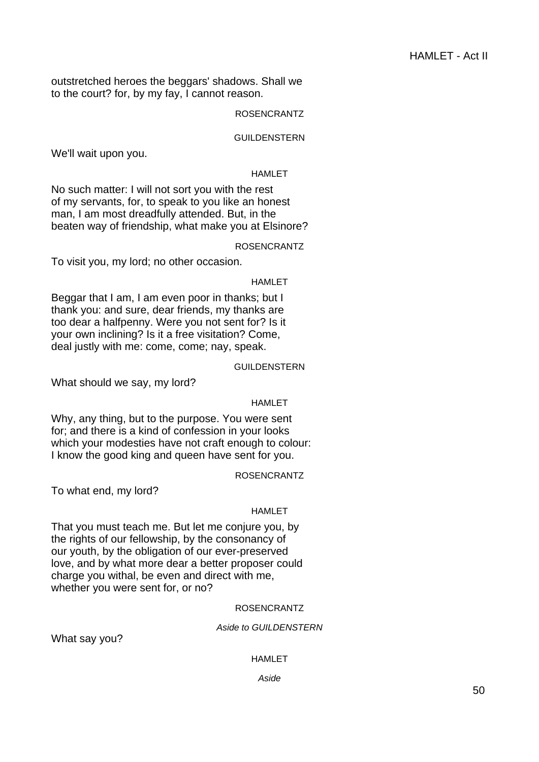outstretched heroes the beggars' shadows. Shall we to the court? for, by my fay, I cannot reason.

## ROSENCRANTZ

#### GUILDENSTERN

We'll wait upon you.

#### HAMLET

No such matter: I will not sort you with the rest of my servants, for, to speak to you like an honest man, I am most dreadfully attended. But, in the beaten way of friendship, what make you at Elsinore?

#### ROSENCRANTZ

To visit you, my lord; no other occasion.

#### HAMLET

Beggar that I am, I am even poor in thanks; but I thank you: and sure, dear friends, my thanks are too dear a halfpenny. Were you not sent for? Is it your own inclining? Is it a free visitation? Come, deal justly with me: come, come; nay, speak.

## GUILDENSTERN

What should we say, my lord?

#### HAMLET

Why, any thing, but to the purpose. You were sent for; and there is a kind of confession in your looks which your modesties have not craft enough to colour: I know the good king and queen have sent for you.

#### ROSENCRANTZ

To what end, my lord?

## HAMLET

That you must teach me. But let me conjure you, by the rights of our fellowship, by the consonancy of our youth, by the obligation of our ever-preserved love, and by what more dear a better proposer could charge you withal, be even and direct with me, whether you were sent for, or no?

#### ROSENCRANTZ

#### Aside to GUILDENSTERN

What say you?

#### HAMLET

Aside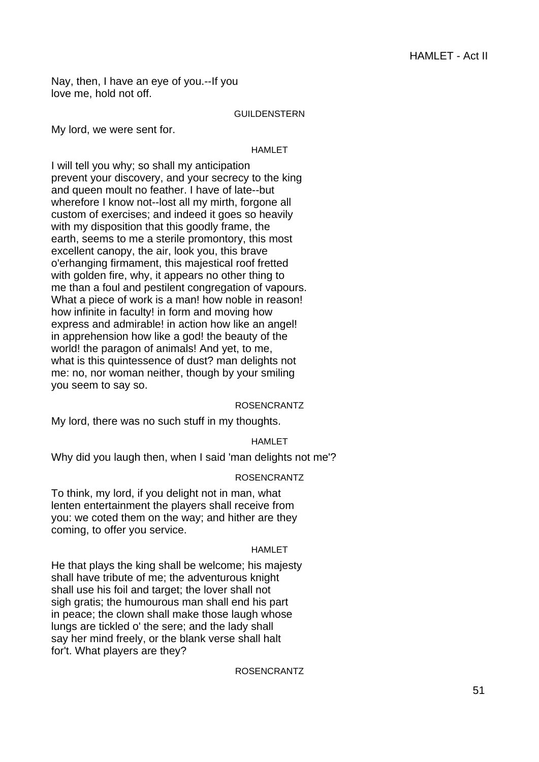Nay, then, I have an eye of you.--If you love me, hold not off.

#### GUILDENSTERN

My lord, we were sent for.

#### HAMLET

I will tell you why; so shall my anticipation prevent your discovery, and your secrecy to the king and queen moult no feather. I have of late--but wherefore I know not--lost all my mirth, forgone all custom of exercises; and indeed it goes so heavily with my disposition that this goodly frame, the earth, seems to me a sterile promontory, this most excellent canopy, the air, look you, this brave o'erhanging firmament, this majestical roof fretted with golden fire, why, it appears no other thing to me than a foul and pestilent congregation of vapours. What a piece of work is a man! how noble in reason! how infinite in faculty! in form and moving how express and admirable! in action how like an angel! in apprehension how like a god! the beauty of the world! the paragon of animals! And yet, to me, what is this quintessence of dust? man delights not me: no, nor woman neither, though by your smiling you seem to say so.

## ROSENCRANTZ

My lord, there was no such stuff in my thoughts.

## HAMLET

Why did you laugh then, when I said 'man delights not me'?

## ROSENCRANTZ

To think, my lord, if you delight not in man, what lenten entertainment the players shall receive from you: we coted them on the way; and hither are they coming, to offer you service.

## HAMLET

He that plays the king shall be welcome; his majesty shall have tribute of me; the adventurous knight shall use his foil and target; the lover shall not sigh gratis; the humourous man shall end his part in peace; the clown shall make those laugh whose lungs are tickled o' the sere; and the lady shall say her mind freely, or the blank verse shall halt for't. What players are they?

## ROSENCRANTZ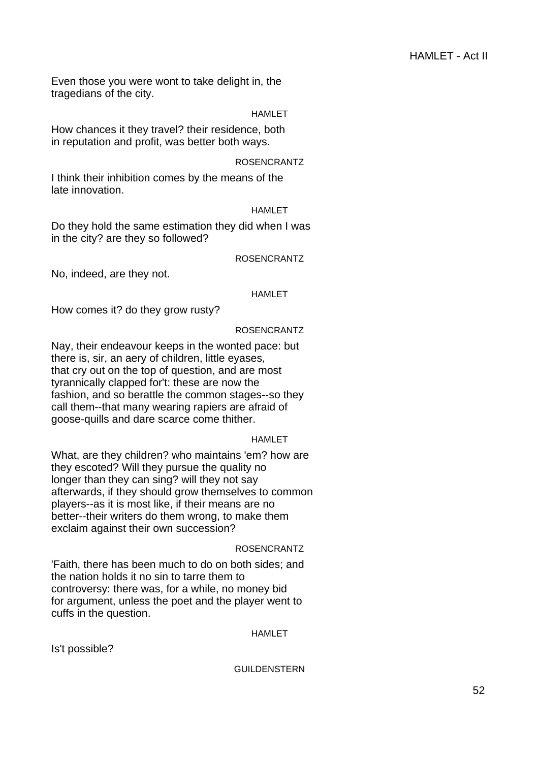Even those you were wont to take delight in, the tragedians of the city.

## HAMLET

How chances it they travel? their residence, both in reputation and profit, was better both ways.

## ROSENCRANTZ

I think their inhibition comes by the means of the late innovation.

#### **HAMLET**

Do they hold the same estimation they did when I was in the city? are they so followed?

ROSENCRANTZ

No, indeed, are they not.

## HAMLET

How comes it? do they grow rusty?

#### ROSENCRANTZ

Nay, their endeavour keeps in the wonted pace: but there is, sir, an aery of children, little eyases, that cry out on the top of question, and are most tyrannically clapped for't: these are now the fashion, and so berattle the common stages--so they call them--that many wearing rapiers are afraid of goose-quills and dare scarce come thither.

#### HAMLET

What, are they children? who maintains 'em? how are they escoted? Will they pursue the quality no longer than they can sing? will they not say afterwards, if they should grow themselves to common players--as it is most like, if their means are no better--their writers do them wrong, to make them exclaim against their own succession?

## ROSENCRANTZ

'Faith, there has been much to do on both sides; and the nation holds it no sin to tarre them to controversy: there was, for a while, no money bid for argument, unless the poet and the player went to cuffs in the question.

HAMLET

Is't possible?

GUILDENSTERN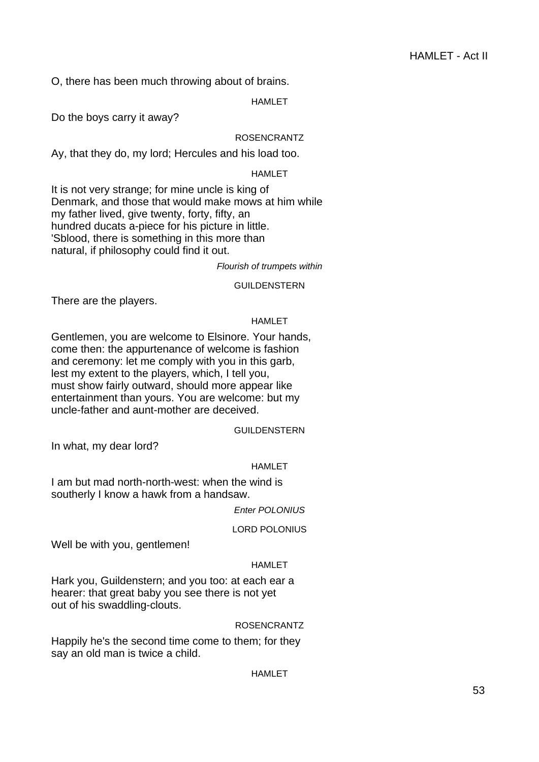O, there has been much throwing about of brains.

HAMLET

Do the boys carry it away?

## ROSENCRANTZ

Ay, that they do, my lord; Hercules and his load too.

## HAMLET

It is not very strange; for mine uncle is king of Denmark, and those that would make mows at him while my father lived, give twenty, forty, fifty, an hundred ducats a-piece for his picture in little. 'Sblood, there is something in this more than natural, if philosophy could find it out.

Flourish of trumpets within

GUILDENSTERN

There are the players.

## HAMLET

Gentlemen, you are welcome to Elsinore. Your hands, come then: the appurtenance of welcome is fashion and ceremony: let me comply with you in this garb, lest my extent to the players, which, I tell you, must show fairly outward, should more appear like entertainment than yours. You are welcome: but my uncle-father and aunt-mother are deceived.

GUILDENSTERN

In what, my dear lord?

## HAMLET

I am but mad north-north-west: when the wind is southerly I know a hawk from a handsaw.

Enter POLONIUS

LORD POLONIUS

Well be with you, gentlemen!

## HAMLET

Hark you, Guildenstern; and you too: at each ear a hearer: that great baby you see there is not yet out of his swaddling-clouts.

## ROSENCRANTZ

Happily he's the second time come to them; for they say an old man is twice a child.

## HAMLET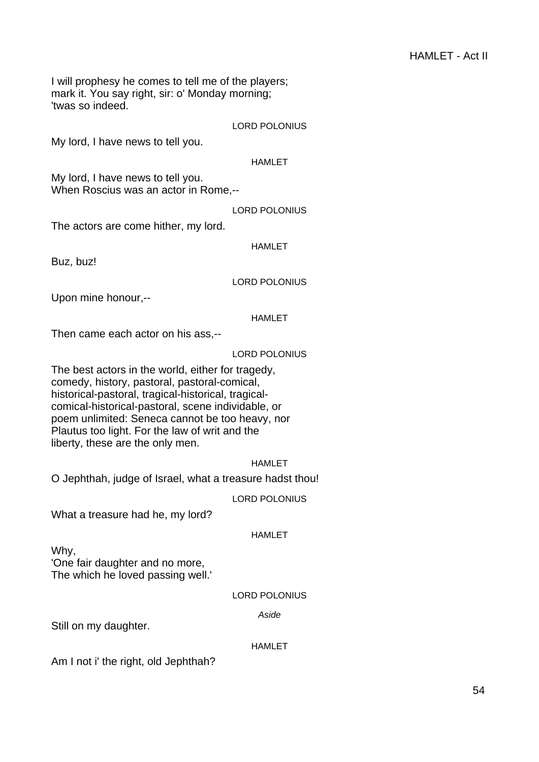I will prophesy he comes to tell me of the players; mark it. You say right, sir: o' Monday morning; 'twas so indeed.

LORD POLONIUS

My lord, I have news to tell you.

HAMLET

My lord, I have news to tell you. When Roscius was an actor in Rome,--

LORD POLONIUS

The actors are come hither, my lord.

HAMLET

Buz, buz!

LORD POLONIUS

Upon mine honour,--

HAMLET

Then came each actor on his ass,--

LORD POLONIUS

The best actors in the world, either for tragedy, comedy, history, pastoral, pastoral-comical, historical-pastoral, tragical-historical, tragicalcomical-historical-pastoral, scene individable, or poem unlimited: Seneca cannot be too heavy, nor Plautus too light. For the law of writ and the liberty, these are the only men.

## HAMLET

O Jephthah, judge of Israel, what a treasure hadst thou!

## LORD POLONIUS

What a treasure had he, my lord?

## HAMLET

Why,

'One fair daughter and no more, The which he loved passing well.'

## LORD POLONIUS

Aside

Still on my daughter.

## HAMLET

Am I not i' the right, old Jephthah?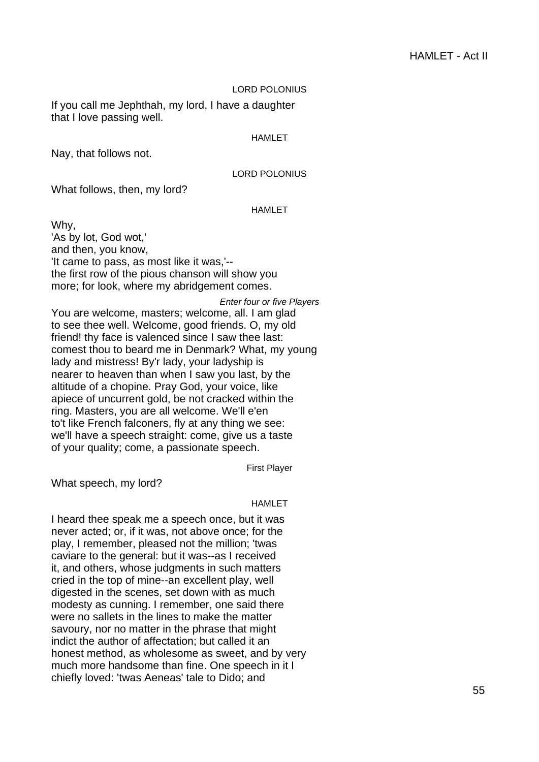#### LORD POLONIUS

If you call me Jephthah, my lord, I have a daughter that I love passing well.

#### HAMLET

Nay, that follows not.

## LORD POLONIUS

What follows, then, my lord?

## HAMLET

Why, 'As by lot, God wot,' and then, you know, 'It came to pass, as most like it was,'- the first row of the pious chanson will show you more; for look, where my abridgement comes.

Enter four or five Players You are welcome, masters; welcome, all. I am glad to see thee well. Welcome, good friends. O, my old friend! thy face is valenced since I saw thee last: comest thou to beard me in Denmark? What, my young lady and mistress! By'r lady, your ladyship is nearer to heaven than when I saw you last, by the altitude of a chopine. Pray God, your voice, like apiece of uncurrent gold, be not cracked within the ring. Masters, you are all welcome. We'll e'en to't like French falconers, fly at any thing we see: we'll have a speech straight: come, give us a taste of your quality; come, a passionate speech.

First Player

What speech, my lord?

#### HAMLET

I heard thee speak me a speech once, but it was never acted; or, if it was, not above once; for the play, I remember, pleased not the million; 'twas caviare to the general: but it was--as I received it, and others, whose judgments in such matters cried in the top of mine--an excellent play, well digested in the scenes, set down with as much modesty as cunning. I remember, one said there were no sallets in the lines to make the matter savoury, nor no matter in the phrase that might indict the author of affectation; but called it an honest method, as wholesome as sweet, and by very much more handsome than fine. One speech in it I chiefly loved: 'twas Aeneas' tale to Dido; and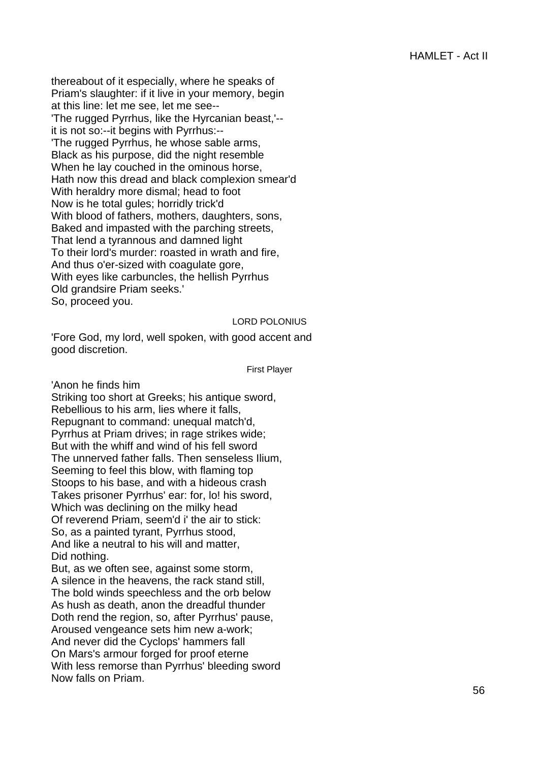thereabout of it especially, where he speaks of Priam's slaughter: if it live in your memory, begin at this line: let me see, let me see-- 'The rugged Pyrrhus, like the Hyrcanian beast,'- it is not so:--it begins with Pyrrhus:-- 'The rugged Pyrrhus, he whose sable arms, Black as his purpose, did the night resemble When he lay couched in the ominous horse, Hath now this dread and black complexion smear'd With heraldry more dismal; head to foot Now is he total gules; horridly trick'd With blood of fathers, mothers, daughters, sons, Baked and impasted with the parching streets, That lend a tyrannous and damned light To their lord's murder: roasted in wrath and fire, And thus o'er-sized with coagulate gore, With eyes like carbuncles, the hellish Pyrrhus Old grandsire Priam seeks.' So, proceed you.

## LORD POLONIUS

'Fore God, my lord, well spoken, with good accent and good discretion.

First Player

'Anon he finds him

Striking too short at Greeks; his antique sword, Rebellious to his arm, lies where it falls, Repugnant to command: unequal match'd, Pyrrhus at Priam drives; in rage strikes wide; But with the whiff and wind of his fell sword The unnerved father falls. Then senseless Ilium, Seeming to feel this blow, with flaming top Stoops to his base, and with a hideous crash Takes prisoner Pyrrhus' ear: for, lo! his sword, Which was declining on the milky head Of reverend Priam, seem'd i' the air to stick: So, as a painted tyrant, Pyrrhus stood, And like a neutral to his will and matter, Did nothing.

But, as we often see, against some storm, A silence in the heavens, the rack stand still, The bold winds speechless and the orb below As hush as death, anon the dreadful thunder Doth rend the region, so, after Pyrrhus' pause, Aroused vengeance sets him new a-work; And never did the Cyclops' hammers fall On Mars's armour forged for proof eterne With less remorse than Pyrrhus' bleeding sword Now falls on Priam.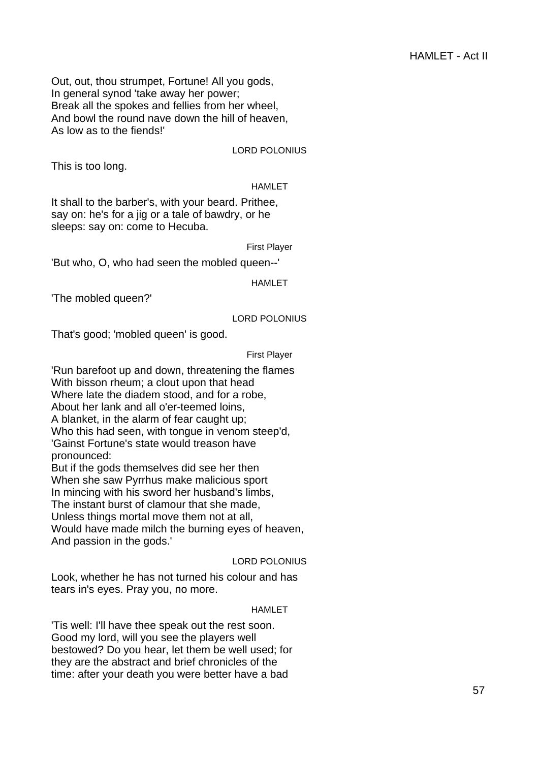Out, out, thou strumpet, Fortune! All you gods, In general synod 'take away her power; Break all the spokes and fellies from her wheel, And bowl the round nave down the hill of heaven, As low as to the fiends!'

LORD POLONIUS

This is too long.

## HAMLET

It shall to the barber's, with your beard. Prithee, say on: he's for a jig or a tale of bawdry, or he sleeps: say on: come to Hecuba.

First Player

'But who, O, who had seen the mobled queen--'

HAMLET

'The mobled queen?'

## LORD POLONIUS

That's good; 'mobled queen' is good.

#### First Player

'Run barefoot up and down, threatening the flames With bisson rheum; a clout upon that head Where late the diadem stood, and for a robe, About her lank and all o'er-teemed loins, A blanket, in the alarm of fear caught up; Who this had seen, with tongue in venom steep'd, 'Gainst Fortune's state would treason have pronounced:

But if the gods themselves did see her then When she saw Pyrrhus make malicious sport In mincing with his sword her husband's limbs, The instant burst of clamour that she made, Unless things mortal move them not at all, Would have made milch the burning eyes of heaven, And passion in the gods.'

## LORD POLONIUS

Look, whether he has not turned his colour and has tears in's eyes. Pray you, no more.

## HAMLET

'Tis well: I'll have thee speak out the rest soon. Good my lord, will you see the players well bestowed? Do you hear, let them be well used; for they are the abstract and brief chronicles of the time: after your death you were better have a bad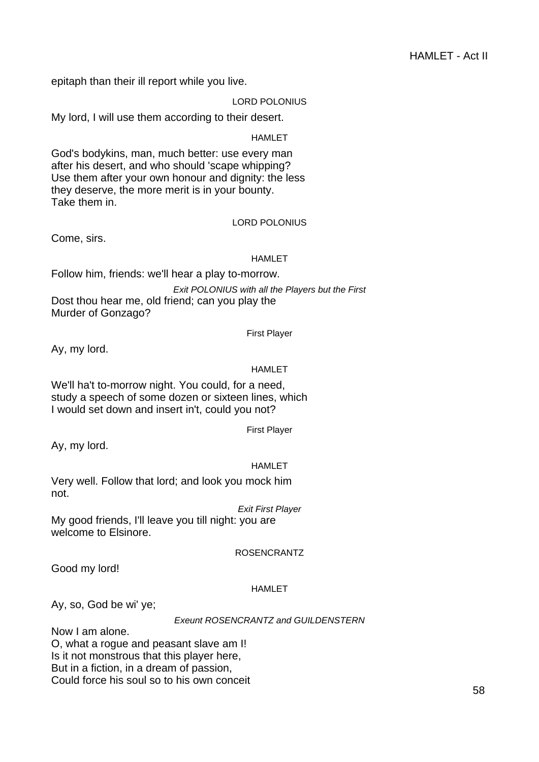epitaph than their ill report while you live.

LORD POLONIUS

My lord, I will use them according to their desert.

**HAMLET** 

God's bodykins, man, much better: use every man after his desert, and who should 'scape whipping? Use them after your own honour and dignity: the less they deserve, the more merit is in your bounty. Take them in.

## LORD POLONIUS

Come, sirs.

#### HAMLET

Follow him, friends: we'll hear a play to-morrow. Exit POLONIUS with all the Players but the First Dost thou hear me, old friend; can you play the Murder of Gonzago?

First Player

Ay, my lord.

## HAMLET

We'll ha't to-morrow night. You could, for a need, study a speech of some dozen or sixteen lines, which I would set down and insert in't, could you not?

First Player

Ay, my lord.

## HAMLET

Very well. Follow that lord; and look you mock him not.

Exit First Player My good friends, I'll leave you till night: you are welcome to Elsinore.

## ROSENCRANTZ

Good my lord!

## HAMLET

Ay, so, God be wi' ye;

## Exeunt ROSENCRANTZ and GUILDENSTERN

Now I am alone. O, what a rogue and peasant slave am I! Is it not monstrous that this player here, But in a fiction, in a dream of passion, Could force his soul so to his own conceit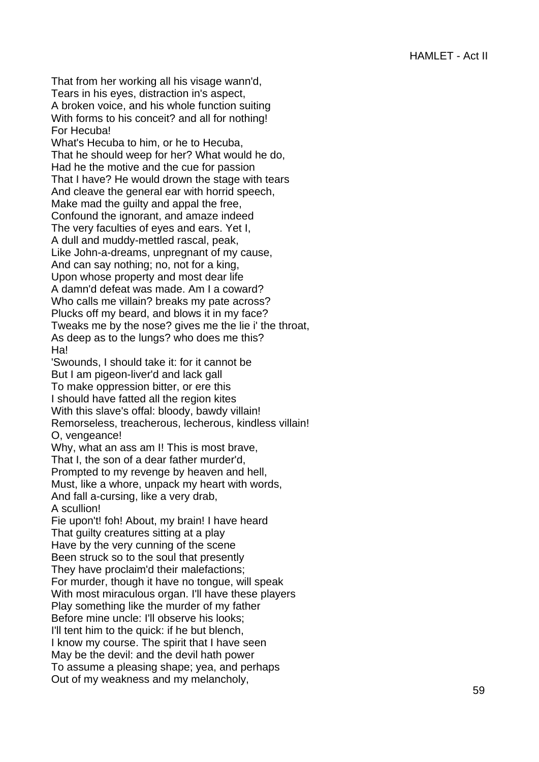That from her working all his visage wann'd, Tears in his eyes, distraction in's aspect, A broken voice, and his whole function suiting With forms to his conceit? and all for nothing! For Hecuba!

What's Hecuba to him, or he to Hecuba, That he should weep for her? What would he do, Had he the motive and the cue for passion That I have? He would drown the stage with tears And cleave the general ear with horrid speech, Make mad the guilty and appal the free, Confound the ignorant, and amaze indeed The very faculties of eyes and ears. Yet I, A dull and muddy-mettled rascal, peak, Like John-a-dreams, unpregnant of my cause, And can say nothing; no, not for a king, Upon whose property and most dear life A damn'd defeat was made. Am I a coward? Who calls me villain? breaks my pate across? Plucks off my beard, and blows it in my face? Tweaks me by the nose? gives me the lie i' the throat, As deep as to the lungs? who does me this? Ha!

'Swounds, I should take it: for it cannot be But I am pigeon-liver'd and lack gall To make oppression bitter, or ere this I should have fatted all the region kites With this slave's offal: bloody, bawdy villain! Remorseless, treacherous, lecherous, kindless villain! O, vengeance!

Why, what an ass am I! This is most brave, That I, the son of a dear father murder'd,

Prompted to my revenge by heaven and hell,

Must, like a whore, unpack my heart with words,

And fall a-cursing, like a very drab, A scullion!

Fie upon't! foh! About, my brain! I have heard That guilty creatures sitting at a play Have by the very cunning of the scene Been struck so to the soul that presently They have proclaim'd their malefactions; For murder, though it have no tongue, will speak With most miraculous organ. I'll have these players Play something like the murder of my father Before mine uncle: I'll observe his looks; I'll tent him to the quick: if he but blench, I know my course. The spirit that I have seen May be the devil: and the devil hath power To assume a pleasing shape; yea, and perhaps Out of my weakness and my melancholy,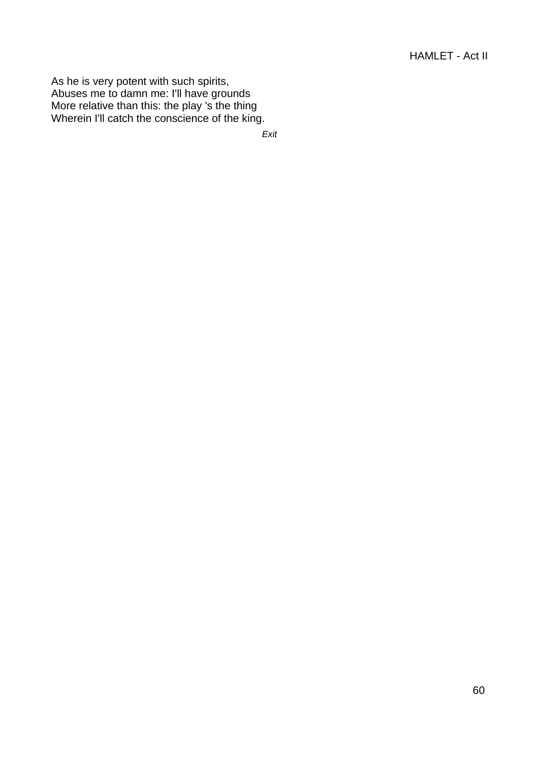As he is very potent with such spirits, Abuses me to damn me: I'll have grounds More relative than this: the play 's the thing Wherein I'll catch the conscience of the king.

Exit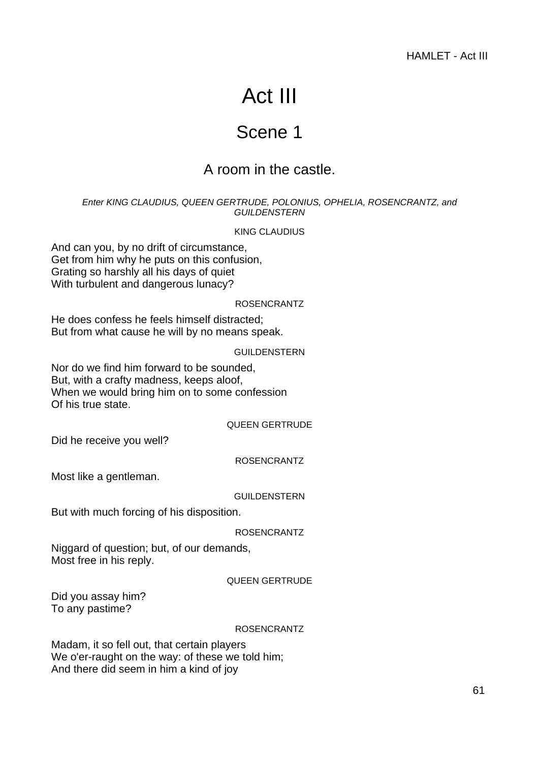# Act III

## Scene 1

## A room in the castle.

## Enter KING CLAUDIUS, QUEEN GERTRUDE, POLONIUS, OPHELIA, ROSENCRANTZ, and **GUILDENSTERN**

## KING CLAUDIUS

And can you, by no drift of circumstance, Get from him why he puts on this confusion, Grating so harshly all his days of quiet With turbulent and dangerous lunacy?

## ROSENCRANTZ

He does confess he feels himself distracted; But from what cause he will by no means speak.

## GUILDENSTERN

Nor do we find him forward to be sounded, But, with a crafty madness, keeps aloof, When we would bring him on to some confession Of his true state.

## QUEEN GERTRUDE

Did he receive you well?

## ROSENCRANTZ

Most like a gentleman.

## GUILDENSTERN

But with much forcing of his disposition.

## ROSENCRANTZ

Niggard of question; but, of our demands, Most free in his reply.

## QUEEN GERTRUDE

Did you assay him? To any pastime?

## ROSENCRANTZ

Madam, it so fell out, that certain players We o'er-raught on the way: of these we told him; And there did seem in him a kind of joy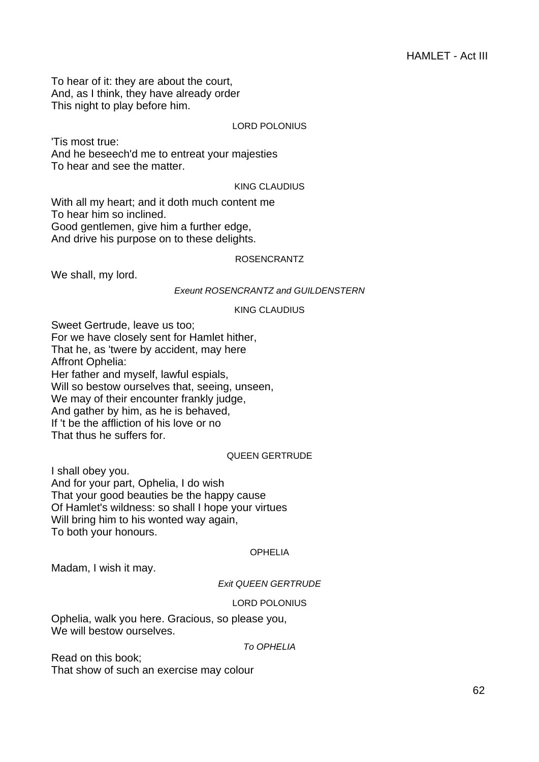To hear of it: they are about the court, And, as I think, they have already order This night to play before him.

## LORD POLONIUS

'Tis most true: And he beseech'd me to entreat your majesties To hear and see the matter.

## KING CLAUDIUS

With all my heart; and it doth much content me To hear him so inclined. Good gentlemen, give him a further edge, And drive his purpose on to these delights.

## ROSENCRANTZ

We shall, my lord.

## **Exeunt ROSENCRANTZ and GUILDENSTERN**

#### KING CLAUDIUS

Sweet Gertrude, leave us too; For we have closely sent for Hamlet hither, That he, as 'twere by accident, may here Affront Ophelia: Her father and myself, lawful espials, Will so bestow ourselves that, seeing, unseen, We may of their encounter frankly judge, And gather by him, as he is behaved, If 't be the affliction of his love or no That thus he suffers for.

## QUEEN GERTRUDE

I shall obey you. And for your part, Ophelia, I do wish That your good beauties be the happy cause Of Hamlet's wildness: so shall I hope your virtues Will bring him to his wonted way again, To both your honours.

#### OPHELIA

Madam, I wish it may.

#### Exit QUEEN GERTRUDE

## LORD POLONIUS

Ophelia, walk you here. Gracious, so please you, We will bestow ourselves.

#### To OPHELIA

Read on this book; That show of such an exercise may colour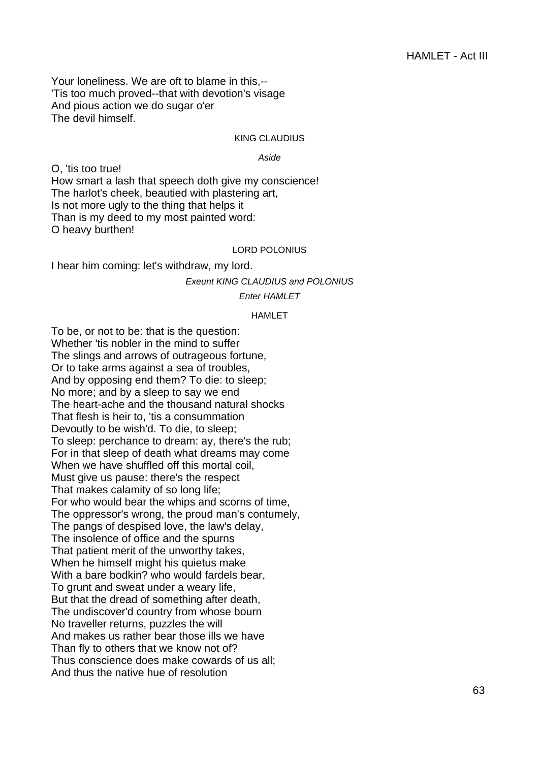Your loneliness. We are oft to blame in this,-- 'Tis too much proved--that with devotion's visage And pious action we do sugar o'er The devil himself.

#### KING CLAUDIUS

#### Aside

O, 'tis too true! How smart a lash that speech doth give my conscience! The harlot's cheek, beautied with plastering art, Is not more ugly to the thing that helps it Than is my deed to my most painted word: O heavy burthen!

## LORD POLONIUS

I hear him coming: let's withdraw, my lord.

Exeunt KING CLAUDIUS and POLONIUS

#### Enter HAMLET

#### HAMLET

To be, or not to be: that is the question: Whether 'tis nobler in the mind to suffer The slings and arrows of outrageous fortune, Or to take arms against a sea of troubles, And by opposing end them? To die: to sleep; No more; and by a sleep to say we end The heart-ache and the thousand natural shocks That flesh is heir to, 'tis a consummation Devoutly to be wish'd. To die, to sleep; To sleep: perchance to dream: ay, there's the rub; For in that sleep of death what dreams may come When we have shuffled off this mortal coil, Must give us pause: there's the respect That makes calamity of so long life; For who would bear the whips and scorns of time, The oppressor's wrong, the proud man's contumely, The pangs of despised love, the law's delay, The insolence of office and the spurns That patient merit of the unworthy takes, When he himself might his quietus make With a bare bodkin? who would fardels bear, To grunt and sweat under a weary life, But that the dread of something after death, The undiscover'd country from whose bourn No traveller returns, puzzles the will And makes us rather bear those ills we have Than fly to others that we know not of? Thus conscience does make cowards of us all; And thus the native hue of resolution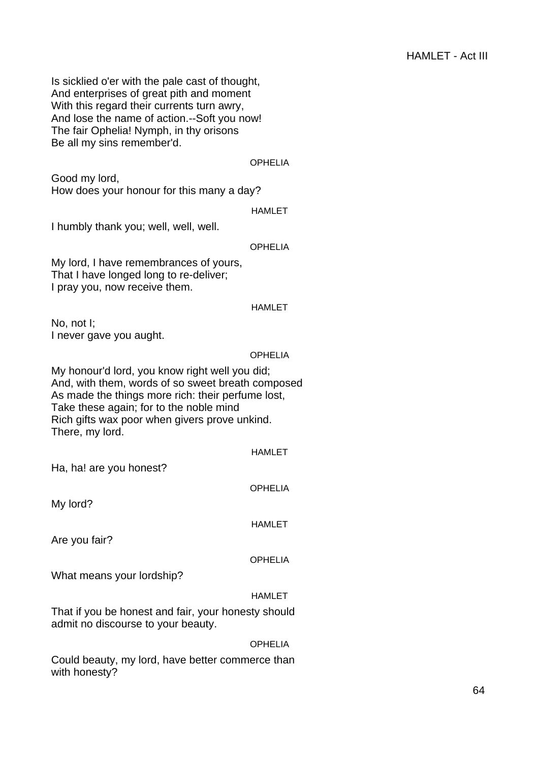Is sicklied o'er with the pale cast of thought, And enterprises of great pith and moment With this regard their currents turn awry, And lose the name of action.--Soft you now! The fair Ophelia! Nymph, in thy orisons Be all my sins remember'd.

#### OPHELIA

Good my lord, How does your honour for this many a day?

HAMLET

I humbly thank you; well, well, well.

#### **OPHELIA**

My lord, I have remembrances of yours, That I have longed long to re-deliver; I pray you, now receive them.

#### HAMLET

No, not I; I never gave you aught.

#### **OPHELIA**

My honour'd lord, you know right well you did; And, with them, words of so sweet breath composed As made the things more rich: their perfume lost, Take these again; for to the noble mind Rich gifts wax poor when givers prove unkind. There, my lord.

#### HAMLET

Ha, ha! are you honest?

My lord?

HAMLET

OPHELIA

Are you fair?

#### **OPHELIA**

What means your lordship?

## HAMLET

That if you be honest and fair, your honesty should admit no discourse to your beauty.

#### OPHELIA

Could beauty, my lord, have better commerce than with honesty?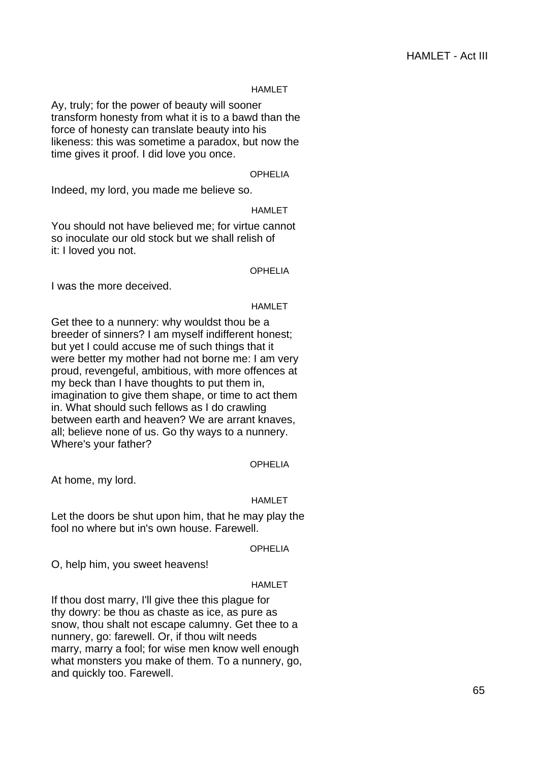Ay, truly; for the power of beauty will sooner transform honesty from what it is to a bawd than the force of honesty can translate beauty into his likeness: this was sometime a paradox, but now the time gives it proof. I did love you once.

#### OPHELIA

Indeed, my lord, you made me believe so.

HAMLET

You should not have believed me; for virtue cannot so inoculate our old stock but we shall relish of it: I loved you not.

**OPHELIA** 

I was the more deceived.

#### HAMLET

Get thee to a nunnery: why wouldst thou be a breeder of sinners? I am myself indifferent honest; but yet I could accuse me of such things that it were better my mother had not borne me: I am very proud, revengeful, ambitious, with more offences at my beck than I have thoughts to put them in, imagination to give them shape, or time to act them in. What should such fellows as I do crawling between earth and heaven? We are arrant knaves, all; believe none of us. Go thy ways to a nunnery. Where's your father?

#### OPHELIA

At home, my lord.

#### HAMLET

Let the doors be shut upon him, that he may play the fool no where but in's own house. Farewell.

#### OPHELIA

O, help him, you sweet heavens!

#### HAMLET

If thou dost marry, I'll give thee this plague for thy dowry: be thou as chaste as ice, as pure as snow, thou shalt not escape calumny. Get thee to a nunnery, go: farewell. Or, if thou wilt needs marry, marry a fool; for wise men know well enough what monsters you make of them. To a nunnery, go, and quickly too. Farewell.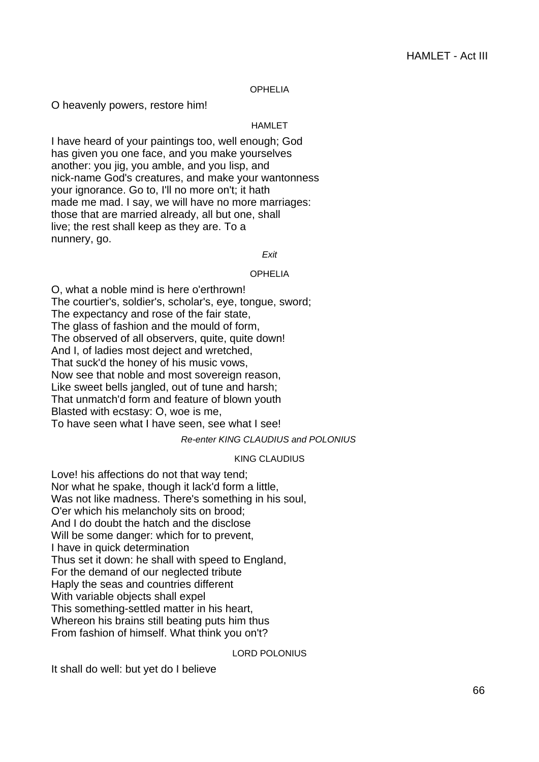## OPHELIA

O heavenly powers, restore him!

## HAMLET

I have heard of your paintings too, well enough; God has given you one face, and you make yourselves another: you jig, you amble, and you lisp, and nick-name God's creatures, and make your wantonness your ignorance. Go to, I'll no more on't; it hath made me mad. I say, we will have no more marriages: those that are married already, all but one, shall live; the rest shall keep as they are. To a nunnery, go.

#### Exit

#### OPHELIA

O, what a noble mind is here o'erthrown! The courtier's, soldier's, scholar's, eye, tongue, sword; The expectancy and rose of the fair state, The glass of fashion and the mould of form, The observed of all observers, quite, quite down! And I, of ladies most deject and wretched, That suck'd the honey of his music vows, Now see that noble and most sovereign reason, Like sweet bells jangled, out of tune and harsh; That unmatch'd form and feature of blown youth Blasted with ecstasy: O, woe is me, To have seen what I have seen, see what I see!

## Re-enter KING CLAUDIUS and POLONIUS

## KING CLAUDIUS

Love! his affections do not that way tend; Nor what he spake, though it lack'd form a little, Was not like madness. There's something in his soul, O'er which his melancholy sits on brood; And I do doubt the hatch and the disclose Will be some danger: which for to prevent, I have in quick determination Thus set it down: he shall with speed to England, For the demand of our neglected tribute Haply the seas and countries different With variable objects shall expel This something-settled matter in his heart, Whereon his brains still beating puts him thus From fashion of himself. What think you on't?

#### LORD POLONIUS

It shall do well: but yet do I believe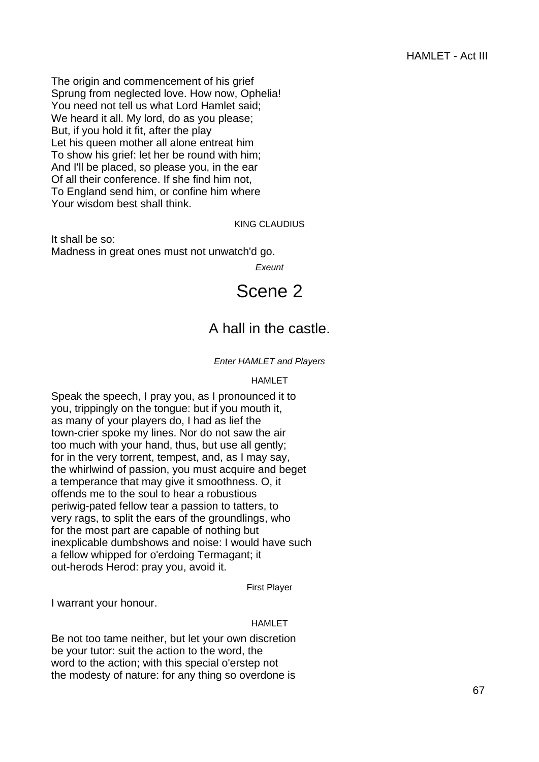The origin and commencement of his grief Sprung from neglected love. How now, Ophelia! You need not tell us what Lord Hamlet said; We heard it all. My lord, do as you please; But, if you hold it fit, after the play Let his queen mother all alone entreat him To show his grief: let her be round with him; And I'll be placed, so please you, in the ear Of all their conference. If she find him not, To England send him, or confine him where Your wisdom best shall think.

## KING CLAUDIUS

It shall be so: Madness in great ones must not unwatch'd go.

**Exeunt** 

## Scene 2

## A hall in the castle.

## Enter HAMLET and Players

## HAMLET

Speak the speech, I pray you, as I pronounced it to you, trippingly on the tongue: but if you mouth it, as many of your players do, I had as lief the town-crier spoke my lines. Nor do not saw the air too much with your hand, thus, but use all gently; for in the very torrent, tempest, and, as I may say, the whirlwind of passion, you must acquire and beget a temperance that may give it smoothness. O, it offends me to the soul to hear a robustious periwig-pated fellow tear a passion to tatters, to very rags, to split the ears of the groundlings, who for the most part are capable of nothing but inexplicable dumbshows and noise: I would have such a fellow whipped for o'erdoing Termagant; it out-herods Herod: pray you, avoid it.

First Player

I warrant your honour.

## HAMLET

Be not too tame neither, but let your own discretion be your tutor: suit the action to the word, the word to the action; with this special o'erstep not the modesty of nature: for any thing so overdone is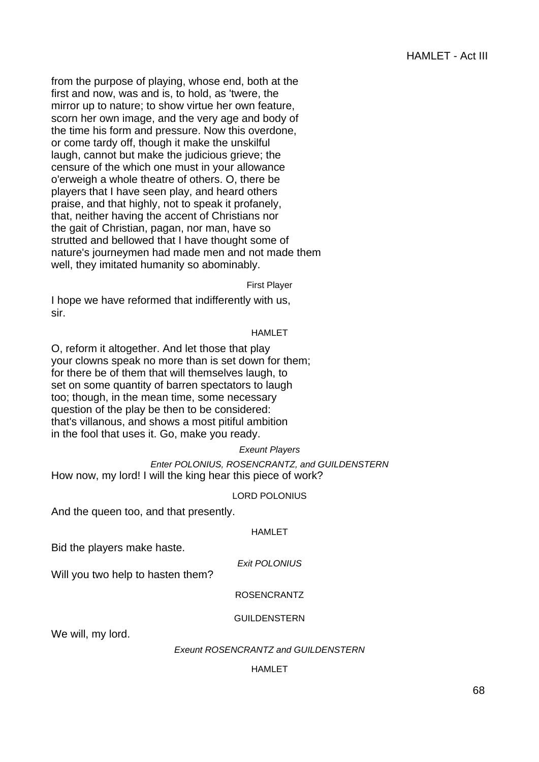from the purpose of playing, whose end, both at the first and now, was and is, to hold, as 'twere, the mirror up to nature; to show virtue her own feature, scorn her own image, and the very age and body of the time his form and pressure. Now this overdone, or come tardy off, though it make the unskilful laugh, cannot but make the judicious grieve; the censure of the which one must in your allowance o'erweigh a whole theatre of others. O, there be players that I have seen play, and heard others praise, and that highly, not to speak it profanely, that, neither having the accent of Christians nor the gait of Christian, pagan, nor man, have so strutted and bellowed that I have thought some of nature's journeymen had made men and not made them well, they imitated humanity so abominably.

First Player

I hope we have reformed that indifferently with us, sir.

## HAMLET

O, reform it altogether. And let those that play your clowns speak no more than is set down for them; for there be of them that will themselves laugh, to set on some quantity of barren spectators to laugh too; though, in the mean time, some necessary question of the play be then to be considered: that's villanous, and shows a most pitiful ambition in the fool that uses it. Go, make you ready.

## Exeunt Players

Enter POLONIUS, ROSENCRANTZ, and GUILDENSTERN How now, my lord! I will the king hear this piece of work?

## LORD POLONIUS

And the queen too, and that presently.

## **HAMI FT**

Bid the players make haste.

Exit POLONIUS

Will you two help to hasten them?

## ROSENCRANTZ

## GUILDENSTERN

We will, my lord.

## Exeunt ROSENCRANTZ and GUILDENSTERN

## HAMLET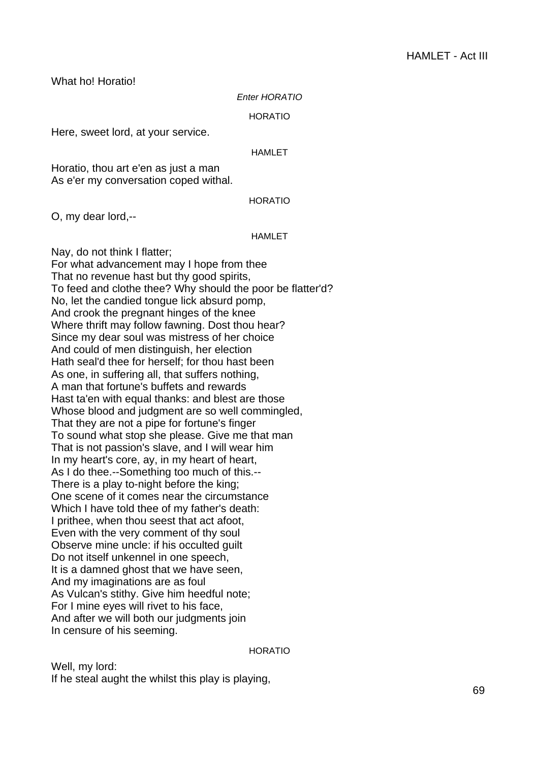What ho! Horatio!

#### Enter HORATIO

HORATIO

Here, sweet lord, at your service.

#### HAMLET

Horatio, thou art e'en as just a man As e'er my conversation coped withal.

## **HORATIO**

O, my dear lord,--

## HAMLET

Nay, do not think I flatter; For what advancement may I hope from thee That no revenue hast but thy good spirits, To feed and clothe thee? Why should the poor be flatter'd? No, let the candied tongue lick absurd pomp, And crook the pregnant hinges of the knee Where thrift may follow fawning. Dost thou hear? Since my dear soul was mistress of her choice And could of men distinguish, her election Hath seal'd thee for herself; for thou hast been As one, in suffering all, that suffers nothing, A man that fortune's buffets and rewards Hast ta'en with equal thanks: and blest are those Whose blood and judgment are so well commingled, That they are not a pipe for fortune's finger To sound what stop she please. Give me that man That is not passion's slave, and I will wear him In my heart's core, ay, in my heart of heart, As I do thee.--Something too much of this.-- There is a play to-night before the king; One scene of it comes near the circumstance Which I have told thee of my father's death: I prithee, when thou seest that act afoot, Even with the very comment of thy soul Observe mine uncle: if his occulted guilt Do not itself unkennel in one speech, It is a damned ghost that we have seen, And my imaginations are as foul As Vulcan's stithy. Give him heedful note; For I mine eyes will rivet to his face, And after we will both our judgments join In censure of his seeming.

HORATIO

Well, my lord: If he steal aught the whilst this play is playing,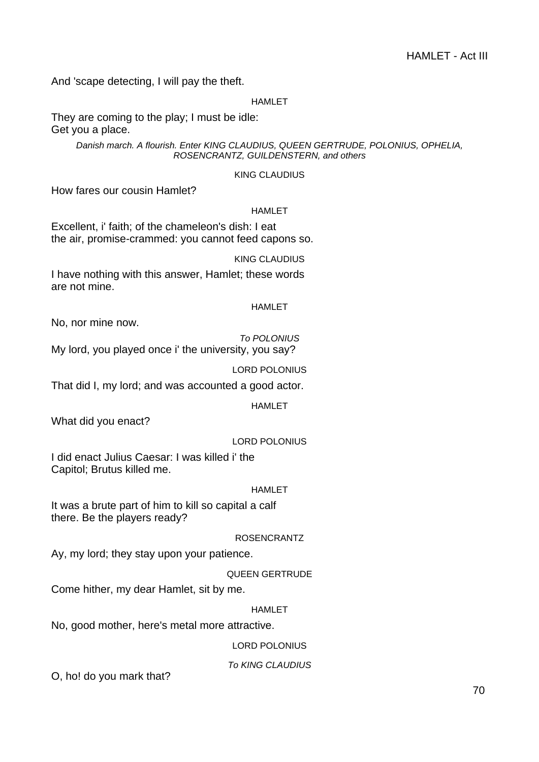And 'scape detecting, I will pay the theft.

#### HAMLET

They are coming to the play; I must be idle: Get you a place.

> Danish march. A flourish. Enter KING CLAUDIUS, QUEEN GERTRUDE, POLONIUS, OPHELIA, ROSENCRANTZ, GUILDENSTERN, and others

## KING CLAUDIUS

How fares our cousin Hamlet?

#### HAMLET

Excellent, i' faith; of the chameleon's dish: I eat the air, promise-crammed: you cannot feed capons so.

## KING CLAUDIUS

I have nothing with this answer, Hamlet; these words are not mine.

## HAMLET

No, nor mine now.

To POLONIUS My lord, you played once i' the university, you say?

LORD POLONIUS

That did I, my lord; and was accounted a good actor.

HAMLET

What did you enact?

LORD POLONIUS

I did enact Julius Caesar: I was killed i' the Capitol; Brutus killed me.

#### HAMLET

It was a brute part of him to kill so capital a calf there. Be the players ready?

## ROSENCRANTZ

Ay, my lord; they stay upon your patience.

## QUEEN GERTRUDE

Come hither, my dear Hamlet, sit by me.

#### HAMLET

No, good mother, here's metal more attractive.

## LORD POLONIUS

## To KING CLAUDIUS

O, ho! do you mark that?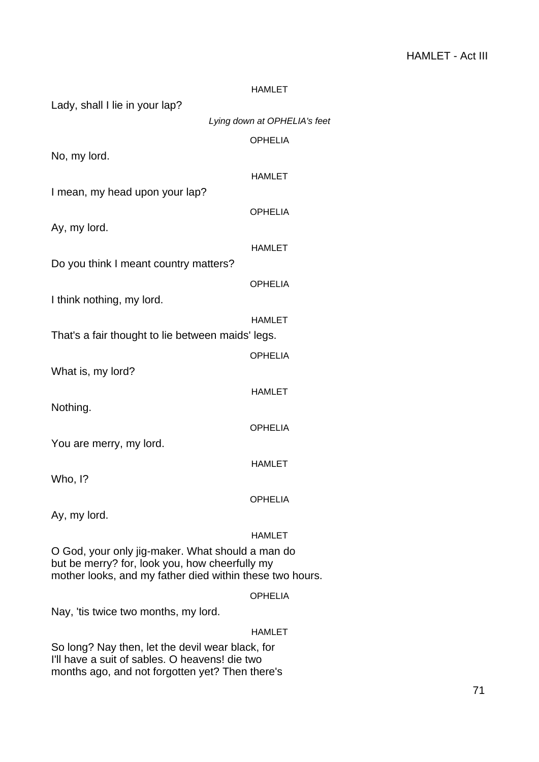|                                                          | <b>HAMLET</b>                |
|----------------------------------------------------------|------------------------------|
| Lady, shall I lie in your lap?                           |                              |
|                                                          | Lying down at OPHELIA's feet |
|                                                          | <b>OPHELIA</b>               |
| No, my lord.                                             |                              |
|                                                          | <b>HAMLET</b>                |
| I mean, my head upon your lap?                           |                              |
|                                                          | <b>OPHELIA</b>               |
| Ay, my lord.                                             |                              |
|                                                          | <b>HAMLET</b>                |
| Do you think I meant country matters?                    |                              |
|                                                          | <b>OPHELIA</b>               |
| I think nothing, my lord.                                |                              |
|                                                          | <b>HAMLET</b>                |
| That's a fair thought to lie between maids' legs.        |                              |
|                                                          | <b>OPHELIA</b>               |
| What is, my lord?                                        |                              |
|                                                          | <b>HAMLET</b>                |
| Nothing.                                                 |                              |
|                                                          | <b>OPHELIA</b>               |
| You are merry, my lord.                                  |                              |
|                                                          | <b>HAMLET</b>                |
| Who, I?                                                  |                              |
|                                                          | <b>OPHELIA</b>               |
| Ay, my lord.                                             |                              |
|                                                          | HAMLET                       |
| O God, your only jig-maker. What should a man do         |                              |
| but be merry? for, look you, how cheerfully my           |                              |
| mother looks, and my father died within these two hours. |                              |
|                                                          | <b>OPHELIA</b>               |
| Nay, 'tis twice two months, my lord.                     |                              |
|                                                          | <b>HAMLET</b>                |

So long? Nay then, let the devil wear black, for I'll have a suit of sables. O heavens! die two months ago, and not forgotten yet? Then there's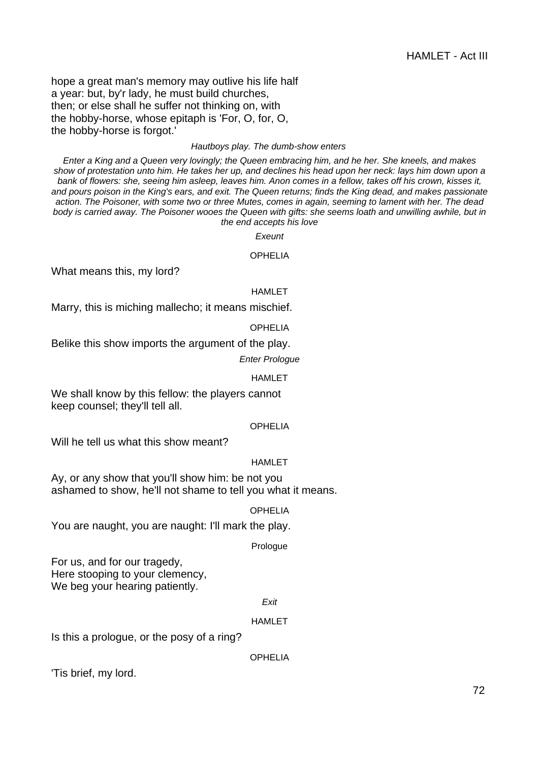hope a great man's memory may outlive his life half a year: but, by'r lady, he must build churches, then; or else shall he suffer not thinking on, with the hobby-horse, whose epitaph is 'For, O, for, O, the hobby-horse is forgot.'

#### Hautboys play. The dumb-show enters

Enter a King and a Queen very lovingly; the Queen embracing him, and he her. She kneels, and makes show of protestation unto him. He takes her up, and declines his head upon her neck: lays him down upon a bank of flowers: she, seeing him asleep, leaves him. Anon comes in a fellow, takes off his crown, kisses it, and pours poison in the King's ears, and exit. The Queen returns; finds the King dead, and makes passionate action. The Poisoner, with some two or three Mutes, comes in again, seeming to lament with her. The dead body is carried away. The Poisoner wooes the Queen with gifts: she seems loath and unwilling awhile, but in the end accepts his love

**Exeunt** 

#### **OPHELIA**

What means this, my lord?

#### HAMLET

Marry, this is miching mallecho; it means mischief.

#### **OPHELIA**

Belike this show imports the argument of the play.

#### Enter Prologue

#### HAMLET

We shall know by this fellow: the players cannot keep counsel; they'll tell all.

#### OPHELIA

Will he tell us what this show meant?

#### HAMLET

Ay, or any show that you'll show him: be not you ashamed to show, he'll not shame to tell you what it means.

## OPHELIA

You are naught, you are naught: I'll mark the play.

#### Prologue

For us, and for our tragedy, Here stooping to your clemency, We beg your hearing patiently.

#### Exit

#### HAMLET

Is this a prologue, or the posy of a ring?

#### OPHELIA

'Tis brief, my lord.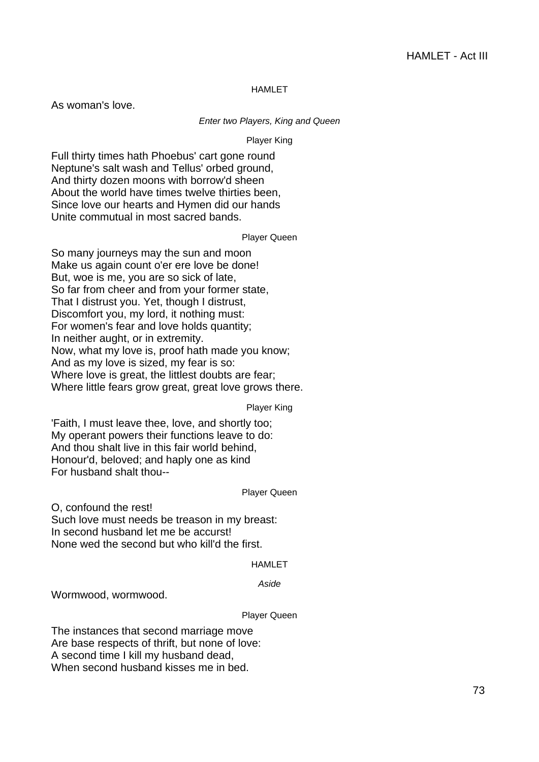#### HAMLET

As woman's love.

#### Enter two Players, King and Queen

Player King

Full thirty times hath Phoebus' cart gone round Neptune's salt wash and Tellus' orbed ground, And thirty dozen moons with borrow'd sheen About the world have times twelve thirties been, Since love our hearts and Hymen did our hands Unite commutual in most sacred bands.

# Player Queen

So many journeys may the sun and moon Make us again count o'er ere love be done! But, woe is me, you are so sick of late, So far from cheer and from your former state, That I distrust you. Yet, though I distrust, Discomfort you, my lord, it nothing must: For women's fear and love holds quantity; In neither aught, or in extremity. Now, what my love is, proof hath made you know; And as my love is sized, my fear is so: Where love is great, the littlest doubts are fear; Where little fears grow great, great love grows there.

Player King

'Faith, I must leave thee, love, and shortly too; My operant powers their functions leave to do: And thou shalt live in this fair world behind, Honour'd, beloved; and haply one as kind For husband shalt thou--

#### Player Queen

O, confound the rest! Such love must needs be treason in my breast: In second husband let me be accurst! None wed the second but who kill'd the first.

#### HAMLET

#### Aside

Wormwood, wormwood.

#### Player Queen

The instances that second marriage move Are base respects of thrift, but none of love: A second time I kill my husband dead, When second husband kisses me in bed.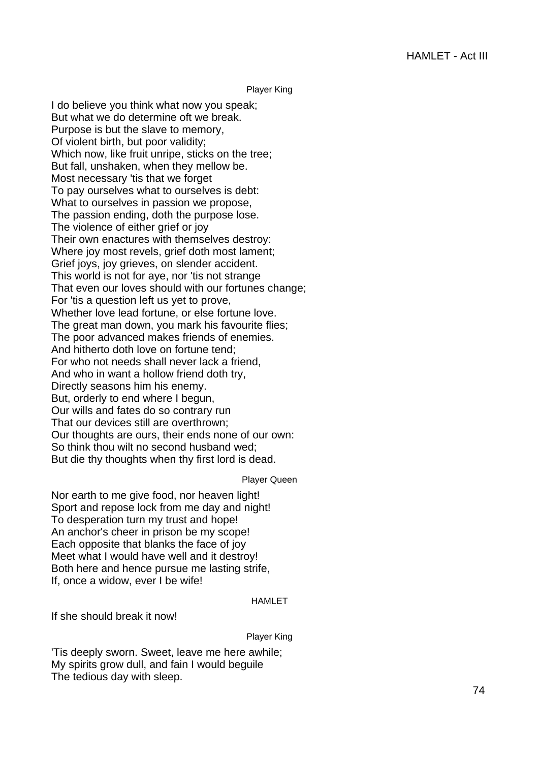Player King

I do believe you think what now you speak; But what we do determine oft we break. Purpose is but the slave to memory, Of violent birth, but poor validity; Which now, like fruit unripe, sticks on the tree; But fall, unshaken, when they mellow be. Most necessary 'tis that we forget To pay ourselves what to ourselves is debt: What to ourselves in passion we propose, The passion ending, doth the purpose lose. The violence of either grief or joy Their own enactures with themselves destroy: Where joy most revels, grief doth most lament; Grief joys, joy grieves, on slender accident. This world is not for aye, nor 'tis not strange That even our loves should with our fortunes change; For 'tis a question left us yet to prove, Whether love lead fortune, or else fortune love. The great man down, you mark his favourite flies; The poor advanced makes friends of enemies. And hitherto doth love on fortune tend; For who not needs shall never lack a friend, And who in want a hollow friend doth try, Directly seasons him his enemy. But, orderly to end where I begun, Our wills and fates do so contrary run That our devices still are overthrown; Our thoughts are ours, their ends none of our own: So think thou wilt no second husband wed; But die thy thoughts when thy first lord is dead.

Player Queen

Nor earth to me give food, nor heaven light! Sport and repose lock from me day and night! To desperation turn my trust and hope! An anchor's cheer in prison be my scope! Each opposite that blanks the face of joy Meet what I would have well and it destroy! Both here and hence pursue me lasting strife, If, once a widow, ever I be wife!

# HAMLET

If she should break it now!

### Player King

'Tis deeply sworn. Sweet, leave me here awhile; My spirits grow dull, and fain I would beguile The tedious day with sleep.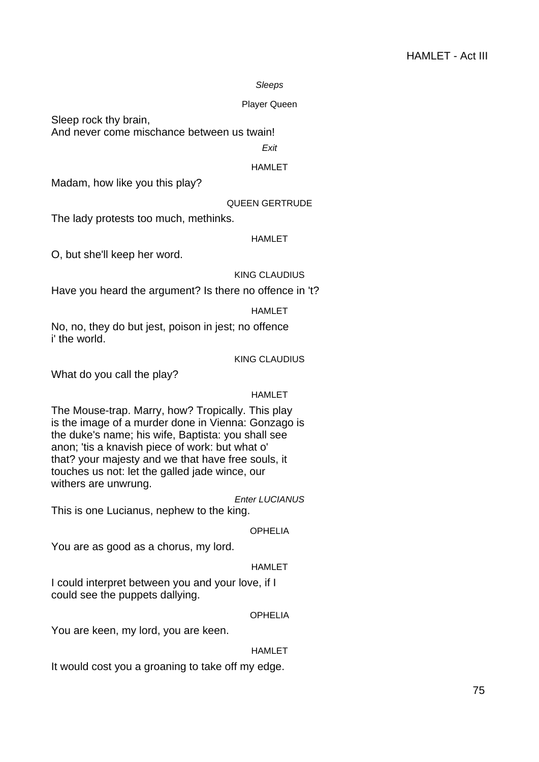#### Sleeps

#### Player Queen

Sleep rock thy brain,

And never come mischance between us twain!

**Exit** 

# HAMLET

Madam, how like you this play?

# QUEEN GERTRUDE

The lady protests too much, methinks.

#### HAMLET

O, but she'll keep her word.

#### KING CLAUDIUS

Have you heard the argument? Is there no offence in 't?

# HAMLET

No, no, they do but jest, poison in jest; no offence i' the world.

# KING CLAUDIUS

What do you call the play?

# HAMLET

The Mouse-trap. Marry, how? Tropically. This play is the image of a murder done in Vienna: Gonzago is the duke's name; his wife, Baptista: you shall see anon; 'tis a knavish piece of work: but what o' that? your majesty and we that have free souls, it touches us not: let the galled jade wince, our withers are unwrung.

Enter LUCIANUS

This is one Lucianus, nephew to the king.

#### **OPHELIA**

You are as good as a chorus, my lord.

# **HAMLET**

I could interpret between you and your love, if I could see the puppets dallying.

#### OPHELIA

You are keen, my lord, you are keen.

# HAMLET

It would cost you a groaning to take off my edge.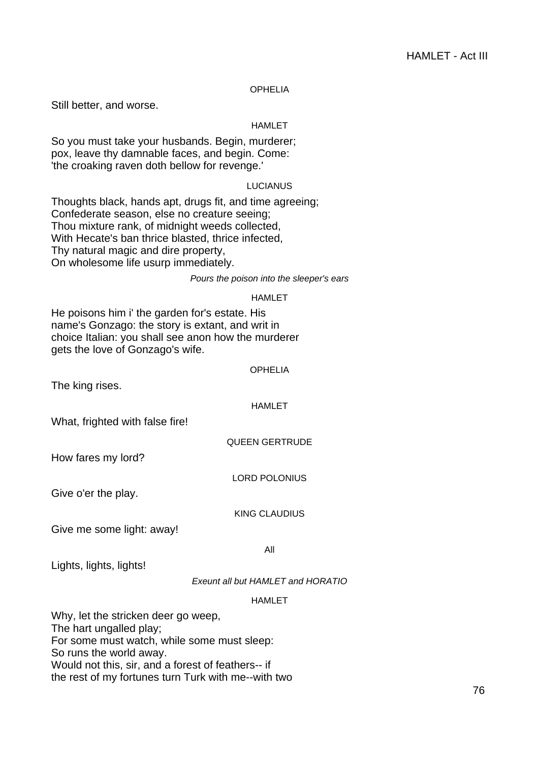# OPHELIA

Still better, and worse.

# HAMLET

So you must take your husbands. Begin, murderer; pox, leave thy damnable faces, and begin. Come: 'the croaking raven doth bellow for revenge.'

# LUCIANUS

Thoughts black, hands apt, drugs fit, and time agreeing; Confederate season, else no creature seeing; Thou mixture rank, of midnight weeds collected, With Hecate's ban thrice blasted, thrice infected, Thy natural magic and dire property, On wholesome life usurp immediately.

#### Pours the poison into the sleeper's ears

#### HAMLET

He poisons him i' the garden for's estate. His name's Gonzago: the story is extant, and writ in choice Italian: you shall see anon how the murderer gets the love of Gonzago's wife.

#### OPHELIA

The king rises.

#### HAMLET

What, frighted with false fire!

QUEEN GERTRUDE

How fares my lord?

LORD POLONIUS

Give o'er the play.

KING CLAUDIUS

Give me some light: away!

All

Lights, lights, lights!

Exeunt all but HAMLET and HORATIO

# HAMI FT

Why, let the stricken deer go weep, The hart ungalled play; For some must watch, while some must sleep: So runs the world away. Would not this, sir, and a forest of feathers-- if the rest of my fortunes turn Turk with me--with two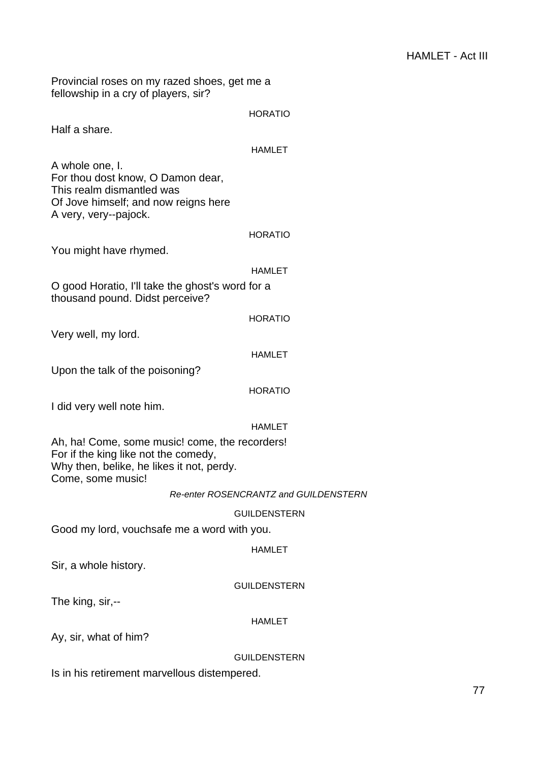Provincial roses on my razed shoes, get me a fellowship in a cry of players, sir?

|                                                                                                                                                          | <b>HORATIO</b>                               |
|----------------------------------------------------------------------------------------------------------------------------------------------------------|----------------------------------------------|
| Half a share.                                                                                                                                            |                                              |
|                                                                                                                                                          | <b>HAMLET</b>                                |
| A whole one, I.<br>For thou dost know, O Damon dear,<br>This realm dismantled was<br>Of Jove himself; and now reigns here<br>A very, very--pajock.       |                                              |
|                                                                                                                                                          | <b>HORATIO</b>                               |
| You might have rhymed.                                                                                                                                   |                                              |
|                                                                                                                                                          | HAMLET                                       |
| O good Horatio, I'll take the ghost's word for a<br>thousand pound. Didst perceive?                                                                      |                                              |
|                                                                                                                                                          | <b>HORATIO</b>                               |
| Very well, my lord.                                                                                                                                      |                                              |
|                                                                                                                                                          | <b>HAMLET</b>                                |
| Upon the talk of the poisoning?                                                                                                                          |                                              |
|                                                                                                                                                          | <b>HORATIO</b>                               |
| I did very well note him.                                                                                                                                |                                              |
|                                                                                                                                                          | HAMLET                                       |
| Ah, ha! Come, some music! come, the recorders!<br>For if the king like not the comedy,<br>Why then, belike, he likes it not, perdy.<br>Come, some music! |                                              |
|                                                                                                                                                          | <b>Re-enter ROSENCRANTZ and GUILDENSTERN</b> |
|                                                                                                                                                          | <b>GUILDENSTERN</b>                          |
| Good my lord, vouchsafe me a word with you.                                                                                                              |                                              |
|                                                                                                                                                          | <b>HAMLET</b>                                |
| Sir, a whole history.                                                                                                                                    |                                              |
|                                                                                                                                                          | <b>GUILDENSTERN</b>                          |
| The king, sir,--                                                                                                                                         |                                              |
|                                                                                                                                                          | HAMLET                                       |
| Ay, sir, what of him?                                                                                                                                    |                                              |
|                                                                                                                                                          | <b>GUILDENSTERN</b>                          |
| Is in his retirement marvellous distempered.                                                                                                             |                                              |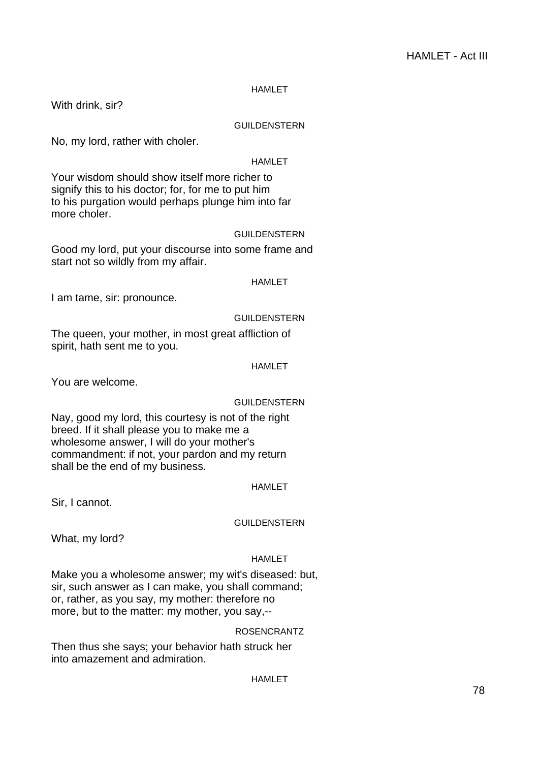# HAMLET

With drink, sir?

# GUILDENSTERN

No, my lord, rather with choler.

# HAMLET

Your wisdom should show itself more richer to signify this to his doctor; for, for me to put him to his purgation would perhaps plunge him into far more choler.

#### GUILDENSTERN

Good my lord, put your discourse into some frame and start not so wildly from my affair.

#### HAMLET

I am tame, sir: pronounce.

#### GUILDENSTERN

The queen, your mother, in most great affliction of spirit, hath sent me to you.

### HAMLET

You are welcome.

# GUILDENSTERN

Nay, good my lord, this courtesy is not of the right breed. If it shall please you to make me a wholesome answer, I will do your mother's commandment: if not, your pardon and my return shall be the end of my business.

#### HAMLET

Sir, I cannot.

# GUILDENSTERN

What, my lord?

#### HAMLET

Make you a wholesome answer; my wit's diseased: but, sir, such answer as I can make, you shall command; or, rather, as you say, my mother: therefore no more, but to the matter: my mother, you say,--

#### ROSENCRANTZ

Then thus she says; your behavior hath struck her into amazement and admiration.

# HAMLET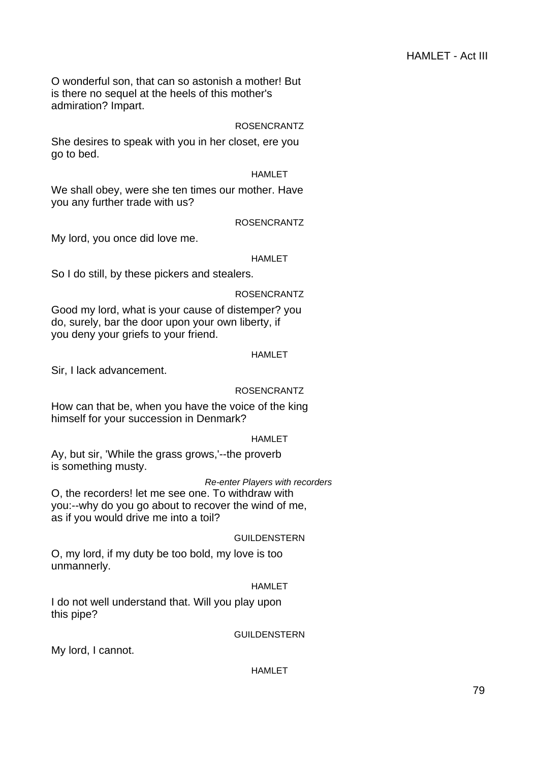O wonderful son, that can so astonish a mother! But is there no sequel at the heels of this mother's admiration? Impart.

# ROSENCRANTZ

She desires to speak with you in her closet, ere you go to bed.

# HAMLET

We shall obey, were she ten times our mother. Have you any further trade with us?

# ROSENCRANTZ

My lord, you once did love me.

# HAMLET

So I do still, by these pickers and stealers.

# ROSENCRANTZ

Good my lord, what is your cause of distemper? you do, surely, bar the door upon your own liberty, if you deny your griefs to your friend.

# HAMLET

Sir, I lack advancement.

# ROSENCRANTZ

How can that be, when you have the voice of the king himself for your succession in Denmark?

# HAMLET

Ay, but sir, 'While the grass grows,'--the proverb is something musty.

# Re-enter Players with recorders

O, the recorders! let me see one. To withdraw with you:--why do you go about to recover the wind of me, as if you would drive me into a toil?

# GUILDENSTERN

O, my lord, if my duty be too bold, my love is too unmannerly.

# HAMLET

I do not well understand that. Will you play upon this pipe?

# GUILDENSTERN

My lord, I cannot.

# HAMLET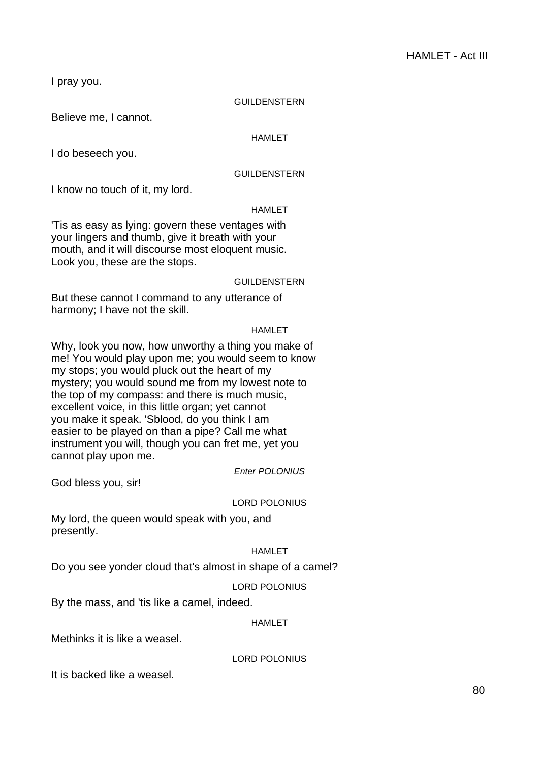I pray you.

# GUILDENSTERN

Believe me, I cannot.

# HAMLET

I do beseech you.

# GUILDENSTERN

I know no touch of it, my lord.

# HAMLET

'Tis as easy as lying: govern these ventages with your lingers and thumb, give it breath with your mouth, and it will discourse most eloquent music. Look you, these are the stops.

# GUILDENSTERN

But these cannot I command to any utterance of harmony; I have not the skill.

# HAMLET

Why, look you now, how unworthy a thing you make of me! You would play upon me; you would seem to know my stops; you would pluck out the heart of my mystery; you would sound me from my lowest note to the top of my compass: and there is much music, excellent voice, in this little organ; yet cannot you make it speak. 'Sblood, do you think I am easier to be played on than a pipe? Call me what instrument you will, though you can fret me, yet you cannot play upon me.

Enter POLONIUS

God bless you, sir!

# LORD POLONIUS

My lord, the queen would speak with you, and presently.

# HAMLET

Do you see yonder cloud that's almost in shape of a camel?

# LORD POLONIUS

By the mass, and 'tis like a camel, indeed.

# HAMLET

Methinks it is like a weasel.

LORD POLONIUS

It is backed like a weasel.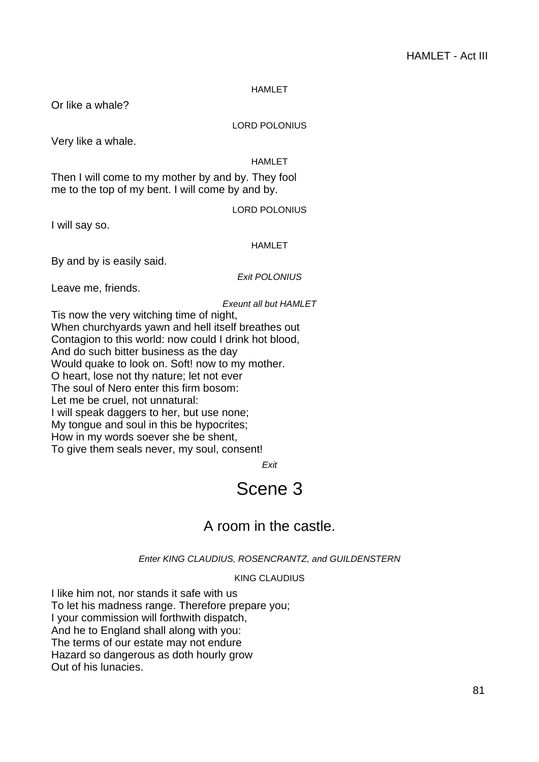# **HAMLET**

Or like a whale?

# LORD POLONIUS

Very like a whale.

# HAMLET

Then I will come to my mother by and by. They fool me to the top of my bent. I will come by and by.

LORD POLONIUS

I will say so.

# HAMLET

By and by is easily said.

Exit POLONIUS

Leave me, friends.

Exeunt all but HAMLET

Tis now the very witching time of night, When churchyards yawn and hell itself breathes out Contagion to this world: now could I drink hot blood, And do such bitter business as the day Would quake to look on. Soft! now to my mother. O heart, lose not thy nature; let not ever The soul of Nero enter this firm bosom: Let me be cruel, not unnatural: I will speak daggers to her, but use none; My tongue and soul in this be hypocrites; How in my words soever she be shent, To give them seals never, my soul, consent!

Exit

# Scene 3

# A room in the castle.

Enter KING CLAUDIUS, ROSENCRANTZ, and GUILDENSTERN

KING CLAUDIUS

I like him not, nor stands it safe with us To let his madness range. Therefore prepare you; I your commission will forthwith dispatch, And he to England shall along with you: The terms of our estate may not endure Hazard so dangerous as doth hourly grow Out of his lunacies.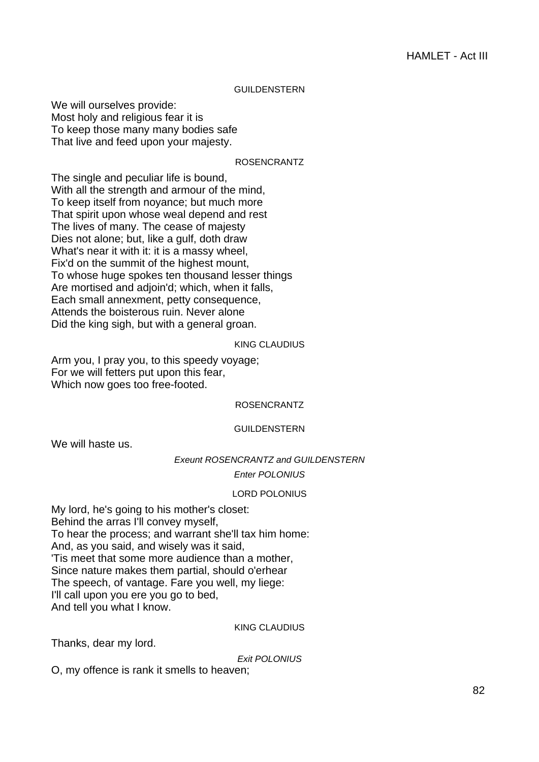#### GUILDENSTERN

We will ourselves provide: Most holy and religious fear it is To keep those many many bodies safe That live and feed upon your majesty.

#### ROSENCRANTZ

The single and peculiar life is bound, With all the strength and armour of the mind, To keep itself from noyance; but much more That spirit upon whose weal depend and rest The lives of many. The cease of majesty Dies not alone; but, like a gulf, doth draw What's near it with it: it is a massy wheel, Fix'd on the summit of the highest mount, To whose huge spokes ten thousand lesser things Are mortised and adjoin'd; which, when it falls, Each small annexment, petty consequence, Attends the boisterous ruin. Never alone Did the king sigh, but with a general groan.

#### KING CLAUDIUS

Arm you, I pray you, to this speedy voyage; For we will fetters put upon this fear, Which now goes too free-footed.

#### ROSENCRANTZ

#### GUILDENSTERN

We will haste us.

Exeunt ROSENCRANTZ and GUILDENSTERN

Enter POLONIUS

#### LORD POLONIUS

My lord, he's going to his mother's closet: Behind the arras I'll convey myself, To hear the process; and warrant she'll tax him home: And, as you said, and wisely was it said, 'Tis meet that some more audience than a mother, Since nature makes them partial, should o'erhear The speech, of vantage. Fare you well, my liege: I'll call upon you ere you go to bed, And tell you what I know.

#### KING CLAUDIUS

Thanks, dear my lord.

Exit POLONIUS

O, my offence is rank it smells to heaven;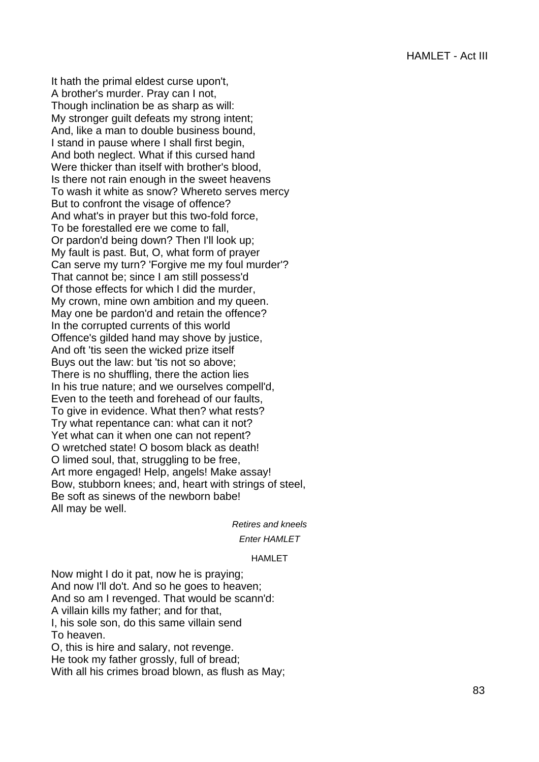It hath the primal eldest curse upon't, A brother's murder. Pray can I not, Though inclination be as sharp as will: My stronger guilt defeats my strong intent; And, like a man to double business bound, I stand in pause where I shall first begin, And both neglect. What if this cursed hand Were thicker than itself with brother's blood, Is there not rain enough in the sweet heavens To wash it white as snow? Whereto serves mercy But to confront the visage of offence? And what's in prayer but this two-fold force, To be forestalled ere we come to fall, Or pardon'd being down? Then I'll look up; My fault is past. But, O, what form of prayer Can serve my turn? 'Forgive me my foul murder'? That cannot be; since I am still possess'd Of those effects for which I did the murder, My crown, mine own ambition and my queen. May one be pardon'd and retain the offence? In the corrupted currents of this world Offence's gilded hand may shove by justice, And oft 'tis seen the wicked prize itself Buys out the law: but 'tis not so above; There is no shuffling, there the action lies In his true nature; and we ourselves compell'd, Even to the teeth and forehead of our faults, To give in evidence. What then? what rests? Try what repentance can: what can it not? Yet what can it when one can not repent? O wretched state! O bosom black as death! O limed soul, that, struggling to be free, Art more engaged! Help, angels! Make assay! Bow, stubborn knees; and, heart with strings of steel, Be soft as sinews of the newborn babe! All may be well.

Retires and kneels

# Enter HAMLET

# HAMLET

Now might I do it pat, now he is praying; And now I'll do't. And so he goes to heaven; And so am I revenged. That would be scann'd: A villain kills my father; and for that, I, his sole son, do this same villain send To heaven. O, this is hire and salary, not revenge. He took my father grossly, full of bread;

With all his crimes broad blown, as flush as May;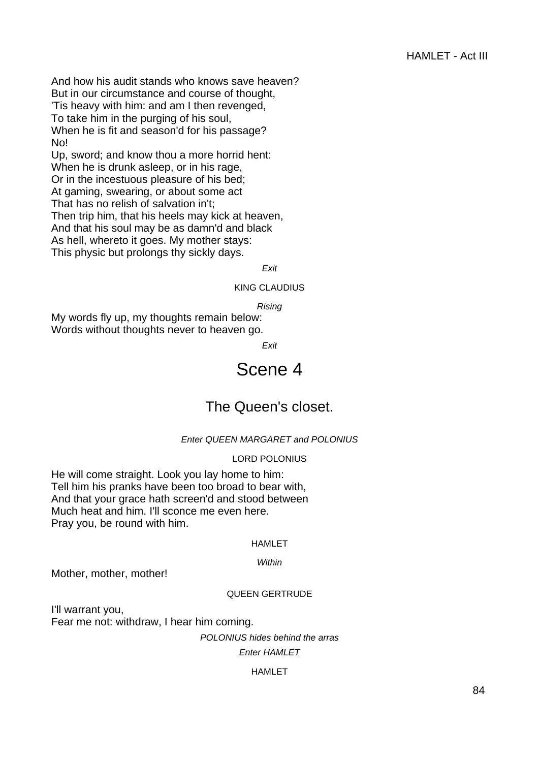And how his audit stands who knows save heaven? But in our circumstance and course of thought, 'Tis heavy with him: and am I then revenged, To take him in the purging of his soul, When he is fit and season'd for his passage? No!

Up, sword; and know thou a more horrid hent: When he is drunk asleep, or in his rage, Or in the incestuous pleasure of his bed; At gaming, swearing, or about some act That has no relish of salvation in't; Then trip him, that his heels may kick at heaven, And that his soul may be as damn'd and black As hell, whereto it goes. My mother stays: This physic but prolongs thy sickly days.

Exit

KING CLAUDIUS

Rising

My words fly up, my thoughts remain below: Words without thoughts never to heaven go.

Exit

# Scene 4

# The Queen's closet.

# Enter QUEEN MARGARET and POLONIUS

# LORD POLONIUS

He will come straight. Look you lay home to him: Tell him his pranks have been too broad to bear with, And that your grace hath screen'd and stood between Much heat and him. I'll sconce me even here. Pray you, be round with him.

#### HAMLET

#### **Within**

Mother, mother, mother!

# QUEEN GERTRUDE

I'll warrant you, Fear me not: withdraw, I hear him coming.

POLONIUS hides behind the arras

Enter HAMLET

# **HAMI FT**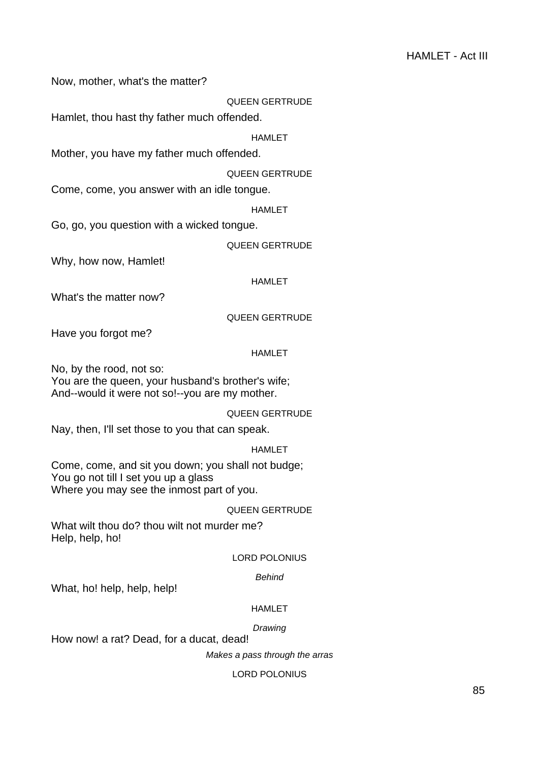Now, mother, what's the matter?

QUEEN GERTRUDE

Hamlet, thou hast thy father much offended.

HAMLET

Mother, you have my father much offended.

QUEEN GERTRUDE

Come, come, you answer with an idle tongue.

HAMLET

Go, go, you question with a wicked tongue.

QUEEN GERTRUDE

Why, how now, Hamlet!

HAMLET

What's the matter now?

QUEEN GERTRUDE

Have you forgot me?

#### HAMLET

No, by the rood, not so: You are the queen, your husband's brother's wife; And--would it were not so!--you are my mother.

QUEEN GERTRUDE

Nay, then, I'll set those to you that can speak.

HAMLET

Come, come, and sit you down; you shall not budge; You go not till I set you up a glass Where you may see the inmost part of you.

# QUEEN GERTRUDE

What wilt thou do? thou wilt not murder me? Help, help, ho!

# LORD POLONIUS

# Behind

What, ho! help, help, help!

# HAMLET

# **Drawing**

How now! a rat? Dead, for a ducat, dead!

Makes a pass through the arras

#### LORD POLONIUS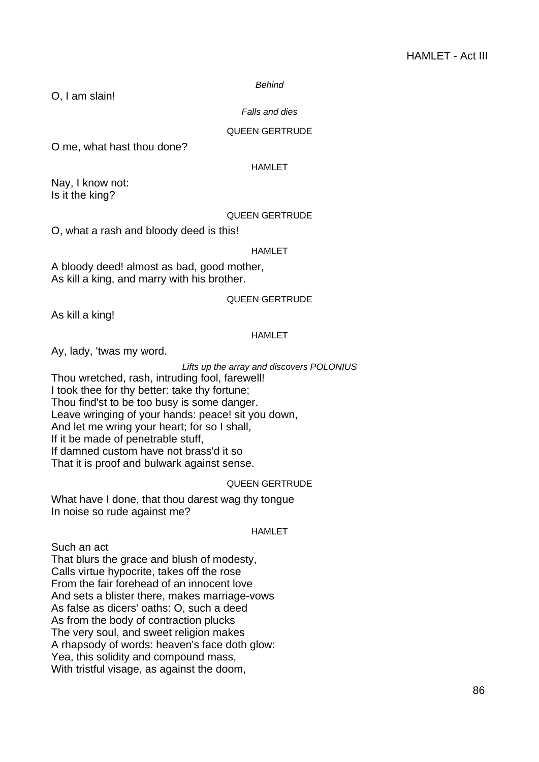#### Behind

O, I am slain!

#### Falls and dies

# QUEEN GERTRUDE

O me, what hast thou done?

#### HAMLET

Nay, I know not: Is it the king?

#### QUEEN GERTRUDE

O, what a rash and bloody deed is this!

#### HAMLET

A bloody deed! almost as bad, good mother, As kill a king, and marry with his brother.

# QUEEN GERTRUDE

As kill a king!

#### HAMLET

Ay, lady, 'twas my word.

# Lifts up the array and discovers POLONIUS

Thou wretched, rash, intruding fool, farewell! I took thee for thy better: take thy fortune; Thou find'st to be too busy is some danger. Leave wringing of your hands: peace! sit you down, And let me wring your heart; for so I shall, If it be made of penetrable stuff, If damned custom have not brass'd it so That it is proof and bulwark against sense.

#### QUEEN GERTRUDE

What have I done, that thou darest wag thy tongue In noise so rude against me?

# HAMLET

Such an act

That blurs the grace and blush of modesty, Calls virtue hypocrite, takes off the rose From the fair forehead of an innocent love And sets a blister there, makes marriage-vows As false as dicers' oaths: O, such a deed As from the body of contraction plucks The very soul, and sweet religion makes A rhapsody of words: heaven's face doth glow: Yea, this solidity and compound mass, With tristful visage, as against the doom,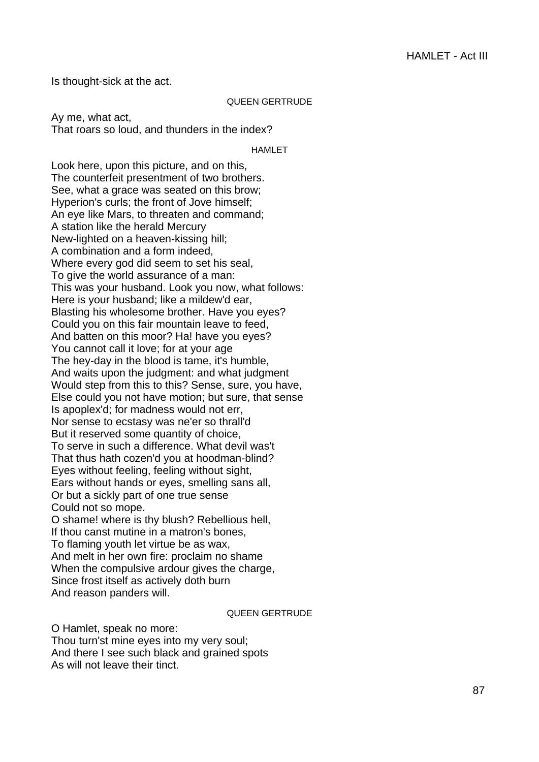Is thought-sick at the act.

#### QUEEN GERTRUDE

Ay me, what act, That roars so loud, and thunders in the index?

HAMLET

Look here, upon this picture, and on this, The counterfeit presentment of two brothers. See, what a grace was seated on this brow; Hyperion's curls; the front of Jove himself; An eye like Mars, to threaten and command; A station like the herald Mercury New-lighted on a heaven-kissing hill; A combination and a form indeed, Where every god did seem to set his seal, To give the world assurance of a man: This was your husband. Look you now, what follows: Here is your husband; like a mildew'd ear, Blasting his wholesome brother. Have you eyes? Could you on this fair mountain leave to feed, And batten on this moor? Ha! have you eyes? You cannot call it love; for at your age The hey-day in the blood is tame, it's humble, And waits upon the judgment: and what judgment Would step from this to this? Sense, sure, you have, Else could you not have motion; but sure, that sense Is apoplex'd; for madness would not err, Nor sense to ecstasy was ne'er so thrall'd But it reserved some quantity of choice, To serve in such a difference. What devil was't That thus hath cozen'd you at hoodman-blind? Eyes without feeling, feeling without sight, Ears without hands or eyes, smelling sans all, Or but a sickly part of one true sense Could not so mope. O shame! where is thy blush? Rebellious hell, If thou canst mutine in a matron's bones, To flaming youth let virtue be as wax, And melt in her own fire: proclaim no shame When the compulsive ardour gives the charge, Since frost itself as actively doth burn

And reason panders will.

# QUEEN GERTRUDE

O Hamlet, speak no more: Thou turn'st mine eyes into my very soul; And there I see such black and grained spots As will not leave their tinct.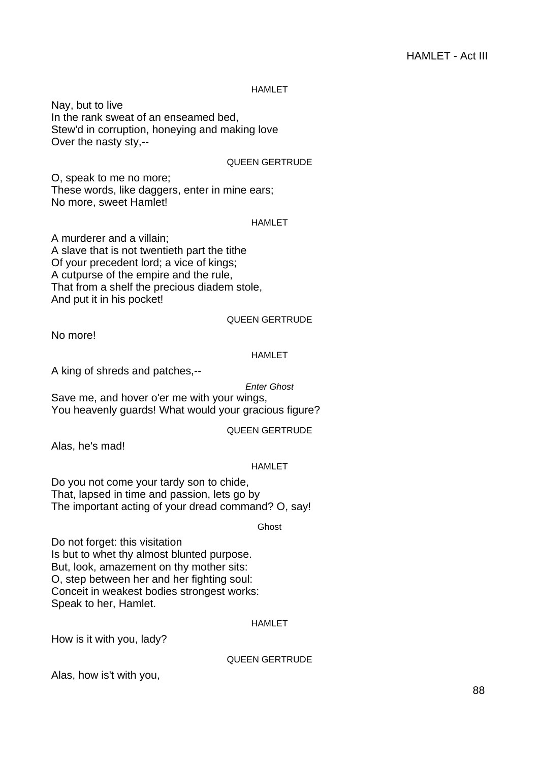**HAMLET** 

Nay, but to live In the rank sweat of an enseamed bed, Stew'd in corruption, honeying and making love Over the nasty sty,--

# QUEEN GERTRUDE

O, speak to me no more; These words, like daggers, enter in mine ears; No more, sweet Hamlet!

# HAMLET

A murderer and a villain; A slave that is not twentieth part the tithe Of your precedent lord; a vice of kings; A cutpurse of the empire and the rule, That from a shelf the precious diadem stole, And put it in his pocket!

# QUEEN GERTRUDE

No more!

# HAMLET

A king of shreds and patches,--

Enter Ghost

Save me, and hover o'er me with your wings, You heavenly guards! What would your gracious figure?

# QUEEN GERTRUDE

Alas, he's mad!

# HAMLET

Do you not come your tardy son to chide, That, lapsed in time and passion, lets go by The important acting of your dread command? O, say!

Ghost

Do not forget: this visitation Is but to whet thy almost blunted purpose. But, look, amazement on thy mother sits: O, step between her and her fighting soul: Conceit in weakest bodies strongest works: Speak to her, Hamlet.

# HAMLET

How is it with you, lady?

# QUEEN GERTRUDE

Alas, how is't with you,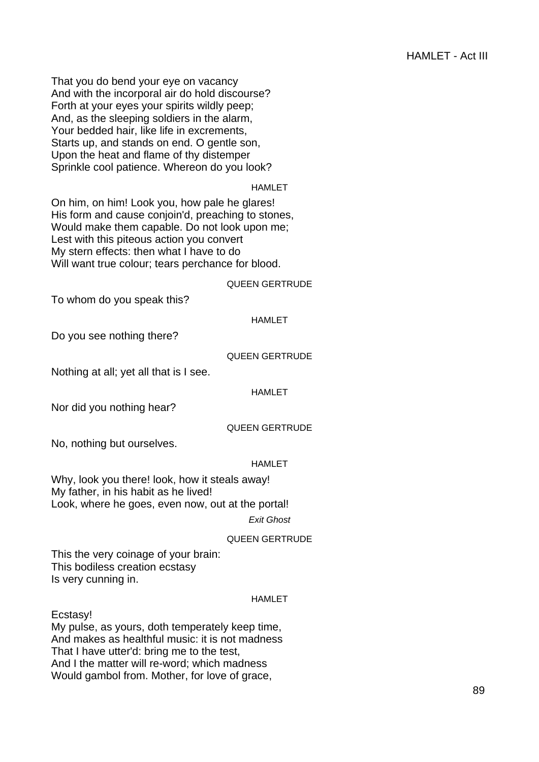That you do bend your eye on vacancy And with the incorporal air do hold discourse? Forth at your eyes your spirits wildly peep; And, as the sleeping soldiers in the alarm, Your bedded hair, like life in excrements, Starts up, and stands on end. O gentle son, Upon the heat and flame of thy distemper Sprinkle cool patience. Whereon do you look?

# HAMLET

On him, on him! Look you, how pale he glares! His form and cause conjoin'd, preaching to stones, Would make them capable. Do not look upon me; Lest with this piteous action you convert My stern effects: then what I have to do Will want true colour; tears perchance for blood.

#### QUEEN GERTRUDE

To whom do you speak this?

# HAMLET

Do you see nothing there?

# QUEEN GERTRUDE

Nothing at all; yet all that is I see.

# HAMLET

Nor did you nothing hear?

# QUEEN GERTRUDE

No, nothing but ourselves.

# HAMLET

Why, look you there! look, how it steals away! My father, in his habit as he lived! Look, where he goes, even now, out at the portal!

Exit Ghost

# QUEEN GERTRUDE

This the very coinage of your brain: This bodiless creation ecstasy Is very cunning in.

# HAMLET

Ecstasy!

My pulse, as yours, doth temperately keep time, And makes as healthful music: it is not madness That I have utter'd: bring me to the test, And I the matter will re-word; which madness Would gambol from. Mother, for love of grace,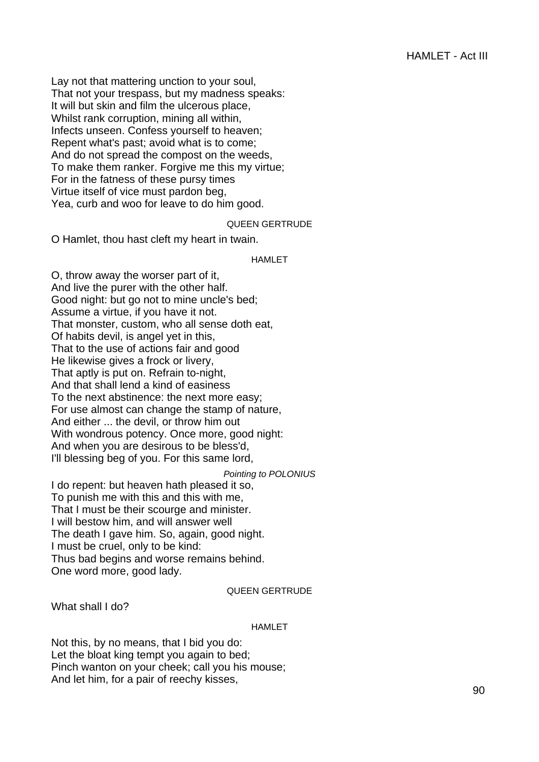Lay not that mattering unction to your soul, That not your trespass, but my madness speaks: It will but skin and film the ulcerous place, Whilst rank corruption, mining all within, Infects unseen. Confess yourself to heaven; Repent what's past; avoid what is to come; And do not spread the compost on the weeds, To make them ranker. Forgive me this my virtue; For in the fatness of these pursy times Virtue itself of vice must pardon beg, Yea, curb and woo for leave to do him good.

# QUEEN GERTRUDE

O Hamlet, thou hast cleft my heart in twain.

#### HAMLET

O, throw away the worser part of it, And live the purer with the other half. Good night: but go not to mine uncle's bed; Assume a virtue, if you have it not. That monster, custom, who all sense doth eat, Of habits devil, is angel yet in this, That to the use of actions fair and good He likewise gives a frock or livery, That aptly is put on. Refrain to-night, And that shall lend a kind of easiness To the next abstinence: the next more easy; For use almost can change the stamp of nature, And either ... the devil, or throw him out With wondrous potency. Once more, good night: And when you are desirous to be bless'd, I'll blessing beg of you. For this same lord,

#### Pointing to POLONIUS

I do repent: but heaven hath pleased it so, To punish me with this and this with me, That I must be their scourge and minister. I will bestow him, and will answer well The death I gave him. So, again, good night. I must be cruel, only to be kind: Thus bad begins and worse remains behind. One word more, good lady.

#### QUEEN GERTRUDE

What shall I do?

# HAMLET

Not this, by no means, that I bid you do: Let the bloat king tempt you again to bed; Pinch wanton on your cheek; call you his mouse; And let him, for a pair of reechy kisses,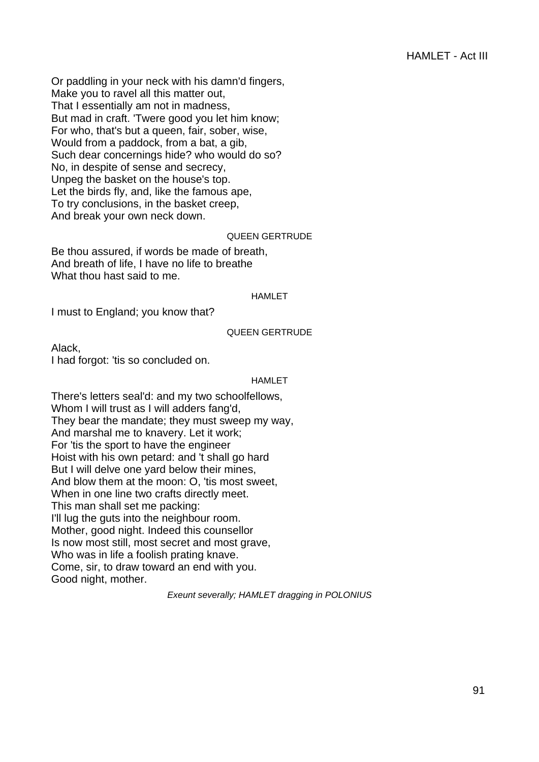Or paddling in your neck with his damn'd fingers, Make you to ravel all this matter out, That I essentially am not in madness, But mad in craft. 'Twere good you let him know; For who, that's but a queen, fair, sober, wise, Would from a paddock, from a bat, a gib, Such dear concernings hide? who would do so? No, in despite of sense and secrecy, Unpeg the basket on the house's top. Let the birds fly, and, like the famous ape, To try conclusions, in the basket creep, And break your own neck down.

# QUEEN GERTRUDE

Be thou assured, if words be made of breath, And breath of life, I have no life to breathe What thou hast said to me.

#### HAMLET

I must to England; you know that?

#### QUEEN GERTRUDE

Alack, I had forgot: 'tis so concluded on.

#### HAMLET

There's letters seal'd: and my two schoolfellows, Whom I will trust as I will adders fang'd, They bear the mandate; they must sweep my way, And marshal me to knavery. Let it work; For 'tis the sport to have the engineer Hoist with his own petard: and 't shall go hard But I will delve one yard below their mines, And blow them at the moon: O, 'tis most sweet, When in one line two crafts directly meet. This man shall set me packing: I'll lug the guts into the neighbour room. Mother, good night. Indeed this counsellor Is now most still, most secret and most grave, Who was in life a foolish prating knave. Come, sir, to draw toward an end with you. Good night, mother.

Exeunt severally; HAMLET dragging in POLONIUS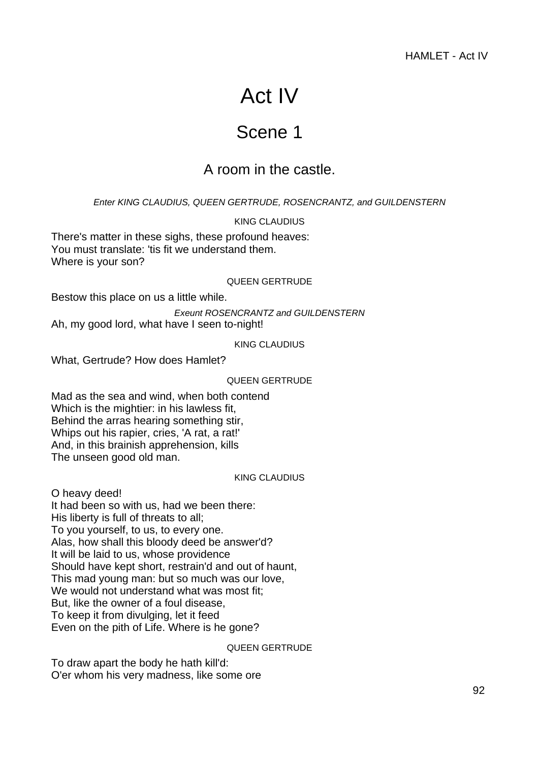# Act IV

# Scene 1

# A room in the castle.

Enter KING CLAUDIUS, QUEEN GERTRUDE, ROSENCRANTZ, and GUILDENSTERN

KING CLAUDIUS

There's matter in these sighs, these profound heaves: You must translate: 'tis fit we understand them. Where is your son?

# QUEEN GERTRUDE

Bestow this place on us a little while.

Exeunt ROSENCRANTZ and GUILDENSTERN Ah, my good lord, what have I seen to-night!

KING CLAUDIUS

What, Gertrude? How does Hamlet?

QUEEN GERTRUDE

Mad as the sea and wind, when both contend Which is the mightier: in his lawless fit, Behind the arras hearing something stir, Whips out his rapier, cries, 'A rat, a rat!' And, in this brainish apprehension, kills The unseen good old man.

KING CLAUDIUS

O heavy deed!

It had been so with us, had we been there: His liberty is full of threats to all; To you yourself, to us, to every one. Alas, how shall this bloody deed be answer'd? It will be laid to us, whose providence Should have kept short, restrain'd and out of haunt, This mad young man: but so much was our love, We would not understand what was most fit: But, like the owner of a foul disease, To keep it from divulging, let it feed Even on the pith of Life. Where is he gone?

# QUEEN GERTRUDE

To draw apart the body he hath kill'd: O'er whom his very madness, like some ore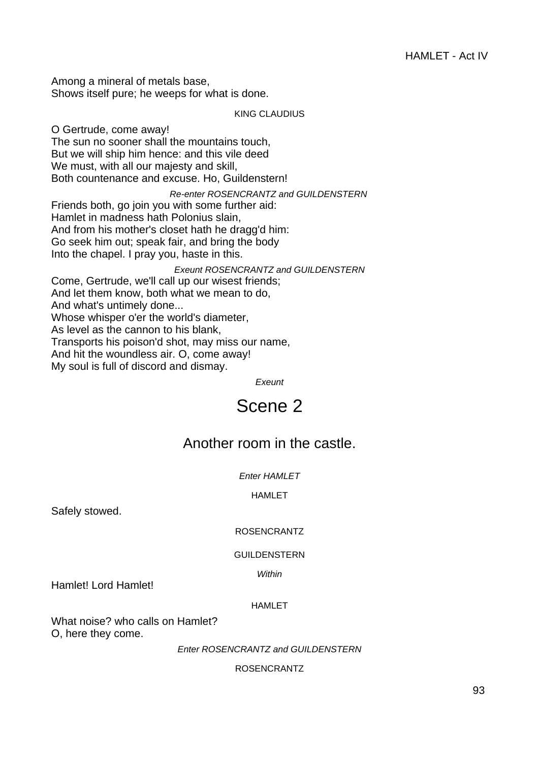Among a mineral of metals base, Shows itself pure; he weeps for what is done.

KING CLAUDIUS

O Gertrude, come away! The sun no sooner shall the mountains touch, But we will ship him hence: and this vile deed We must, with all our majesty and skill, Both countenance and excuse. Ho, Guildenstern! Re-enter ROSENCRANTZ and GUILDENSTERN Friends both, go join you with some further aid: Hamlet in madness hath Polonius slain, And from his mother's closet hath he dragg'd him: Go seek him out; speak fair, and bring the body Into the chapel. I pray you, haste in this. Exeunt ROSENCRANTZ and GUILDENSTERN Come, Gertrude, we'll call up our wisest friends; And let them know, both what we mean to do, And what's untimely done... Whose whisper o'er the world's diameter, As level as the cannon to his blank,

Transports his poison'd shot, may miss our name,

And hit the woundless air. O, come away!

My soul is full of discord and dismay.

Exeunt

# Scene 2

# Another room in the castle.

Enter HAMLET

HAMLET

Safely stowed.

# ROSENCRANTZ

# GUILDENSTERN

Within

Hamlet! Lord Hamlet!

# HAMLET

What noise? who calls on Hamlet? O, here they come.

**Enter ROSENCRANTZ and GUILDENSTERN** 

ROSENCRANTZ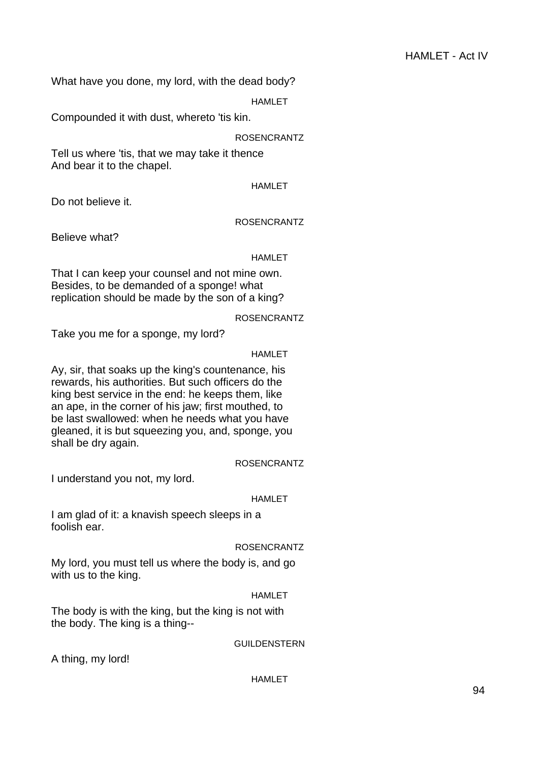What have you done, my lord, with the dead body?

**HAMLET** 

Compounded it with dust, whereto 'tis kin.

ROSENCRANTZ

Tell us where 'tis, that we may take it thence And bear it to the chapel.

HAMLET

Do not believe it.

# ROSENCRANTZ

Believe what?

# HAMLET

That I can keep your counsel and not mine own. Besides, to be demanded of a sponge! what replication should be made by the son of a king?

# ROSENCRANTZ

Take you me for a sponge, my lord?

# HAMLET

Ay, sir, that soaks up the king's countenance, his rewards, his authorities. But such officers do the king best service in the end: he keeps them, like an ape, in the corner of his jaw; first mouthed, to be last swallowed: when he needs what you have gleaned, it is but squeezing you, and, sponge, you shall be dry again.

# ROSENCRANTZ

I understand you not, my lord.

# HAMLET

I am glad of it: a knavish speech sleeps in a foolish ear.

# ROSENCRANTZ

My lord, you must tell us where the body is, and go with us to the king.

# **HAMLET**

The body is with the king, but the king is not with the body. The king is a thing--

# GUILDENSTERN

A thing, my lord!

# HAMLET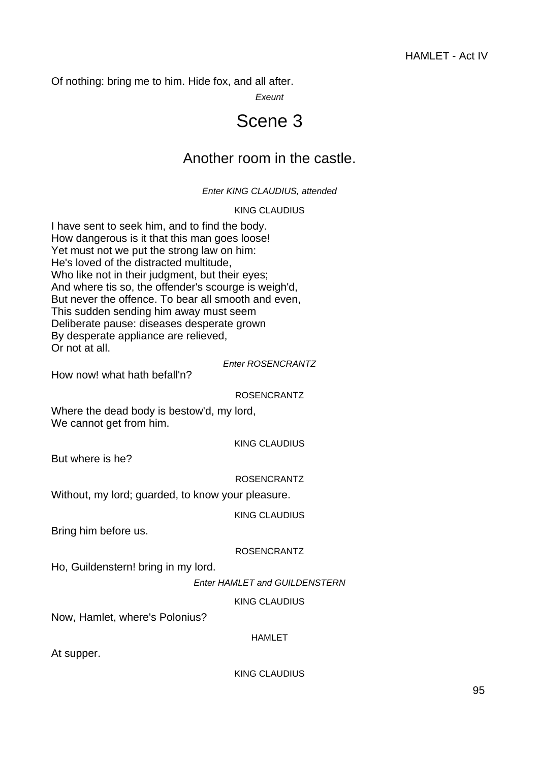Of nothing: bring me to him. Hide fox, and all after.

Exeunt

# Scene 3

# Another room in the castle.

# Enter KING CLAUDIUS, attended

# KING CLAUDIUS

I have sent to seek him, and to find the body. How dangerous is it that this man goes loose! Yet must not we put the strong law on him: He's loved of the distracted multitude, Who like not in their judgment, but their eyes; And where tis so, the offender's scourge is weigh'd, But never the offence. To bear all smooth and even, This sudden sending him away must seem Deliberate pause: diseases desperate grown By desperate appliance are relieved, Or not at all.

# Enter ROSENCRANTZ

How now! what hath befall'n?

# ROSENCRANTZ

Where the dead body is bestow'd, my lord, We cannot get from him.

KING CLAUDIUS

But where is he?

ROSENCRANTZ

Without, my lord; guarded, to know your pleasure.

KING CLAUDIUS

Bring him before us.

# ROSENCRANTZ

Ho, Guildenstern! bring in my lord.

Enter HAMLET and GUILDENSTERN

KING CLAUDIUS

Now, Hamlet, where's Polonius?

HAMLET

At supper.

KING CLAUDIUS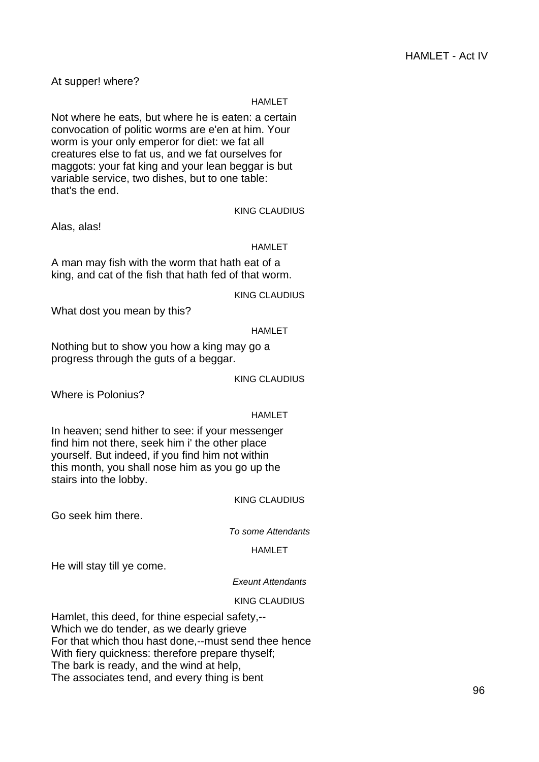At supper! where?

#### HAMLET

Not where he eats, but where he is eaten: a certain convocation of politic worms are e'en at him. Your worm is your only emperor for diet: we fat all creatures else to fat us, and we fat ourselves for maggots: your fat king and your lean beggar is but variable service, two dishes, but to one table: that's the end.

Alas, alas!

# HAMLET

KING CLAUDIUS

A man may fish with the worm that hath eat of a king, and cat of the fish that hath fed of that worm.

KING CLAUDIUS

What dost you mean by this?

#### HAMLET

Nothing but to show you how a king may go a progress through the guts of a beggar.

KING CLAUDIUS

Where is Polonius?

#### HAMLET

In heaven; send hither to see: if your messenger find him not there, seek him i' the other place yourself. But indeed, if you find him not within this month, you shall nose him as you go up the stairs into the lobby.

# KING CLAUDIUS

Go seek him there.

To some Attendants

HAMLET

He will stay till ye come.

#### Exeunt Attendants

#### KING CLAUDIUS

Hamlet, this deed, for thine especial safety,-- Which we do tender, as we dearly grieve For that which thou hast done,--must send thee hence With fiery quickness: therefore prepare thyself; The bark is ready, and the wind at help, The associates tend, and every thing is bent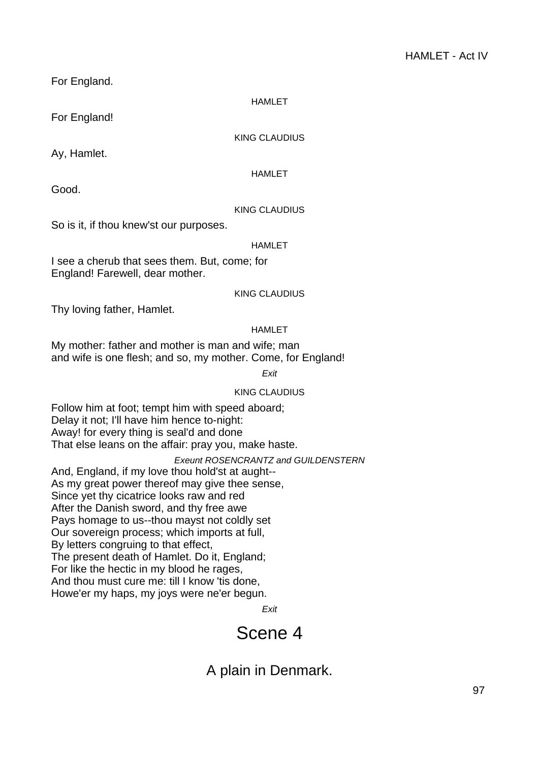For England.

**HAMLET** 

For England!

KING CLAUDIUS

Ay, Hamlet.

HAMLET

Good.

# KING CLAUDIUS

So is it, if thou knew'st our purposes.

# HAMLET

I see a cherub that sees them. But, come; for England! Farewell, dear mother.

KING CLAUDIUS

Thy loving father, Hamlet.

# HAMLET

My mother: father and mother is man and wife; man and wife is one flesh; and so, my mother. Come, for England!

**Exit** 

# KING CLAUDIUS

Follow him at foot; tempt him with speed aboard; Delay it not; I'll have him hence to-night: Away! for every thing is seal'd and done That else leans on the affair: pray you, make haste.

Exeunt ROSENCRANTZ and GUILDENSTERN

And, England, if my love thou hold'st at aught-- As my great power thereof may give thee sense, Since yet thy cicatrice looks raw and red After the Danish sword, and thy free awe Pays homage to us--thou mayst not coldly set Our sovereign process; which imports at full, By letters congruing to that effect, The present death of Hamlet. Do it, England; For like the hectic in my blood he rages, And thou must cure me: till I know 'tis done, Howe'er my haps, my joys were ne'er begun.

Exit

# Scene 4

A plain in Denmark.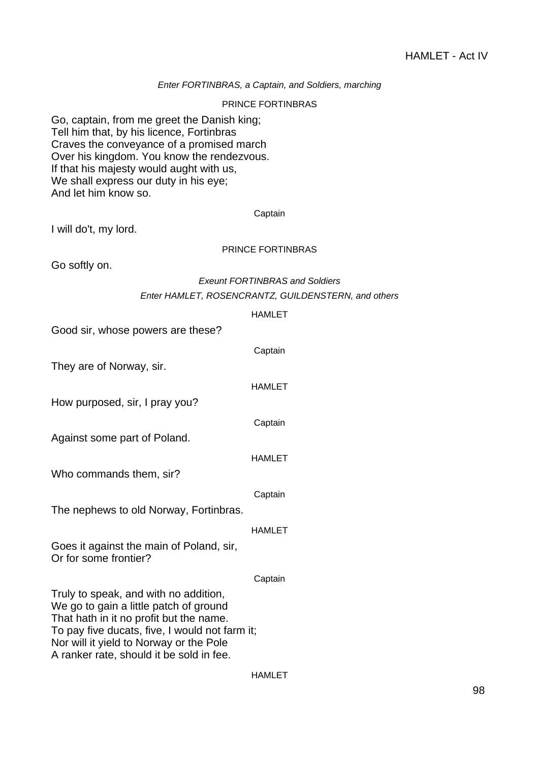# Enter FORTINBRAS, a Captain, and Soldiers, marching

#### PRINCE FORTINBRAS

Go, captain, from me greet the Danish king; Tell him that, by his licence, Fortinbras Craves the conveyance of a promised march Over his kingdom. You know the rendezvous. If that his majesty would aught with us, We shall express our duty in his eye; And let him know so.

#### Captain

I will do't, my lord.

# PRINCE FORTINBRAS

Go softly on.

# Exeunt FORTINBRAS and Soldiers Enter HAMLET, ROSENCRANTZ, GUILDENSTERN, and others

|                                                                                                                                                                                                                                                                     | <b>HAMLET</b> |
|---------------------------------------------------------------------------------------------------------------------------------------------------------------------------------------------------------------------------------------------------------------------|---------------|
| Good sir, whose powers are these?                                                                                                                                                                                                                                   |               |
|                                                                                                                                                                                                                                                                     | Captain       |
| They are of Norway, sir.                                                                                                                                                                                                                                            |               |
|                                                                                                                                                                                                                                                                     | <b>HAMLET</b> |
| How purposed, sir, I pray you?                                                                                                                                                                                                                                      |               |
|                                                                                                                                                                                                                                                                     | Captain       |
| Against some part of Poland.                                                                                                                                                                                                                                        |               |
|                                                                                                                                                                                                                                                                     | <b>HAMLET</b> |
| Who commands them, sir?                                                                                                                                                                                                                                             |               |
|                                                                                                                                                                                                                                                                     | Captain       |
| The nephews to old Norway, Fortinbras.                                                                                                                                                                                                                              |               |
|                                                                                                                                                                                                                                                                     | <b>HAMLET</b> |
| Goes it against the main of Poland, sir,<br>Or for some frontier?                                                                                                                                                                                                   |               |
|                                                                                                                                                                                                                                                                     | Captain       |
| Truly to speak, and with no addition,<br>We go to gain a little patch of ground<br>That hath in it no profit but the name.<br>To pay five ducats, five, I would not farm it;<br>Nor will it yield to Norway or the Pole<br>A ranker rate, should it be sold in fee. |               |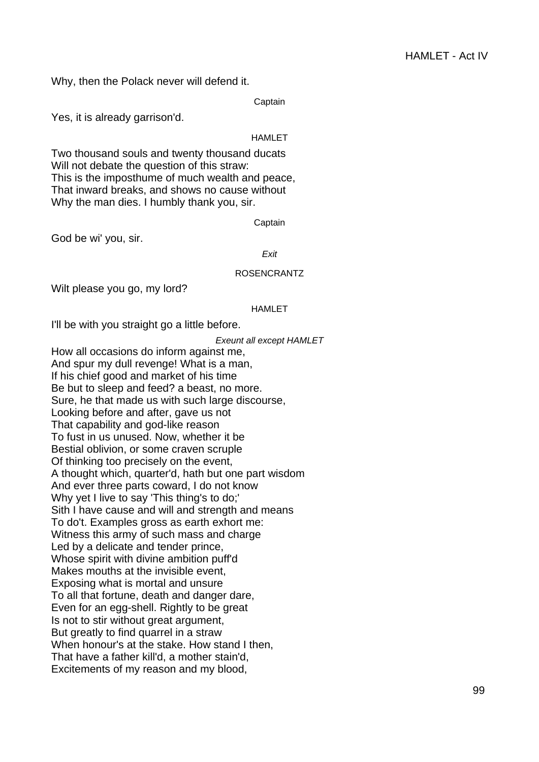Why, then the Polack never will defend it.

**Captain** 

Yes, it is already garrison'd.

HAMLET

Two thousand souls and twenty thousand ducats Will not debate the question of this straw: This is the imposthume of much wealth and peace, That inward breaks, and shows no cause without Why the man dies. I humbly thank you, sir.

Captain

God be wi' you, sir.

**Exit** 

# ROSENCRANTZ

Wilt please you go, my lord?

#### HAMLET

I'll be with you straight go a little before.

Exeunt all except HAMLET

How all occasions do inform against me, And spur my dull revenge! What is a man, If his chief good and market of his time Be but to sleep and feed? a beast, no more. Sure, he that made us with such large discourse, Looking before and after, gave us not That capability and god-like reason To fust in us unused. Now, whether it be Bestial oblivion, or some craven scruple Of thinking too precisely on the event, A thought which, quarter'd, hath but one part wisdom And ever three parts coward, I do not know Why yet I live to say 'This thing's to do;' Sith I have cause and will and strength and means To do't. Examples gross as earth exhort me: Witness this army of such mass and charge Led by a delicate and tender prince, Whose spirit with divine ambition puff'd Makes mouths at the invisible event, Exposing what is mortal and unsure To all that fortune, death and danger dare, Even for an egg-shell. Rightly to be great Is not to stir without great argument, But greatly to find quarrel in a straw When honour's at the stake. How stand I then, That have a father kill'd, a mother stain'd, Excitements of my reason and my blood,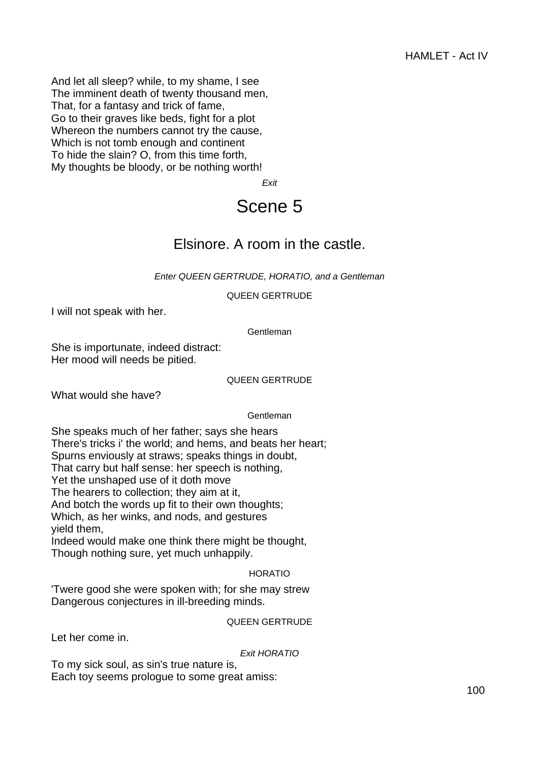And let all sleep? while, to my shame, I see The imminent death of twenty thousand men, That, for a fantasy and trick of fame, Go to their graves like beds, fight for a plot Whereon the numbers cannot try the cause, Which is not tomb enough and continent To hide the slain? O, from this time forth, My thoughts be bloody, or be nothing worth!

Exit

# Scene 5

# Elsinore. A room in the castle.

Enter QUEEN GERTRUDE, HORATIO, and a Gentleman

QUEEN GERTRUDE

I will not speak with her.

**Gentleman** 

She is importunate, indeed distract: Her mood will needs be pitied.

#### QUEEN GERTRUDE

What would she have?

**Gentleman** 

She speaks much of her father; says she hears There's tricks i' the world; and hems, and beats her heart; Spurns enviously at straws; speaks things in doubt, That carry but half sense: her speech is nothing, Yet the unshaped use of it doth move The hearers to collection; they aim at it, And botch the words up fit to their own thoughts; Which, as her winks, and nods, and gestures yield them,

Indeed would make one think there might be thought, Though nothing sure, yet much unhappily.

# HORATIO

'Twere good she were spoken with; for she may strew Dangerous conjectures in ill-breeding minds.

# QUEEN GERTRUDE

Let her come in.

Exit HORATIO

To my sick soul, as sin's true nature is, Each toy seems prologue to some great amiss: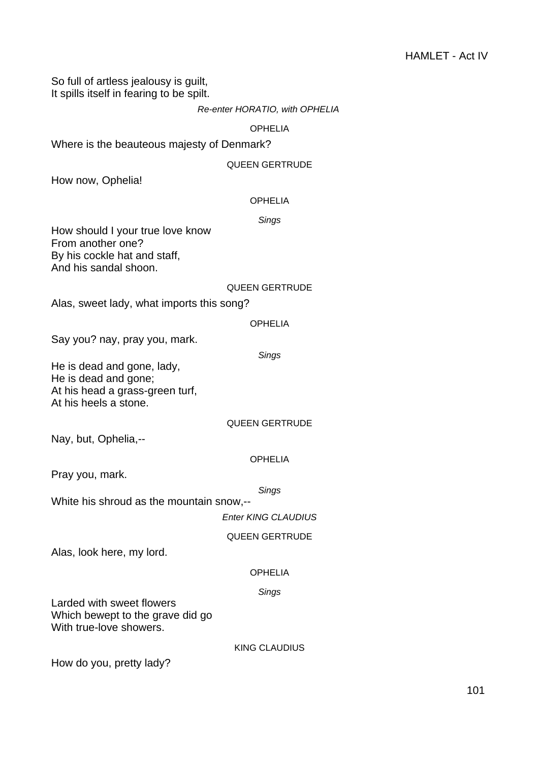So full of artless jealousy is guilt, It spills itself in fearing to be spilt.

# OPHELIA

Where is the beauteous majesty of Denmark?

# QUEEN GERTRUDE

How now, Ophelia!

# OPHELIA

# Sings

How should I your true love know From another one? By his cockle hat and staff, And his sandal shoon.

# QUEEN GERTRUDE

Alas, sweet lady, what imports this song?

#### OPHELIA

Say you? nay, pray you, mark.

#### **Sings**

He is dead and gone, lady, He is dead and gone; At his head a grass-green turf, At his heels a stone.

# QUEEN GERTRUDE

Nay, but, Ophelia,--

# OPHELIA

Pray you, mark.

**Sings** 

White his shroud as the mountain snow,--

Enter KING CLAUDIUS

# QUEEN GERTRUDE

Alas, look here, my lord.

# OPHELIA

# Sings

Larded with sweet flowers Which bewept to the grave did go With true-love showers.

KING CLAUDIUS

How do you, pretty lady?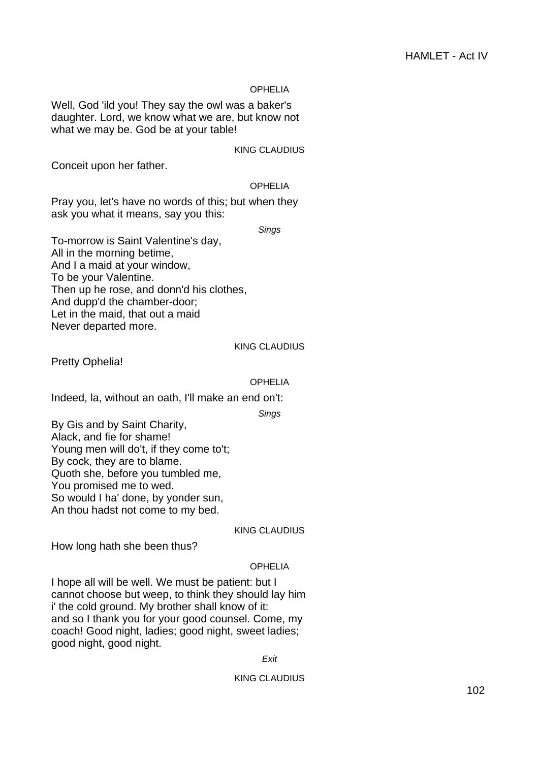# OPHELIA

Well, God 'ild you! They say the owl was a baker's daughter. Lord, we know what we are, but know not what we may be. God be at your table!

KING CLAUDIUS

Conceit upon her father.

# OPHELIA

Pray you, let's have no words of this; but when they ask you what it means, say you this:

Sings

To-morrow is Saint Valentine's day, All in the morning betime, And I a maid at your window, To be your Valentine. Then up he rose, and donn'd his clothes, And dupp'd the chamber-door; Let in the maid, that out a maid Never departed more.

#### KING CLAUDIUS

Pretty Ophelia!

# OPHELIA

Indeed, la, without an oath, I'll make an end on't:

Sings

By Gis and by Saint Charity, Alack, and fie for shame! Young men will do't, if they come to't; By cock, they are to blame. Quoth she, before you tumbled me, You promised me to wed. So would I ha' done, by yonder sun, An thou hadst not come to my bed.

# KING CLAUDIUS

How long hath she been thus?

# OPHELIA

I hope all will be well. We must be patient: but I cannot choose but weep, to think they should lay him i' the cold ground. My brother shall know of it: and so I thank you for your good counsel. Come, my coach! Good night, ladies; good night, sweet ladies; good night, good night.

**Exit** 

# KING CLAUDIUS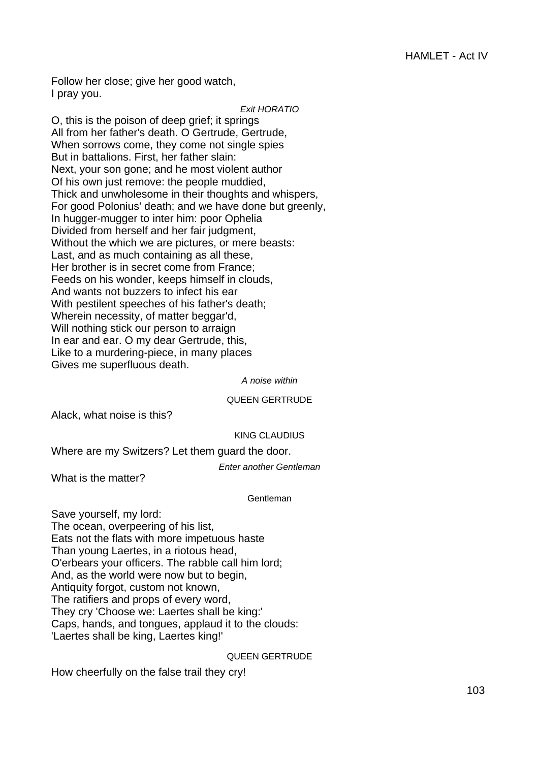Follow her close; give her good watch, I pray you.

#### Exit HORATIO

O, this is the poison of deep grief; it springs All from her father's death. O Gertrude, Gertrude, When sorrows come, they come not single spies But in battalions. First, her father slain: Next, your son gone; and he most violent author Of his own just remove: the people muddied, Thick and unwholesome in their thoughts and whispers, For good Polonius' death; and we have done but greenly, In hugger-mugger to inter him: poor Ophelia Divided from herself and her fair judgment, Without the which we are pictures, or mere beasts: Last, and as much containing as all these, Her brother is in secret come from France; Feeds on his wonder, keeps himself in clouds, And wants not buzzers to infect his ear With pestilent speeches of his father's death; Wherein necessity, of matter beggar'd, Will nothing stick our person to arraign In ear and ear. O my dear Gertrude, this, Like to a murdering-piece, in many places Gives me superfluous death.

A noise within

#### QUEEN GERTRUDE

Alack, what noise is this?

# KING CLAUDIUS

Where are my Switzers? Let them guard the door.

Enter another Gentleman

What is the matter?

# Gentleman

Save yourself, my lord: The ocean, overpeering of his list, Eats not the flats with more impetuous haste Than young Laertes, in a riotous head, O'erbears your officers. The rabble call him lord; And, as the world were now but to begin, Antiquity forgot, custom not known, The ratifiers and props of every word, They cry 'Choose we: Laertes shall be king:' Caps, hands, and tongues, applaud it to the clouds: 'Laertes shall be king, Laertes king!'

# QUEEN GERTRUDE

How cheerfully on the false trail they cry!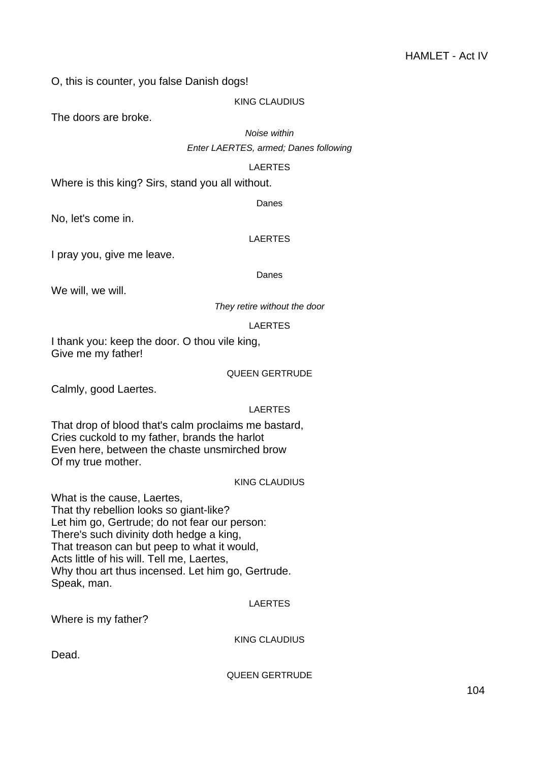O, this is counter, you false Danish dogs!

# KING CLAUDIUS

The doors are broke.

Noise within

Enter LAERTES, armed; Danes following

# LAERTES

Where is this king? Sirs, stand you all without.

Danes

No, let's come in.

# LAERTES

I pray you, give me leave.

# Danes

We will, we will.

They retire without the door

LAERTES

I thank you: keep the door. O thou vile king, Give me my father!

# QUEEN GERTRUDE

Calmly, good Laertes.

# LAERTES

That drop of blood that's calm proclaims me bastard, Cries cuckold to my father, brands the harlot Even here, between the chaste unsmirched brow Of my true mother.

# KING CLAUDIUS

What is the cause, Laertes, That thy rebellion looks so giant-like? Let him go, Gertrude; do not fear our person: There's such divinity doth hedge a king, That treason can but peep to what it would, Acts little of his will. Tell me, Laertes, Why thou art thus incensed. Let him go, Gertrude. Speak, man.

# LAERTES

Where is my father?

KING CLAUDIUS

Dead.

QUEEN GERTRUDE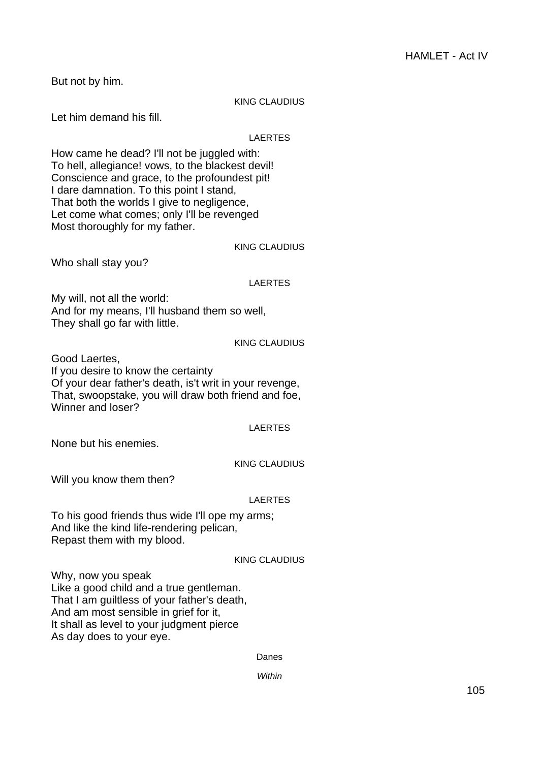But not by him.

# KING CLAUDIUS

Let him demand his fill.

# LAERTES

How came he dead? I'll not be juggled with: To hell, allegiance! vows, to the blackest devil! Conscience and grace, to the profoundest pit! I dare damnation. To this point I stand, That both the worlds I give to negligence, Let come what comes; only I'll be revenged Most thoroughly for my father.

# KING CLAUDIUS

Who shall stay you?

# LAERTES

My will, not all the world: And for my means, I'll husband them so well, They shall go far with little.

# KING CLAUDIUS

Good Laertes, If you desire to know the certainty Of your dear father's death, is't writ in your revenge, That, swoopstake, you will draw both friend and foe, Winner and loser?

# LAERTES

None but his enemies.

# KING CLAUDIUS

Will you know them then?

# LAERTES

To his good friends thus wide I'll ope my arms; And like the kind life-rendering pelican, Repast them with my blood.

# KING CLAUDIUS

Why, now you speak Like a good child and a true gentleman. That I am guiltless of your father's death, And am most sensible in grief for it, It shall as level to your judgment pierce As day does to your eye.

Danes

**Within**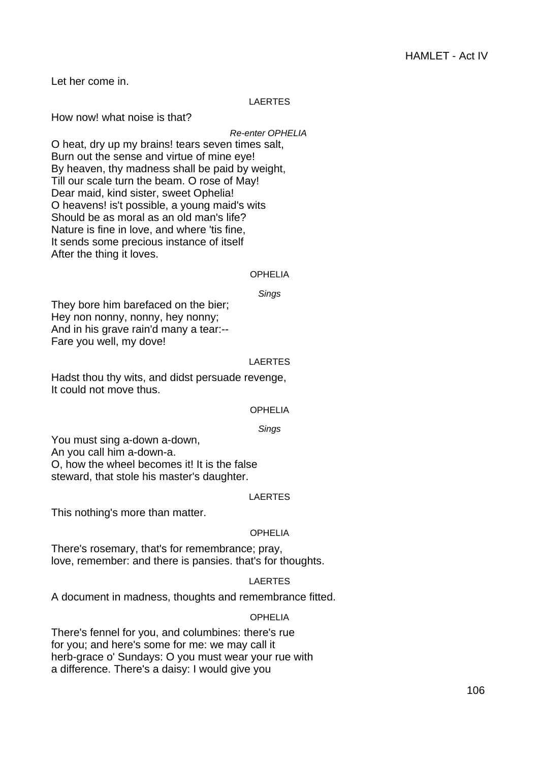Let her come in.

# LAERTES

How now! what noise is that?

Re-enter OPHELIA

O heat, dry up my brains! tears seven times salt, Burn out the sense and virtue of mine eye! By heaven, thy madness shall be paid by weight, Till our scale turn the beam. O rose of May! Dear maid, kind sister, sweet Ophelia! O heavens! is't possible, a young maid's wits Should be as moral as an old man's life? Nature is fine in love, and where 'tis fine, It sends some precious instance of itself After the thing it loves.

#### OPHELIA

Sings

They bore him barefaced on the bier; Hey non nonny, nonny, hey nonny; And in his grave rain'd many a tear:-- Fare you well, my dove!

#### **LAERTES**

Hadst thou thy wits, and didst persuade revenge, It could not move thus.

#### OPHELIA

Sings

You must sing a-down a-down, An you call him a-down-a. O, how the wheel becomes it! It is the false steward, that stole his master's daughter.

# LAERTES

This nothing's more than matter.

# OPHELIA

There's rosemary, that's for remembrance; pray, love, remember: and there is pansies. that's for thoughts.

# LAERTES

A document in madness, thoughts and remembrance fitted.

# **OPHELIA**

There's fennel for you, and columbines: there's rue for you; and here's some for me: we may call it herb-grace o' Sundays: O you must wear your rue with a difference. There's a daisy: I would give you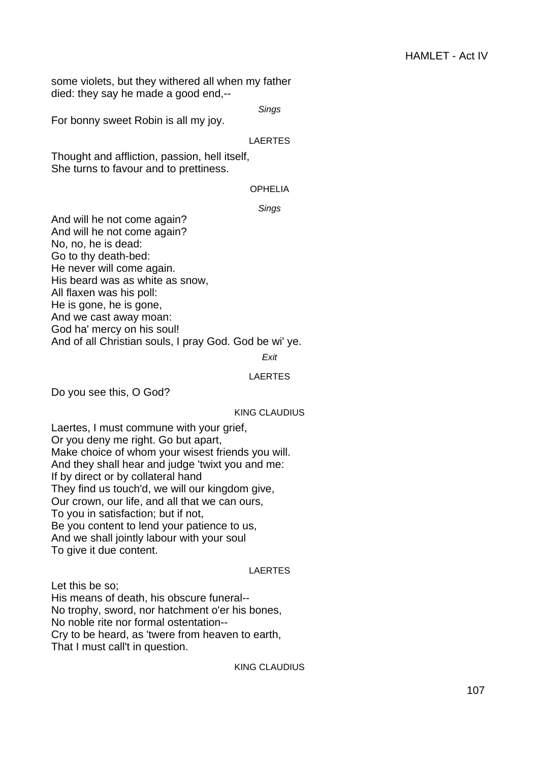some violets, but they withered all when my father died: they say he made a good end,--

Sings

For bonny sweet Robin is all my joy.

#### LAERTES

Thought and affliction, passion, hell itself, She turns to favour and to prettiness.

# OPHELIA

Sings

And will he not come again? And will he not come again? No, no, he is dead: Go to thy death-bed: He never will come again. His beard was as white as snow, All flaxen was his poll: He is gone, he is gone, And we cast away moan: God ha' mercy on his soul! And of all Christian souls, I pray God. God be wi' ye.

#### Exit

#### LAERTES

Do you see this, O God?

#### KING CLAUDIUS

Laertes, I must commune with your grief, Or you deny me right. Go but apart, Make choice of whom your wisest friends you will. And they shall hear and judge 'twixt you and me: If by direct or by collateral hand They find us touch'd, we will our kingdom give, Our crown, our life, and all that we can ours, To you in satisfaction; but if not, Be you content to lend your patience to us, And we shall jointly labour with your soul To give it due content.

# LAERTES

Let this be so; His means of death, his obscure funeral-- No trophy, sword, nor hatchment o'er his bones, No noble rite nor formal ostentation-- Cry to be heard, as 'twere from heaven to earth, That I must call't in question.

KING CLAUDIUS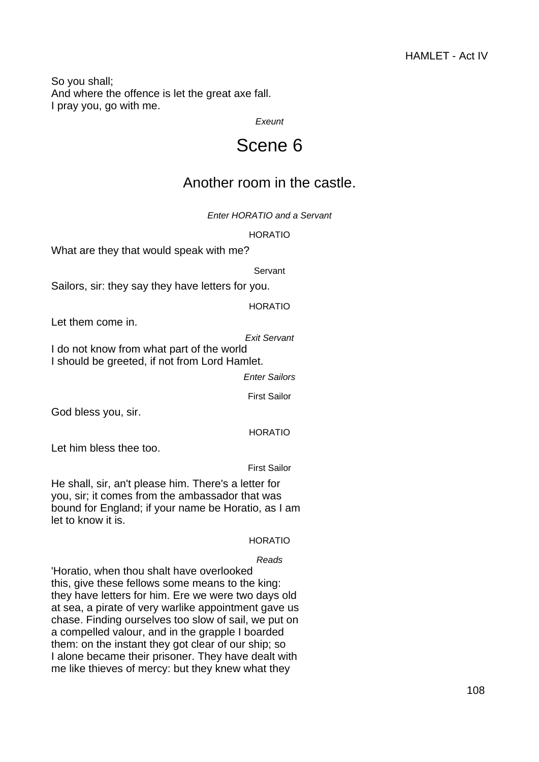So you shall; And where the offence is let the great axe fall. I pray you, go with me.

**Exeunt** 

# Scene 6

# Another room in the castle.

Enter HORATIO and a Servant

HORATIO

What are they that would speak with me?

Servant

Sailors, sir: they say they have letters for you.

HORATIO

Let them come in.

Exit Servant

I do not know from what part of the world I should be greeted, if not from Lord Hamlet.

Enter Sailors

First Sailor

God bless you, sir.

HORATIO

Let him bless thee too.

First Sailor

He shall, sir, an't please him. There's a letter for you, sir; it comes from the ambassador that was bound for England; if your name be Horatio, as I am let to know it is.

# HORATIO

# Reads

'Horatio, when thou shalt have overlooked this, give these fellows some means to the king: they have letters for him. Ere we were two days old at sea, a pirate of very warlike appointment gave us chase. Finding ourselves too slow of sail, we put on a compelled valour, and in the grapple I boarded them: on the instant they got clear of our ship; so I alone became their prisoner. They have dealt with me like thieves of mercy: but they knew what they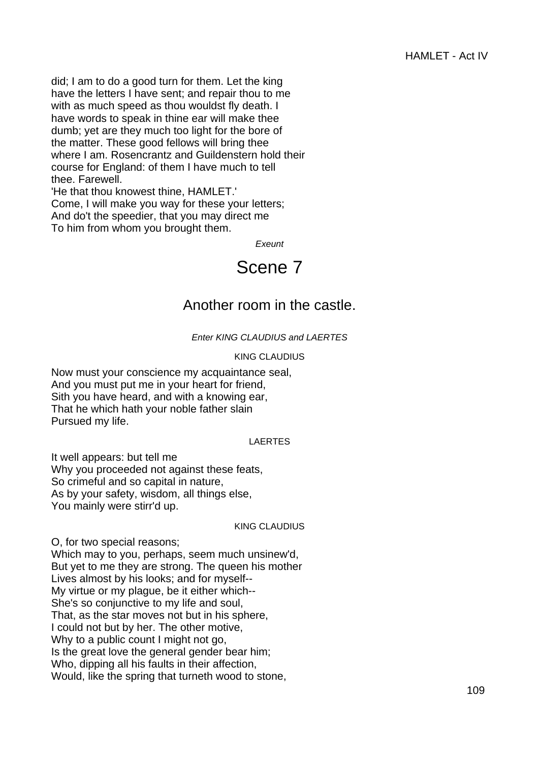did; I am to do a good turn for them. Let the king have the letters I have sent; and repair thou to me with as much speed as thou wouldst fly death. I have words to speak in thine ear will make thee dumb; yet are they much too light for the bore of the matter. These good fellows will bring thee where I am. Rosencrantz and Guildenstern hold their course for England: of them I have much to tell thee. Farewell.

'He that thou knowest thine, HAMLET.' Come, I will make you way for these your letters; And do't the speedier, that you may direct me To him from whom you brought them.

**Exeunt** 

## Scene 7

## Another room in the castle.

## Enter KING CLAUDIUS and LAERTES

## KING CLAUDIUS

Now must your conscience my acquaintance seal, And you must put me in your heart for friend, Sith you have heard, and with a knowing ear, That he which hath your noble father slain Pursued my life.

## LAERTES

It well appears: but tell me Why you proceeded not against these feats, So crimeful and so capital in nature, As by your safety, wisdom, all things else, You mainly were stirr'd up.

## KING CLAUDIUS

O, for two special reasons; Which may to you, perhaps, seem much unsinew'd, But yet to me they are strong. The queen his mother Lives almost by his looks; and for myself-- My virtue or my plague, be it either which-- She's so conjunctive to my life and soul, That, as the star moves not but in his sphere, I could not but by her. The other motive, Why to a public count I might not go, Is the great love the general gender bear him; Who, dipping all his faults in their affection, Would, like the spring that turneth wood to stone,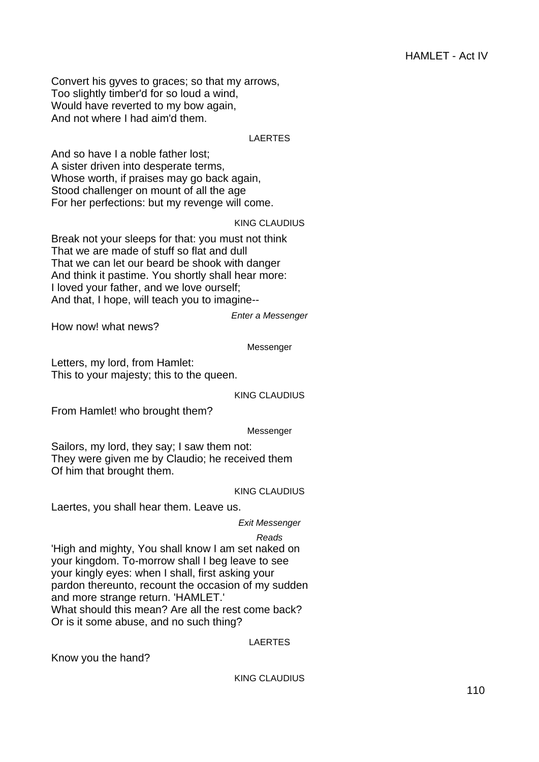Convert his gyves to graces; so that my arrows, Too slightly timber'd for so loud a wind, Would have reverted to my bow again, And not where I had aim'd them.

## LAERTES

And so have I a noble father lost; A sister driven into desperate terms, Whose worth, if praises may go back again, Stood challenger on mount of all the age For her perfections: but my revenge will come.

#### KING CLAUDIUS

Break not your sleeps for that: you must not think That we are made of stuff so flat and dull That we can let our beard be shook with danger And think it pastime. You shortly shall hear more: I loved your father, and we love ourself; And that, I hope, will teach you to imagine--

How now! what news?

Messenger

Enter a Messenger

Letters, my lord, from Hamlet: This to your majesty; this to the queen.

KING CLAUDIUS

From Hamlet! who brought them?

Messenger

Sailors, my lord, they say; I saw them not: They were given me by Claudio; he received them Of him that brought them.

## KING CLAUDIUS

Laertes, you shall hear them. Leave us.

## Exit Messenger

Reads

'High and mighty, You shall know I am set naked on your kingdom. To-morrow shall I beg leave to see your kingly eyes: when I shall, first asking your pardon thereunto, recount the occasion of my sudden and more strange return. 'HAMLET.' What should this mean? Are all the rest come back? Or is it some abuse, and no such thing?

## LAERTES

Know you the hand?

KING CLAUDIUS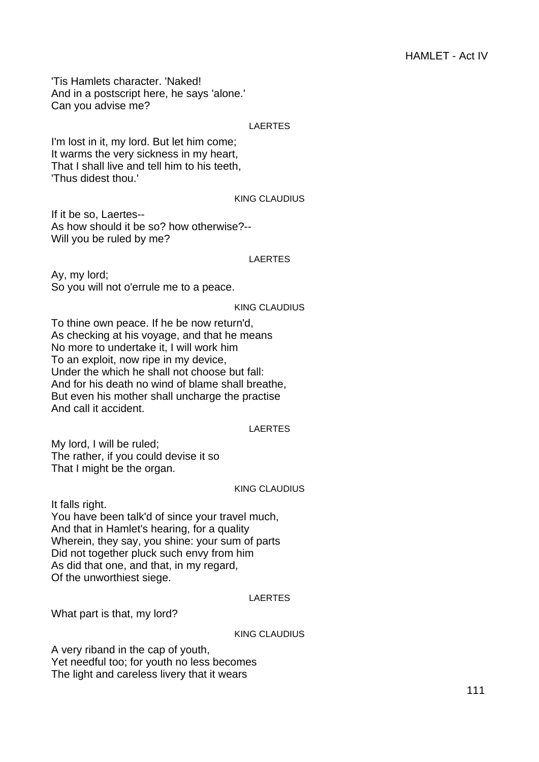'Tis Hamlets character. 'Naked! And in a postscript here, he says 'alone.' Can you advise me?

## LAERTES

I'm lost in it, my lord. But let him come; It warms the very sickness in my heart, That I shall live and tell him to his teeth, 'Thus didest thou.'

### KING CLAUDIUS

If it be so, Laertes-- As how should it be so? how otherwise?-- Will you be ruled by me?

#### LAERTES

Ay, my lord; So you will not o'errule me to a peace.

#### KING CLAUDIUS

To thine own peace. If he be now return'd, As checking at his voyage, and that he means No more to undertake it, I will work him To an exploit, now ripe in my device, Under the which he shall not choose but fall: And for his death no wind of blame shall breathe, But even his mother shall uncharge the practise And call it accident.

## LAERTES

My lord, I will be ruled; The rather, if you could devise it so That I might be the organ.

#### KING CLAUDIUS

It falls right.

You have been talk'd of since your travel much, And that in Hamlet's hearing, for a quality Wherein, they say, you shine: your sum of parts Did not together pluck such envy from him As did that one, and that, in my regard, Of the unworthiest siege.

## LAERTES

What part is that, my lord?

## KING CLAUDIUS

A very riband in the cap of youth, Yet needful too; for youth no less becomes The light and careless livery that it wears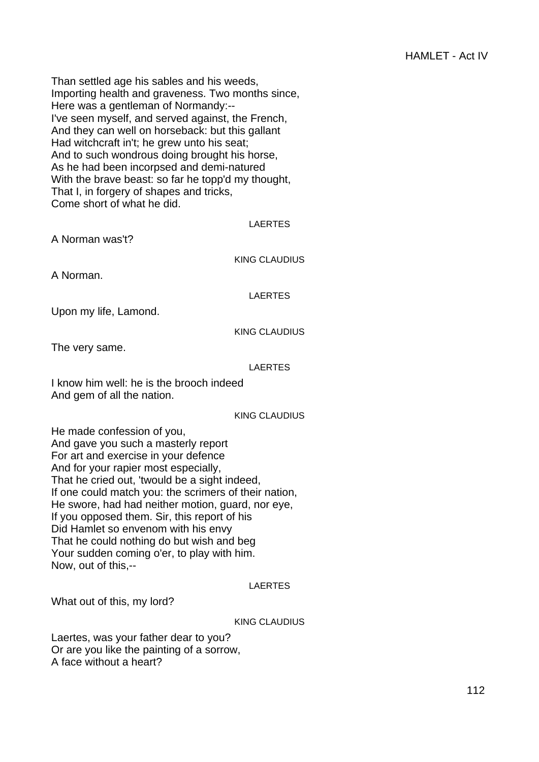Than settled age his sables and his weeds, Importing health and graveness. Two months since, Here was a gentleman of Normandy:--I've seen myself, and served against, the French, And they can well on horseback: but this gallant Had witchcraft in't; he grew unto his seat; And to such wondrous doing brought his horse, As he had been incorpsed and demi-natured With the brave beast: so far he topp'd my thought, That I, in forgery of shapes and tricks, Come short of what he did.

## LAERTES

A Norman was't?

KING CLAUDIUS

A Norman.

LAERTES

Upon my life, Lamond.

KING CLAUDIUS

The very same.

## LAERTES

I know him well: he is the brooch indeed And gem of all the nation.

## KING CLAUDIUS

He made confession of you, And gave you such a masterly report For art and exercise in your defence And for your rapier most especially, That he cried out, 'twould be a sight indeed, If one could match you: the scrimers of their nation, He swore, had had neither motion, guard, nor eye, If you opposed them. Sir, this report of his Did Hamlet so envenom with his envy That he could nothing do but wish and beg Your sudden coming o'er, to play with him. Now, out of this,--

## LAERTES

What out of this, my lord?

## KING CLAUDIUS

Laertes, was your father dear to you? Or are you like the painting of a sorrow, A face without a heart?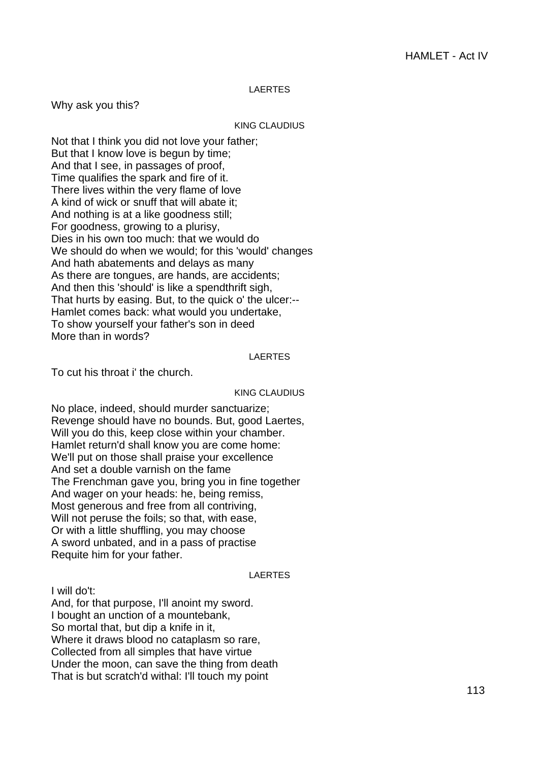### LAERTES

Why ask you this?

#### KING CLAUDIUS

Not that I think you did not love your father; But that I know love is begun by time; And that I see, in passages of proof, Time qualifies the spark and fire of it. There lives within the very flame of love A kind of wick or snuff that will abate it; And nothing is at a like goodness still; For goodness, growing to a plurisy, Dies in his own too much: that we would do We should do when we would; for this 'would' changes And hath abatements and delays as many As there are tongues, are hands, are accidents; And then this 'should' is like a spendthrift sigh, That hurts by easing. But, to the quick o' the ulcer:-- Hamlet comes back: what would you undertake, To show yourself your father's son in deed More than in words?

#### LAERTES

To cut his throat i' the church.

#### KING CLAUDIUS

No place, indeed, should murder sanctuarize; Revenge should have no bounds. But, good Laertes, Will you do this, keep close within your chamber. Hamlet return'd shall know you are come home: We'll put on those shall praise your excellence And set a double varnish on the fame The Frenchman gave you, bring you in fine together And wager on your heads: he, being remiss, Most generous and free from all contriving, Will not peruse the foils; so that, with ease, Or with a little shuffling, you may choose A sword unbated, and in a pass of practise Requite him for your father.

#### LAERTES

I will do't:

And, for that purpose, I'll anoint my sword. I bought an unction of a mountebank, So mortal that, but dip a knife in it, Where it draws blood no cataplasm so rare, Collected from all simples that have virtue Under the moon, can save the thing from death That is but scratch'd withal: I'll touch my point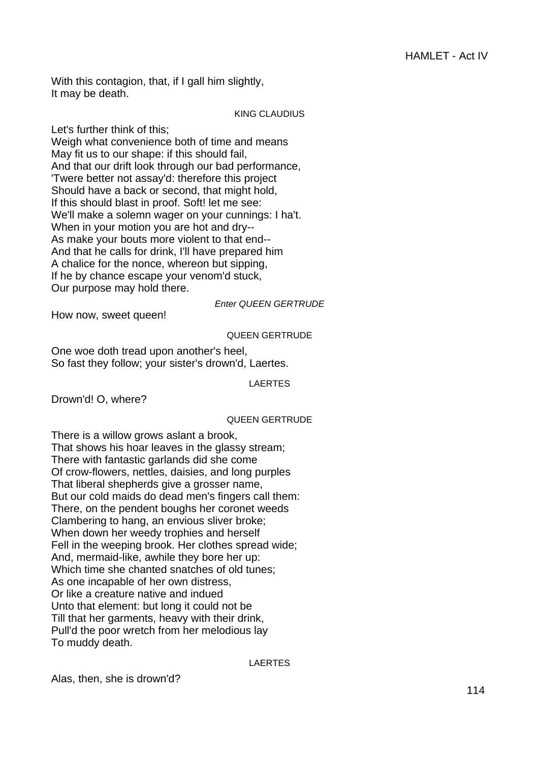With this contagion, that, if I gall him slightly, It may be death.

## KING CLAUDIUS

Let's further think of this;

Weigh what convenience both of time and means May fit us to our shape: if this should fail, And that our drift look through our bad performance, 'Twere better not assay'd: therefore this project Should have a back or second, that might hold, If this should blast in proof. Soft! let me see: We'll make a solemn wager on your cunnings: I ha't. When in your motion you are hot and dry-- As make your bouts more violent to that end-- And that he calls for drink, I'll have prepared him A chalice for the nonce, whereon but sipping, If he by chance escape your venom'd stuck, Our purpose may hold there.

Enter QUEEN GERTRUDE

How now, sweet queen!

## QUEEN GERTRUDE

One woe doth tread upon another's heel, So fast they follow; your sister's drown'd, Laertes.

LAERTES

Drown'd! O, where?

## QUEEN GERTRUDE

There is a willow grows aslant a brook, That shows his hoar leaves in the glassy stream; There with fantastic garlands did she come Of crow-flowers, nettles, daisies, and long purples That liberal shepherds give a grosser name, But our cold maids do dead men's fingers call them: There, on the pendent boughs her coronet weeds Clambering to hang, an envious sliver broke; When down her weedy trophies and herself Fell in the weeping brook. Her clothes spread wide; And, mermaid-like, awhile they bore her up: Which time she chanted snatches of old tunes; As one incapable of her own distress, Or like a creature native and indued Unto that element: but long it could not be Till that her garments, heavy with their drink, Pull'd the poor wretch from her melodious lay To muddy death.

LAERTES

Alas, then, she is drown'd?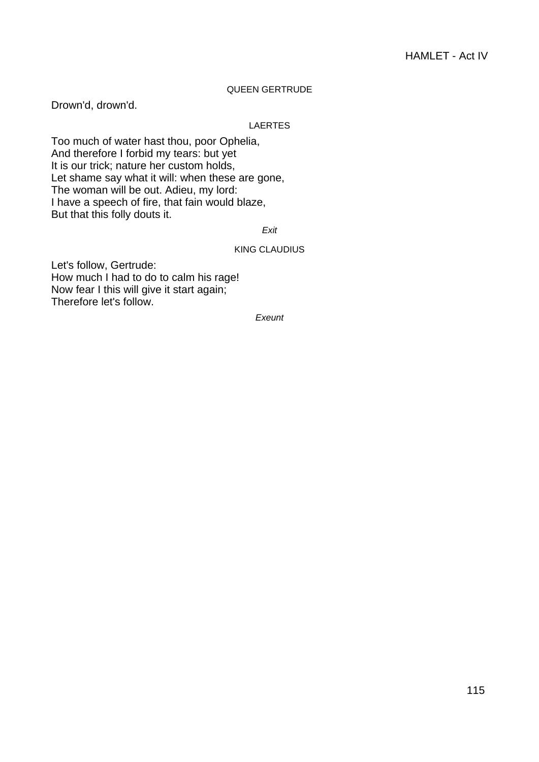## QUEEN GERTRUDE

Drown'd, drown'd.

## LAERTES

Too much of water hast thou, poor Ophelia, And therefore I forbid my tears: but yet It is our trick; nature her custom holds, Let shame say what it will: when these are gone, The woman will be out. Adieu, my lord: I have a speech of fire, that fain would blaze, But that this folly douts it.

Exit

## KING CLAUDIUS

Let's follow, Gertrude: How much I had to do to calm his rage! Now fear I this will give it start again; Therefore let's follow.

**Exeunt**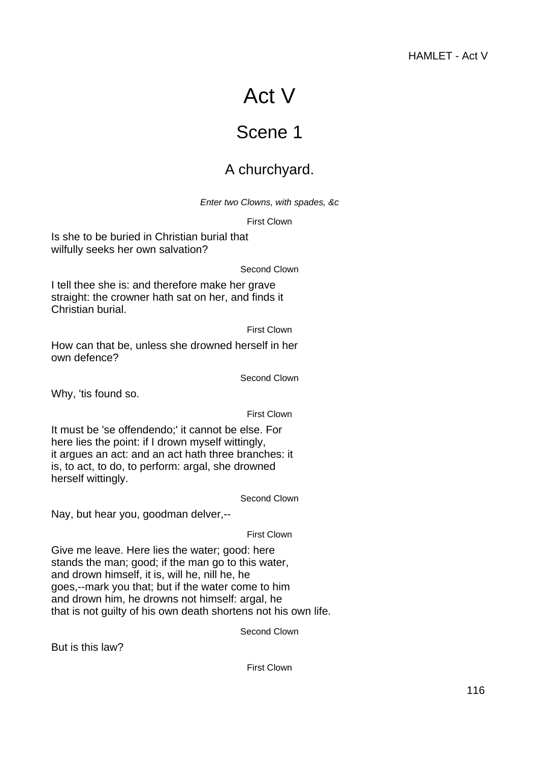# Act V

## Scene 1

## A churchyard.

Enter two Clowns, with spades, &c

First Clown

Is she to be buried in Christian burial that wilfully seeks her own salvation?

Second Clown

I tell thee she is: and therefore make her grave straight: the crowner hath sat on her, and finds it Christian burial.

First Clown

How can that be, unless she drowned herself in her own defence?

Second Clown

Why, 'tis found so.

First Clown

It must be 'se offendendo;' it cannot be else. For here lies the point: if I drown myself wittingly, it argues an act: and an act hath three branches: it is, to act, to do, to perform: argal, she drowned herself wittingly.

Second Clown

Nay, but hear you, goodman delver,--

First Clown

Give me leave. Here lies the water; good: here stands the man; good; if the man go to this water, and drown himself, it is, will he, nill he, he goes,--mark you that; but if the water come to him and drown him, he drowns not himself: argal, he that is not guilty of his own death shortens not his own life.

Second Clown

But is this law?

First Clown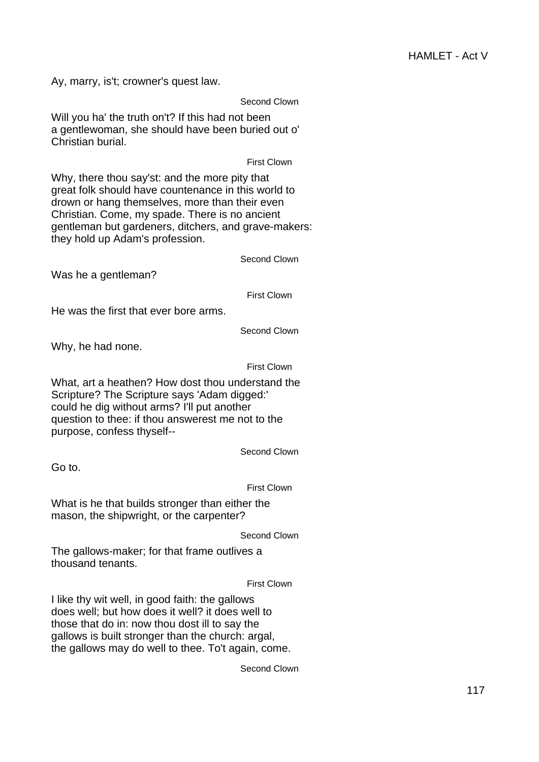Ay, marry, is't; crowner's quest law.

Second Clown

Will you ha' the truth on't? If this had not been a gentlewoman, she should have been buried out o' Christian burial.

First Clown

Why, there thou say'st: and the more pity that great folk should have countenance in this world to drown or hang themselves, more than their even Christian. Come, my spade. There is no ancient gentleman but gardeners, ditchers, and grave-makers: they hold up Adam's profession.

Second Clown

Was he a gentleman?

First Clown

He was the first that ever bore arms.

Second Clown

Why, he had none.

First Clown

What, art a heathen? How dost thou understand the Scripture? The Scripture says 'Adam digged:' could he dig without arms? I'll put another question to thee: if thou answerest me not to the purpose, confess thyself--

Second Clown

Go to.

First Clown

What is he that builds stronger than either the mason, the shipwright, or the carpenter?

Second Clown

The gallows-maker; for that frame outlives a thousand tenants.

First Clown

I like thy wit well, in good faith: the gallows does well; but how does it well? it does well to those that do in: now thou dost ill to say the gallows is built stronger than the church: argal, the gallows may do well to thee. To't again, come.

Second Clown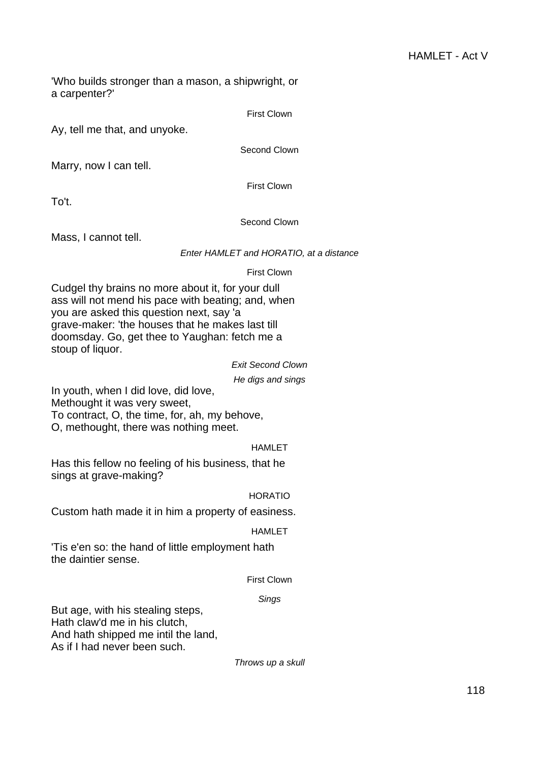'Who builds stronger than a mason, a shipwright, or a carpenter?'

First Clown

Ay, tell me that, and unyoke.

Second Clown

Marry, now I can tell.

First Clown

To't.

## Second Clown

Mass, I cannot tell.

## Enter HAMLET and HORATIO, at a distance

## First Clown

Cudgel thy brains no more about it, for your dull ass will not mend his pace with beating; and, when you are asked this question next, say 'a grave-maker: 'the houses that he makes last till doomsday. Go, get thee to Yaughan: fetch me a stoup of liquor.

## Exit Second Clown

He digs and sings

In youth, when I did love, did love, Methought it was very sweet, To contract, O, the time, for, ah, my behove,

O, methought, there was nothing meet.

## **HAMLET**

Has this fellow no feeling of his business, that he sings at grave-making?

## HORATIO

Custom hath made it in him a property of easiness.

## HAMLET

'Tis e'en so: the hand of little employment hath the daintier sense.

## First Clown

## Sings

But age, with his stealing steps, Hath claw'd me in his clutch, And hath shipped me intil the land, As if I had never been such.

Throws up a skull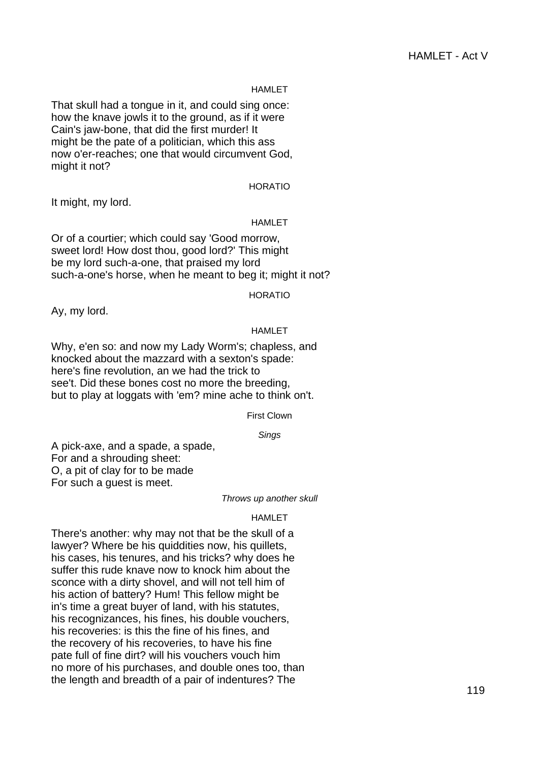#### HAMLET

That skull had a tongue in it, and could sing once: how the knave jowls it to the ground, as if it were Cain's jaw-bone, that did the first murder! It might be the pate of a politician, which this ass now o'er-reaches; one that would circumvent God, might it not?

## HORATIO

It might, my lord.

#### HAMLET

Or of a courtier; which could say 'Good morrow, sweet lord! How dost thou, good lord?' This might be my lord such-a-one, that praised my lord such-a-one's horse, when he meant to beg it; might it not?

HORATIO

Ay, my lord.

#### HAMLET

Why, e'en so: and now my Lady Worm's; chapless, and knocked about the mazzard with a sexton's spade: here's fine revolution, an we had the trick to see't. Did these bones cost no more the breeding, but to play at loggats with 'em? mine ache to think on't.

#### First Clown

#### Sings

A pick-axe, and a spade, a spade, For and a shrouding sheet: O, a pit of clay for to be made For such a guest is meet.

#### Throws up another skull

#### HAMLET

There's another: why may not that be the skull of a lawyer? Where be his quiddities now, his quillets, his cases, his tenures, and his tricks? why does he suffer this rude knave now to knock him about the sconce with a dirty shovel, and will not tell him of his action of battery? Hum! This fellow might be in's time a great buyer of land, with his statutes, his recognizances, his fines, his double vouchers, his recoveries: is this the fine of his fines, and the recovery of his recoveries, to have his fine pate full of fine dirt? will his vouchers vouch him no more of his purchases, and double ones too, than the length and breadth of a pair of indentures? The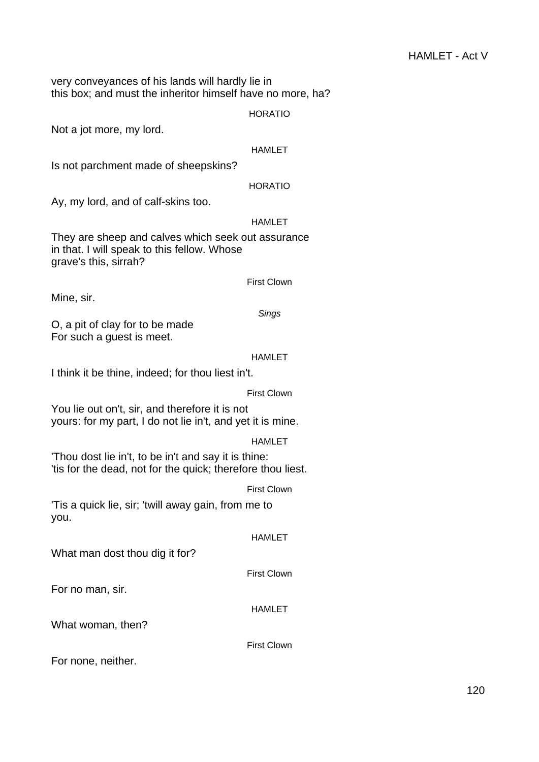very conveyances of his lands will hardly lie in this box; and must the inheritor himself have no more, ha?

#### HORATIO

Not a jot more, my lord.

#### HAMLET

Is not parchment made of sheepskins?

## HORATIO

Ay, my lord, and of calf-skins too.

## HAMLET

They are sheep and calves which seek out assurance in that. I will speak to this fellow. Whose grave's this, sirrah?

#### First Clown

Mine, sir.

#### **Sings**

O, a pit of clay for to be made For such a guest is meet.

## HAMLET

I think it be thine, indeed; for thou liest in't.

## First Clown

You lie out on't, sir, and therefore it is not yours: for my part, I do not lie in't, and yet it is mine.

## HAMLET

'Thou dost lie in't, to be in't and say it is thine: 'tis for the dead, not for the quick; therefore thou liest.

## First Clown

'Tis a quick lie, sir; 'twill away gain, from me to you.

## HAMLET

What man dost thou dig it for?

## First Clown

For no man, sir.

## HAMLET

What woman, then?

First Clown

For none, neither.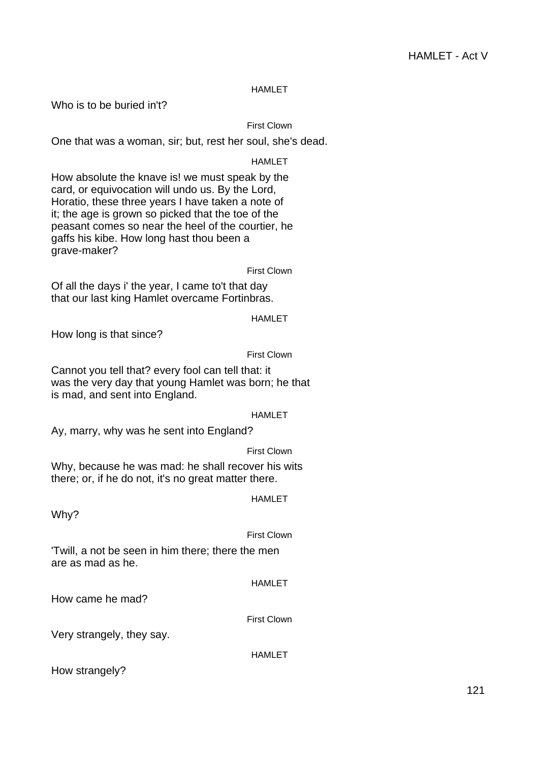## HAMLET

Who is to be buried in't?

## First Clown

One that was a woman, sir; but, rest her soul, she's dead.

## HAMLET

How absolute the knave is! we must speak by the card, or equivocation will undo us. By the Lord, Horatio, these three years I have taken a note of it; the age is grown so picked that the toe of the peasant comes so near the heel of the courtier, he gaffs his kibe. How long hast thou been a grave-maker?

First Clown

Of all the days i' the year, I came to't that day that our last king Hamlet overcame Fortinbras.

HAMLET

How long is that since?

#### First Clown

Cannot you tell that? every fool can tell that: it was the very day that young Hamlet was born; he that is mad, and sent into England.

#### HAMLET

Ay, marry, why was he sent into England?

## First Clown

Why, because he was mad: he shall recover his wits there; or, if he do not, it's no great matter there.

## HAMLET

Why?

## First Clown

'Twill, a not be seen in him there; there the men are as mad as he.

## HAMLET

How came he mad?

## First Clown

Very strangely, they say.

#### HAMLET

How strangely?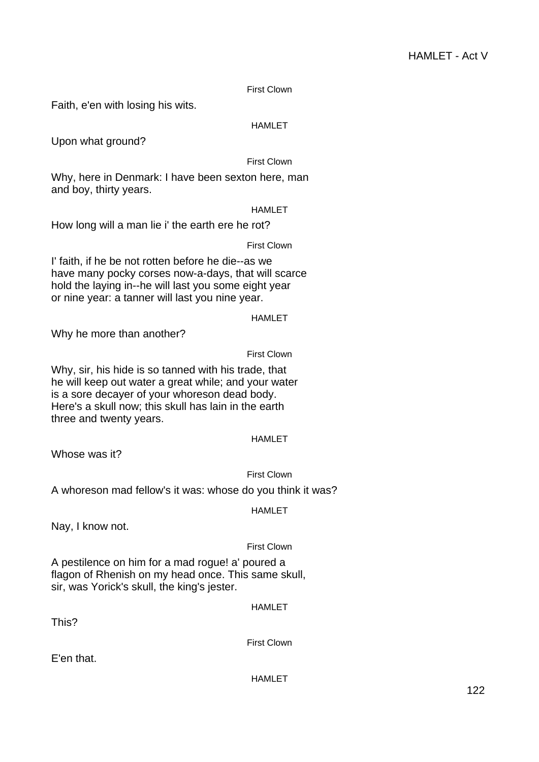First Clown

Faith, e'en with losing his wits.

## HAMLET

Upon what ground?

## First Clown

Why, here in Denmark: I have been sexton here, man and boy, thirty years.

HAMLET

How long will a man lie i' the earth ere he rot?

First Clown

I' faith, if he be not rotten before he die--as we have many pocky corses now-a-days, that will scarce hold the laying in--he will last you some eight year or nine year: a tanner will last you nine year.

## HAMLET

Why he more than another?

First Clown

Why, sir, his hide is so tanned with his trade, that he will keep out water a great while; and your water is a sore decayer of your whoreson dead body. Here's a skull now; this skull has lain in the earth three and twenty years.

## HAMLET

Whose was it?

## First Clown

A whoreson mad fellow's it was: whose do you think it was?

HAMLET

Nay, I know not.

## First Clown

A pestilence on him for a mad rogue! a' poured a flagon of Rhenish on my head once. This same skull, sir, was Yorick's skull, the king's jester.

HAMLET

This?

First Clown

E'en that.

HAMLET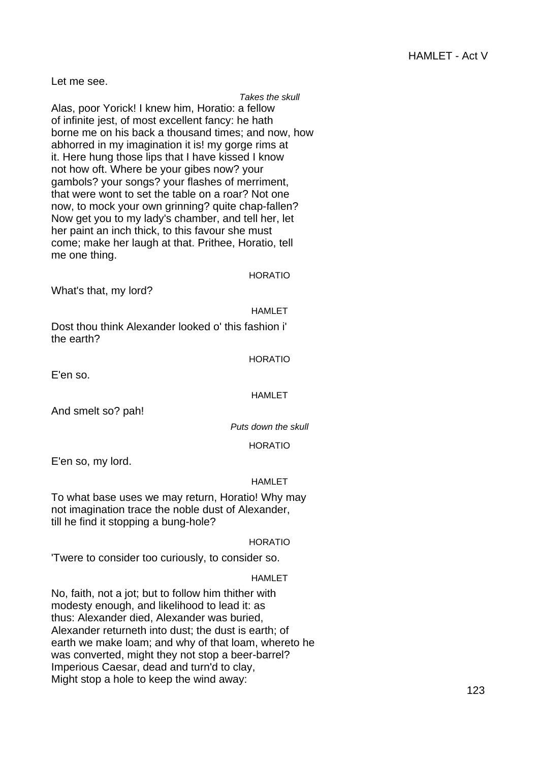Let me see.

## Takes the skull

Alas, poor Yorick! I knew him, Horatio: a fellow of infinite jest, of most excellent fancy: he hath borne me on his back a thousand times; and now, how abhorred in my imagination it is! my gorge rims at it. Here hung those lips that I have kissed I know not how oft. Where be your gibes now? your gambols? your songs? your flashes of merriment, that were wont to set the table on a roar? Not one now, to mock your own grinning? quite chap-fallen? Now get you to my lady's chamber, and tell her, let her paint an inch thick, to this favour she must come; make her laugh at that. Prithee, Horatio, tell me one thing.

HORATIO

What's that, my lord?

HAMLET

Dost thou think Alexander looked o' this fashion i' the earth?

## HORATIO

E'en so.

## HAMLET

And smelt so? pah!

Puts down the skull

HORATIO

E'en so, my lord.

## **HAMI FT**

To what base uses we may return, Horatio! Why may not imagination trace the noble dust of Alexander, till he find it stopping a bung-hole?

## HORATIO

'Twere to consider too curiously, to consider so.

## HAMLET

No, faith, not a jot; but to follow him thither with modesty enough, and likelihood to lead it: as thus: Alexander died, Alexander was buried, Alexander returneth into dust; the dust is earth; of earth we make loam; and why of that loam, whereto he was converted, might they not stop a beer-barrel? Imperious Caesar, dead and turn'd to clay, Might stop a hole to keep the wind away: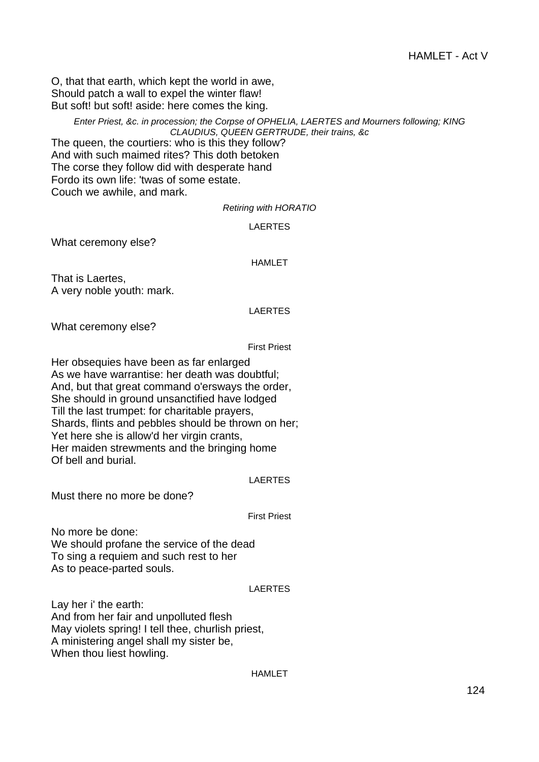O, that that earth, which kept the world in awe, Should patch a wall to expel the winter flaw! But soft! but soft! aside: here comes the king.

> Enter Priest, &c. in procession; the Corpse of OPHELIA, LAERTES and Mourners following; KING CLAUDIUS, QUEEN GERTRUDE, their trains, &c

The queen, the courtiers: who is this they follow? And with such maimed rites? This doth betoken The corse they follow did with desperate hand Fordo its own life: 'twas of some estate. Couch we awhile, and mark.

#### Retiring with HORATIO

#### LAERTES

What ceremony else?

#### HAMLET

That is Laertes, A very noble youth: mark.

#### LAERTES

What ceremony else?

First Priest

Her obsequies have been as far enlarged As we have warrantise: her death was doubtful; And, but that great command o'ersways the order, She should in ground unsanctified have lodged Till the last trumpet: for charitable prayers, Shards, flints and pebbles should be thrown on her; Yet here she is allow'd her virgin crants, Her maiden strewments and the bringing home Of bell and burial.

#### LAERTES

Must there no more be done?

First Priest

No more be done: We should profane the service of the dead To sing a requiem and such rest to her As to peace-parted souls.

#### LAERTES

Lay her i' the earth: And from her fair and unpolluted flesh May violets spring! I tell thee, churlish priest, A ministering angel shall my sister be, When thou liest howling.

#### HAMLET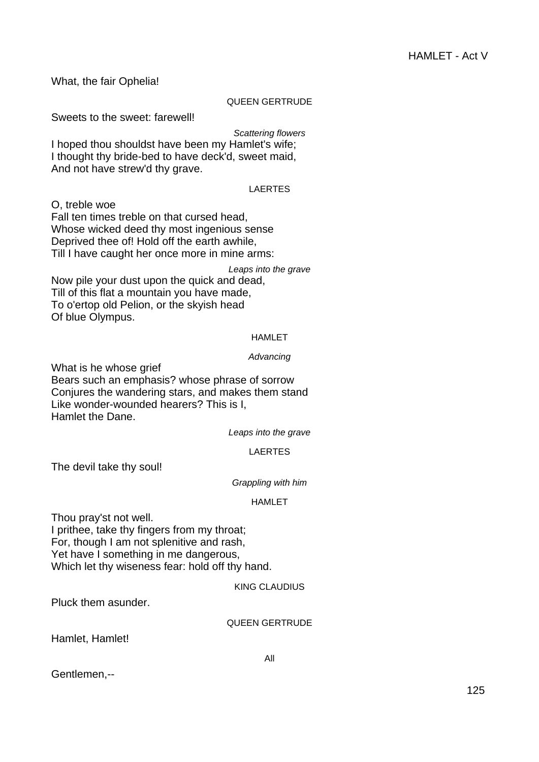What, the fair Ophelia! QUEEN GERTRUDE Sweets to the sweet: farewell! Scattering flowers I hoped thou shouldst have been my Hamlet's wife; I thought thy bride-bed to have deck'd, sweet maid, And not have strew'd thy grave. LAERTES O, treble woe Fall ten times treble on that cursed head, Whose wicked deed thy most ingenious sense Deprived thee of! Hold off the earth awhile, Till I have caught her once more in mine arms: Leaps into the grave Now pile your dust upon the quick and dead, Till of this flat a mountain you have made, To o'ertop old Pelion, or the skyish head Of blue Olympus. HAMLET Advancing What is he whose grief

Bears such an emphasis? whose phrase of sorrow Conjures the wandering stars, and makes them stand Like wonder-wounded hearers? This is I, Hamlet the Dane.

Leaps into the grave

## LAERTES

The devil take thy soul!

Grappling with him

## HAMLET

Thou pray'st not well.

I prithee, take thy fingers from my throat; For, though I am not splenitive and rash, Yet have I something in me dangerous, Which let thy wiseness fear: hold off thy hand.

## KING CLAUDIUS

Pluck them asunder.

#### QUEEN GERTRUDE

Hamlet, Hamlet!

All

Gentlemen,--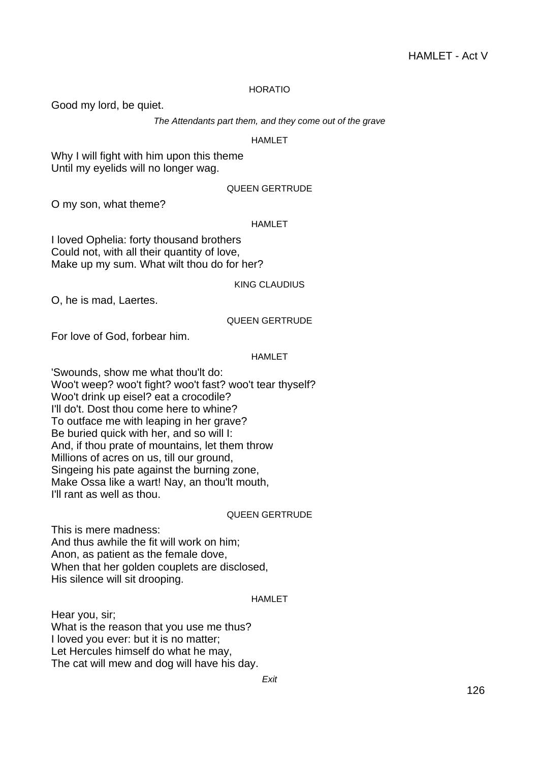## HORATIO

Good my lord, be quiet.

The Attendants part them, and they come out of the grave

## HAMLET

Why I will fight with him upon this theme Until my eyelids will no longer wag.

## QUEEN GERTRUDE

O my son, what theme?

#### HAMLET

I loved Ophelia: forty thousand brothers Could not, with all their quantity of love, Make up my sum. What wilt thou do for her?

#### KING CLAUDIUS

O, he is mad, Laertes.

## QUEEN GERTRUDE

For love of God, forbear him.

## HAMLET

'Swounds, show me what thou'lt do: Woo't weep? woo't fight? woo't fast? woo't tear thyself? Woo't drink up eisel? eat a crocodile? I'll do't. Dost thou come here to whine? To outface me with leaping in her grave? Be buried quick with her, and so will I: And, if thou prate of mountains, let them throw Millions of acres on us, till our ground, Singeing his pate against the burning zone, Make Ossa like a wart! Nay, an thou'lt mouth, I'll rant as well as thou.

#### QUEEN GERTRUDE

This is mere madness: And thus awhile the fit will work on him; Anon, as patient as the female dove, When that her golden couplets are disclosed, His silence will sit drooping.

#### HAMLET

Hear you, sir; What is the reason that you use me thus? I loved you ever: but it is no matter; Let Hercules himself do what he may, The cat will mew and dog will have his day.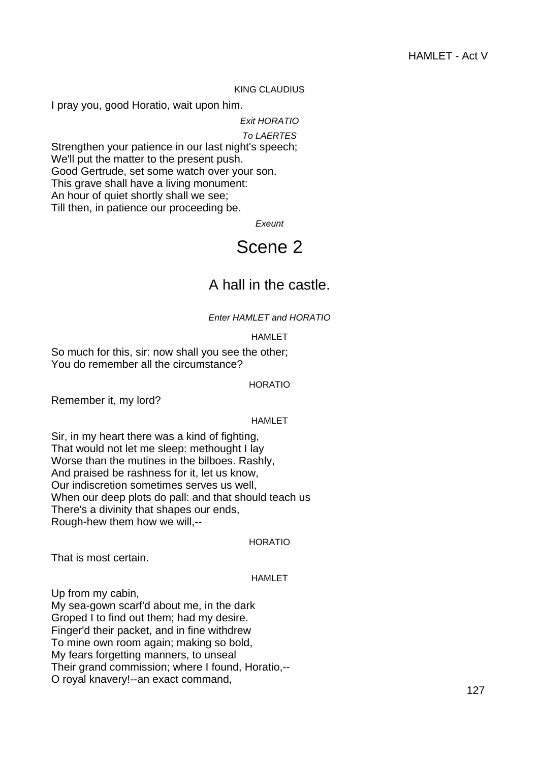## KING CLAUDIUS

I pray you, good Horatio, wait upon him.

Exit HORATIO

#### To LAERTES

Strengthen your patience in our last night's speech; We'll put the matter to the present push. Good Gertrude, set some watch over your son. This grave shall have a living monument: An hour of quiet shortly shall we see; Till then, in patience our proceeding be.

**Exeunt** 

## Scene 2

## A hall in the castle.

Enter HAMLET and HORATIO

#### HAMLET

So much for this, sir: now shall you see the other; You do remember all the circumstance?

HORATIO

Remember it, my lord?

#### HAMLET

Sir, in my heart there was a kind of fighting, That would not let me sleep: methought I lay Worse than the mutines in the bilboes. Rashly, And praised be rashness for it, let us know, Our indiscretion sometimes serves us well, When our deep plots do pall: and that should teach us There's a divinity that shapes our ends, Rough-hew them how we will,--

HORATIO

That is most certain.

## HAMLET

Up from my cabin,

My sea-gown scarf'd about me, in the dark Groped I to find out them; had my desire. Finger'd their packet, and in fine withdrew To mine own room again; making so bold, My fears forgetting manners, to unseal Their grand commission; where I found, Horatio,-- O royal knavery!--an exact command,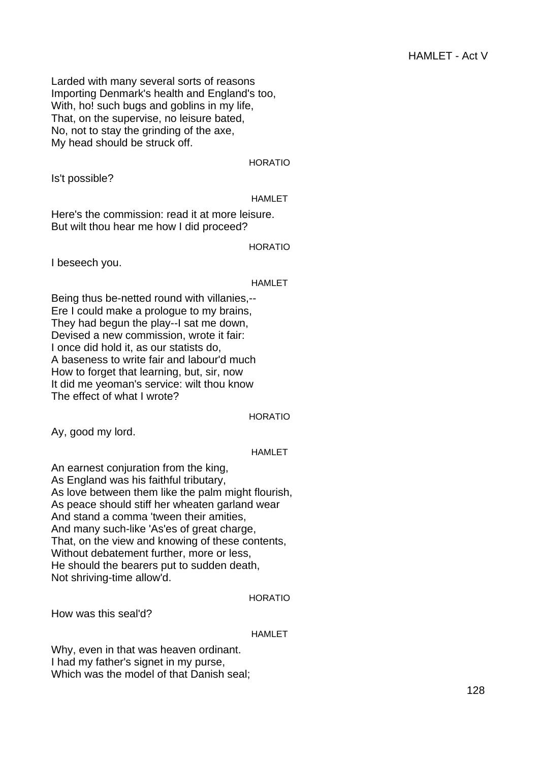Larded with many several sorts of reasons Importing Denmark's health and England's too, With, ho! such bugs and goblins in my life, That, on the supervise, no leisure bated, No, not to stay the grinding of the axe, My head should be struck off.

HORATIO

Is't possible?

## HAMLET

Here's the commission: read it at more leisure. But wilt thou hear me how I did proceed?

HORATIO

I beseech you.

## HAMLET

Being thus be-netted round with villanies,-- Ere I could make a prologue to my brains, They had begun the play--I sat me down, Devised a new commission, wrote it fair: I once did hold it, as our statists do, A baseness to write fair and labour'd much How to forget that learning, but, sir, now It did me yeoman's service: wilt thou know The effect of what I wrote?

HORATIO

Ay, good my lord.

## HAMLET

An earnest conjuration from the king, As England was his faithful tributary, As love between them like the palm might flourish, As peace should stiff her wheaten garland wear And stand a comma 'tween their amities, And many such-like 'As'es of great charge, That, on the view and knowing of these contents, Without debatement further, more or less, He should the bearers put to sudden death, Not shriving-time allow'd.

## HORATIO

How was this seal'd?

## HAMLET

Why, even in that was heaven ordinant. I had my father's signet in my purse, Which was the model of that Danish seal;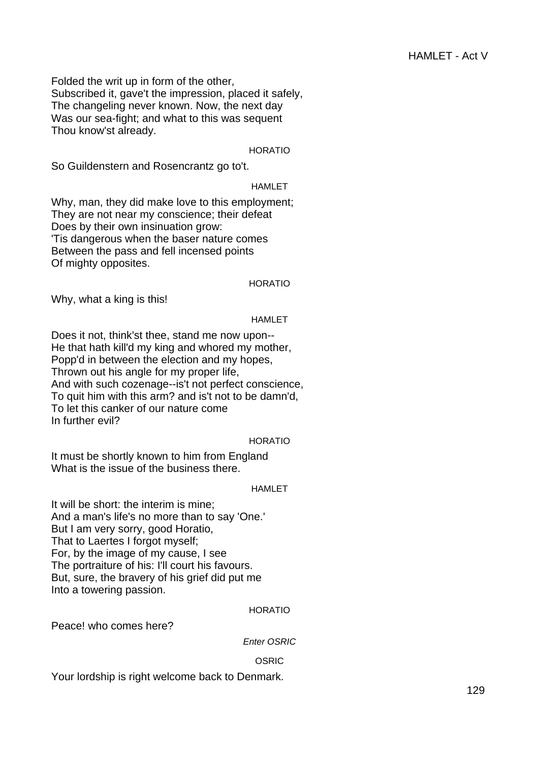Folded the writ up in form of the other, Subscribed it, gave't the impression, placed it safely, The changeling never known. Now, the next day Was our sea-fight; and what to this was sequent Thou know'st already.

HORATIO

So Guildenstern and Rosencrantz go to't.

## HAMLET

Why, man, they did make love to this employment; They are not near my conscience; their defeat Does by their own insinuation grow: 'Tis dangerous when the baser nature comes Between the pass and fell incensed points Of mighty opposites.

#### HORATIO

Why, what a king is this!

#### HAMLET

Does it not, think'st thee, stand me now upon-- He that hath kill'd my king and whored my mother, Popp'd in between the election and my hopes, Thrown out his angle for my proper life, And with such cozenage--is't not perfect conscience, To quit him with this arm? and is't not to be damn'd, To let this canker of our nature come In further evil?

### HORATIO

It must be shortly known to him from England What is the issue of the business there.

#### HAMLET

It will be short: the interim is mine; And a man's life's no more than to say 'One.' But I am very sorry, good Horatio, That to Laertes I forgot myself; For, by the image of my cause, I see The portraiture of his: I'll court his favours. But, sure, the bravery of his grief did put me Into a towering passion.

#### HORATIO

Peace! who comes here?

Enter OSRIC

## OSRIC

Your lordship is right welcome back to Denmark.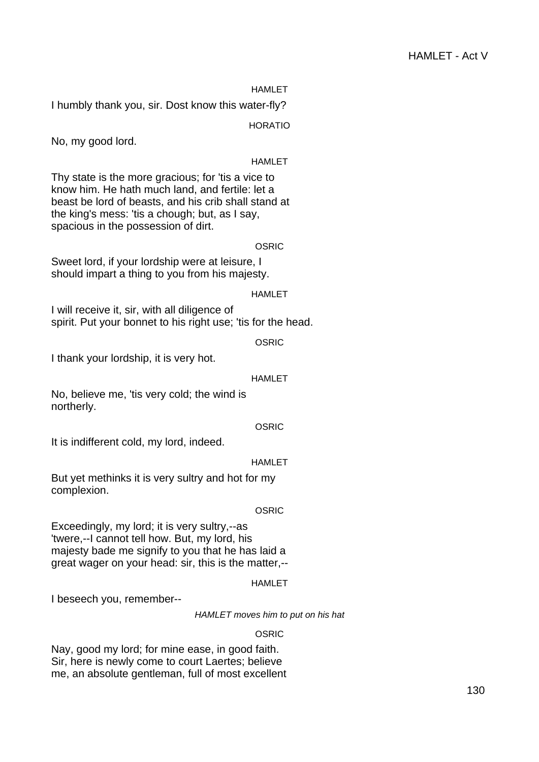## HAMLET - Act V

HAMLET

I humbly thank you, sir. Dost know this water-fly?

HORATIO

No, my good lord.

#### HAMLET

Thy state is the more gracious; for 'tis a vice to know him. He hath much land, and fertile: let a beast be lord of beasts, and his crib shall stand at the king's mess: 'tis a chough; but, as I say, spacious in the possession of dirt.

OSRIC

Sweet lord, if your lordship were at leisure, I should impart a thing to you from his majesty.

#### HAMLET

I will receive it, sir, with all diligence of spirit. Put your bonnet to his right use; 'tis for the head.

**OSRIC** 

I thank your lordship, it is very hot.

#### HAMLET

No, believe me, 'tis very cold; the wind is northerly.

#### OSRIC

It is indifferent cold, my lord, indeed.

HAMLET

But yet methinks it is very sultry and hot for my complexion.

#### OSRIC

Exceedingly, my lord; it is very sultry,--as 'twere,--I cannot tell how. But, my lord, his majesty bade me signify to you that he has laid a great wager on your head: sir, this is the matter,--

#### HAMLET

I beseech you, remember--

HAMLET moves him to put on his hat

#### OSRIC

Nay, good my lord; for mine ease, in good faith. Sir, here is newly come to court Laertes; believe me, an absolute gentleman, full of most excellent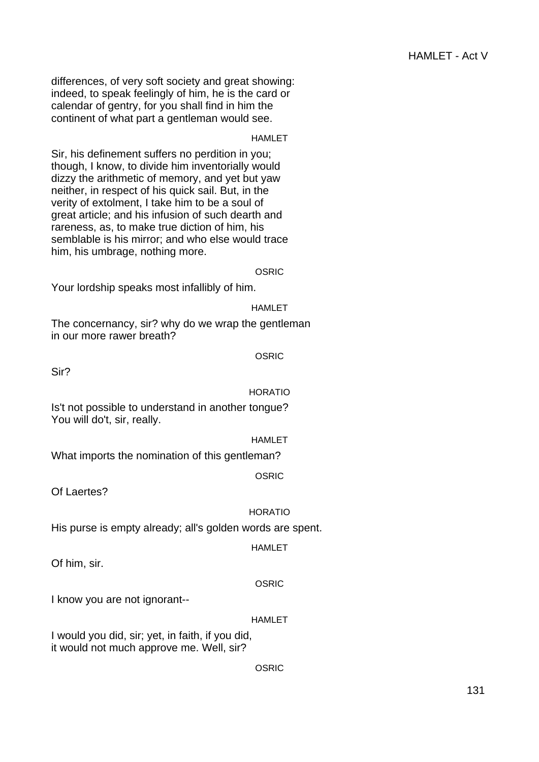differences, of very soft society and great showing: indeed, to speak feelingly of him, he is the card or calendar of gentry, for you shall find in him the continent of what part a gentleman would see.

## **HAMLET**

Sir, his definement suffers no perdition in you; though, I know, to divide him inventorially would dizzy the arithmetic of memory, and yet but yaw neither, in respect of his quick sail. But, in the verity of extolment, I take him to be a soul of great article; and his infusion of such dearth and rareness, as, to make true diction of him, his semblable is his mirror; and who else would trace him, his umbrage, nothing more.

OSRIC

Your lordship speaks most infallibly of him.

HAMLET

The concernancy, sir? why do we wrap the gentleman in our more rawer breath?

OSRIC

Sir?

## HORATIO

Is't not possible to understand in another tongue? You will do't, sir, really.

#### **HAMLET**

What imports the nomination of this gentleman?

OSRIC

Of Laertes?

## HORATIO

His purse is empty already; all's golden words are spent.

#### HAMLET

Of him, sir.

## **OSRIC**

I know you are not ignorant--

## HAMLET

I would you did, sir; yet, in faith, if you did, it would not much approve me. Well, sir?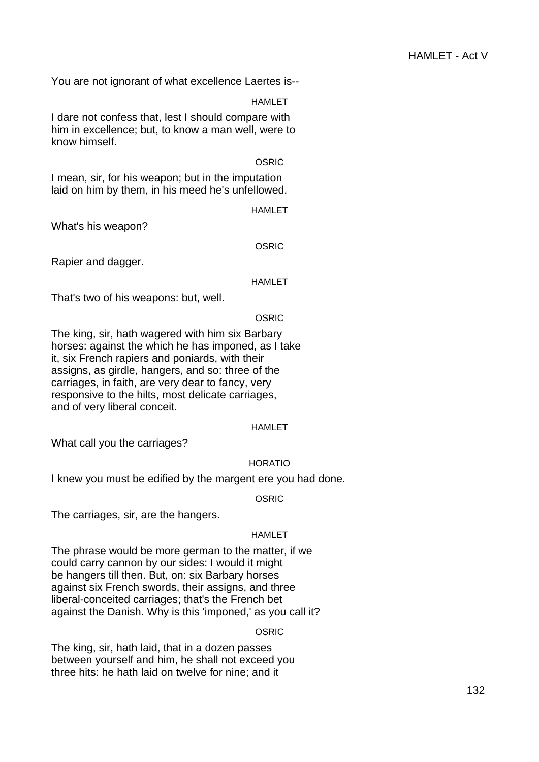You are not ignorant of what excellence Laertes is--

**HAMLET** 

I dare not confess that, lest I should compare with him in excellence; but, to know a man well, were to know himself.

#### **OSRIC**

I mean, sir, for his weapon; but in the imputation laid on him by them, in his meed he's unfellowed.

HAMLET

What's his weapon?

OSRIC

Rapier and dagger.

## **HAMLET**

That's two of his weapons: but, well.

## **OSRIC**

The king, sir, hath wagered with him six Barbary horses: against the which he has imponed, as I take it, six French rapiers and poniards, with their assigns, as girdle, hangers, and so: three of the carriages, in faith, are very dear to fancy, very responsive to the hilts, most delicate carriages, and of very liberal conceit.

## HAMLET

What call you the carriages?

## HORATIO

I knew you must be edified by the margent ere you had done.

**OSRIC** 

The carriages, sir, are the hangers.

## HAMLET

The phrase would be more german to the matter, if we could carry cannon by our sides: I would it might be hangers till then. But, on: six Barbary horses against six French swords, their assigns, and three liberal-conceited carriages; that's the French bet against the Danish. Why is this 'imponed,' as you call it?

OSRIC

The king, sir, hath laid, that in a dozen passes between yourself and him, he shall not exceed you three hits: he hath laid on twelve for nine; and it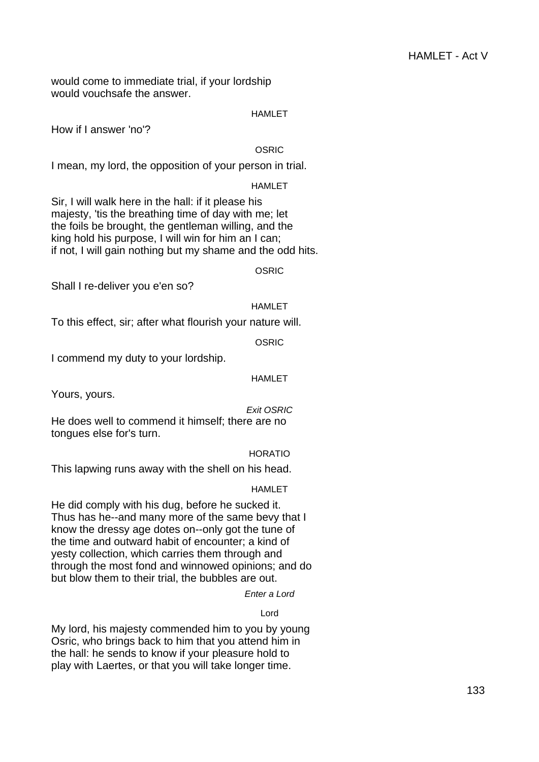would come to immediate trial, if your lordship would vouchsafe the answer.

## HAMLET

How if I answer 'no'?

## **OSRIC**

I mean, my lord, the opposition of your person in trial.

## HAMLET

Sir, I will walk here in the hall: if it please his majesty, 'tis the breathing time of day with me; let the foils be brought, the gentleman willing, and the king hold his purpose, I will win for him an I can; if not, I will gain nothing but my shame and the odd hits.

**OSRIC** 

Shall I re-deliver you e'en so?

## HAMLET

To this effect, sir; after what flourish your nature will.

OSRIC

I commend my duty to your lordship.

## HAMLET

Yours, yours.

## Exit OSRIC

He does well to commend it himself; there are no tongues else for's turn.

## HORATIO

This lapwing runs away with the shell on his head.

## HAMLET

He did comply with his dug, before he sucked it. Thus has he--and many more of the same bevy that I know the dressy age dotes on--only got the tune of the time and outward habit of encounter; a kind of yesty collection, which carries them through and through the most fond and winnowed opinions; and do but blow them to their trial, the bubbles are out.

Enter a Lord

## Lord

My lord, his majesty commended him to you by young Osric, who brings back to him that you attend him in the hall: he sends to know if your pleasure hold to play with Laertes, or that you will take longer time.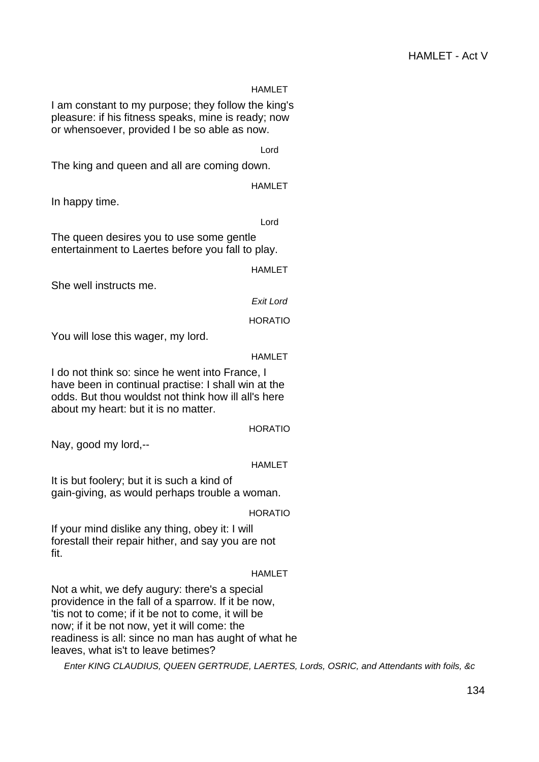## **HAMLET**

I am constant to my purpose; they follow the king's pleasure: if his fitness speaks, mine is ready; now or whensoever, provided I be so able as now.

Lord

The king and queen and all are coming down.

HAMLET

In happy time.

Lord

The queen desires you to use some gentle entertainment to Laertes before you fall to play.

HAMLET

She well instructs me.

Exit Lord

HORATIO

You will lose this wager, my lord.

HAMLET

I do not think so: since he went into France, I have been in continual practise: I shall win at the odds. But thou wouldst not think how ill all's here about my heart: but it is no matter.

HORATIO

Nay, good my lord,--

HAMLET

It is but foolery; but it is such a kind of gain-giving, as would perhaps trouble a woman.

HORATIO

If your mind dislike any thing, obey it: I will forestall their repair hither, and say you are not fit.

HAMLET

Not a whit, we defy augury: there's a special providence in the fall of a sparrow. If it be now, 'tis not to come; if it be not to come, it will be now; if it be not now, yet it will come: the readiness is all: since no man has aught of what he leaves, what is't to leave betimes?

Enter KING CLAUDIUS, QUEEN GERTRUDE, LAERTES, Lords, OSRIC, and Attendants with foils, &c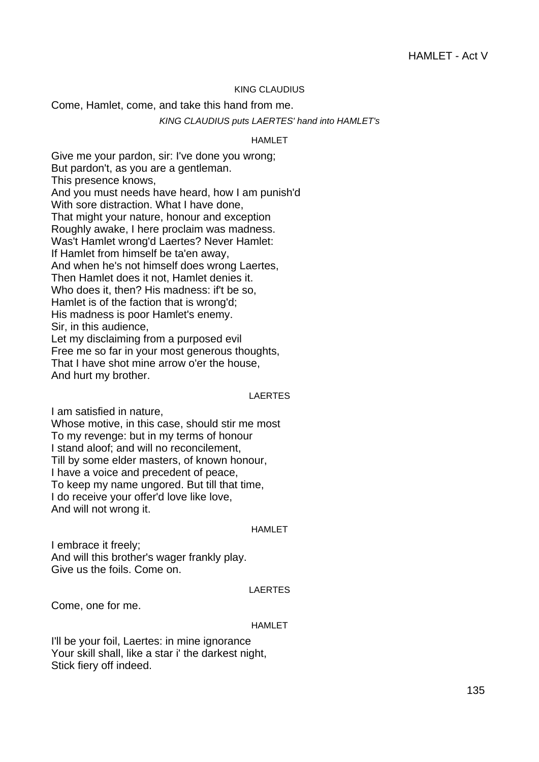## KING CLAUDIUS

Come, Hamlet, come, and take this hand from me.

#### KING CLAUDIUS puts LAERTES' hand into HAMLET's

## HAMLET

Give me your pardon, sir: I've done you wrong; But pardon't, as you are a gentleman. This presence knows, And you must needs have heard, how I am punish'd With sore distraction. What I have done, That might your nature, honour and exception Roughly awake, I here proclaim was madness. Was't Hamlet wrong'd Laertes? Never Hamlet: If Hamlet from himself be ta'en away, And when he's not himself does wrong Laertes, Then Hamlet does it not, Hamlet denies it. Who does it, then? His madness: if't be so, Hamlet is of the faction that is wrong'd; His madness is poor Hamlet's enemy. Sir, in this audience, Let my disclaiming from a purposed evil Free me so far in your most generous thoughts, That I have shot mine arrow o'er the house, And hurt my brother.

#### LAERTES

I am satisfied in nature,

Whose motive, in this case, should stir me most To my revenge: but in my terms of honour I stand aloof; and will no reconcilement, Till by some elder masters, of known honour, I have a voice and precedent of peace, To keep my name ungored. But till that time, I do receive your offer'd love like love, And will not wrong it.

#### HAMLET

I embrace it freely; And will this brother's wager frankly play. Give us the foils. Come on.

#### LAERTES

Come, one for me.

#### HAMLET

I'll be your foil, Laertes: in mine ignorance Your skill shall, like a star i' the darkest night, Stick fiery off indeed.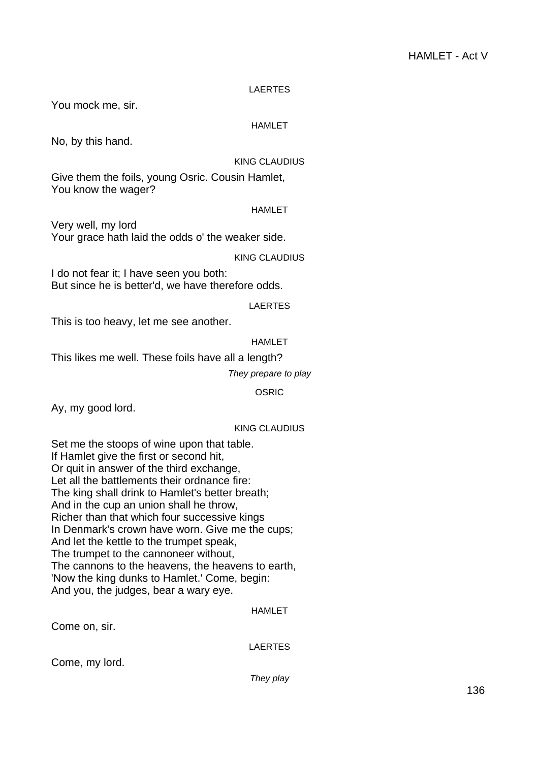## LAERTES

You mock me, sir.

## HAMLET

No, by this hand.

## KING CLAUDIUS

Give them the foils, young Osric. Cousin Hamlet, You know the wager?

#### HAMLET

Very well, my lord Your grace hath laid the odds o' the weaker side.

KING CLAUDIUS

I do not fear it; I have seen you both: But since he is better'd, we have therefore odds.

## LAERTES

This is too heavy, let me see another.

## HAMLET

This likes me well. These foils have all a length?

They prepare to play

OSRIC

Ay, my good lord.

## KING CLAUDIUS

Set me the stoops of wine upon that table. If Hamlet give the first or second hit, Or quit in answer of the third exchange, Let all the battlements their ordnance fire: The king shall drink to Hamlet's better breath; And in the cup an union shall he throw, Richer than that which four successive kings In Denmark's crown have worn. Give me the cups; And let the kettle to the trumpet speak, The trumpet to the cannoneer without, The cannons to the heavens, the heavens to earth, 'Now the king dunks to Hamlet.' Come, begin: And you, the judges, bear a wary eye.

## HAMLET

Come on, sir.

LAERTES

Come, my lord.

They play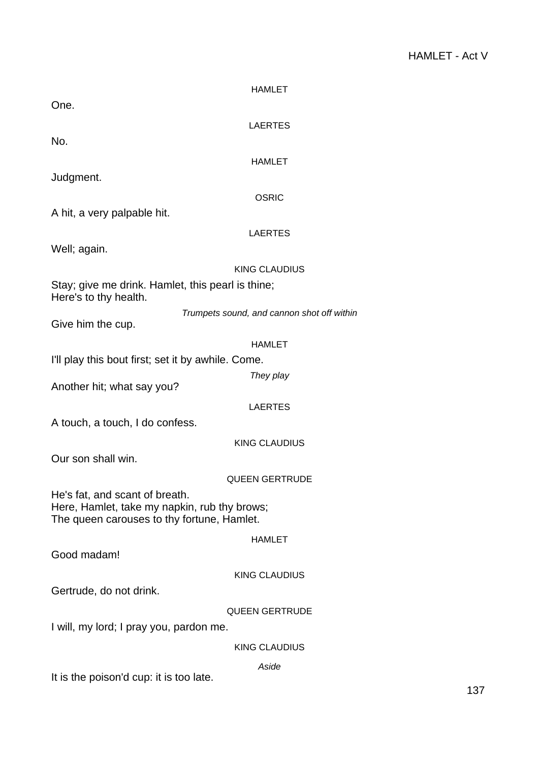|                                                                                            | <b>HAMLET</b>                              |  |
|--------------------------------------------------------------------------------------------|--------------------------------------------|--|
| One.                                                                                       |                                            |  |
| No.                                                                                        | <b>LAERTES</b>                             |  |
|                                                                                            | <b>HAMLET</b>                              |  |
| Judgment.                                                                                  |                                            |  |
|                                                                                            | <b>OSRIC</b>                               |  |
| A hit, a very palpable hit.                                                                |                                            |  |
|                                                                                            | <b>LAERTES</b>                             |  |
| Well; again.                                                                               | <b>KING CLAUDIUS</b>                       |  |
| Stay; give me drink. Hamlet, this pearl is thine;                                          |                                            |  |
| Here's to thy health.                                                                      |                                            |  |
| Give him the cup.                                                                          | Trumpets sound, and cannon shot off within |  |
|                                                                                            | <b>HAMLET</b>                              |  |
| I'll play this bout first; set it by awhile. Come.                                         |                                            |  |
| Another hit; what say you?                                                                 | They play                                  |  |
|                                                                                            | <b>LAERTES</b>                             |  |
| A touch, a touch, I do confess.                                                            |                                            |  |
|                                                                                            | <b>KING CLAUDIUS</b>                       |  |
| Our son shall win.                                                                         |                                            |  |
| He's fat, and scant of breath.                                                             | <b>QUEEN GERTRUDE</b>                      |  |
| Here, Hamlet, take my napkin, rub thy brows;<br>The queen carouses to thy fortune, Hamlet. |                                            |  |
|                                                                                            | <b>HAMLET</b>                              |  |
| Good madam!                                                                                |                                            |  |
|                                                                                            | <b>KING CLAUDIUS</b>                       |  |
| Gertrude, do not drink.                                                                    |                                            |  |
| <b>QUEEN GERTRUDE</b>                                                                      |                                            |  |
| I will, my lord; I pray you, pardon me.                                                    |                                            |  |
|                                                                                            | <b>KING CLAUDIUS</b>                       |  |
| It is the poison'd cup: it is too late.                                                    | Aside                                      |  |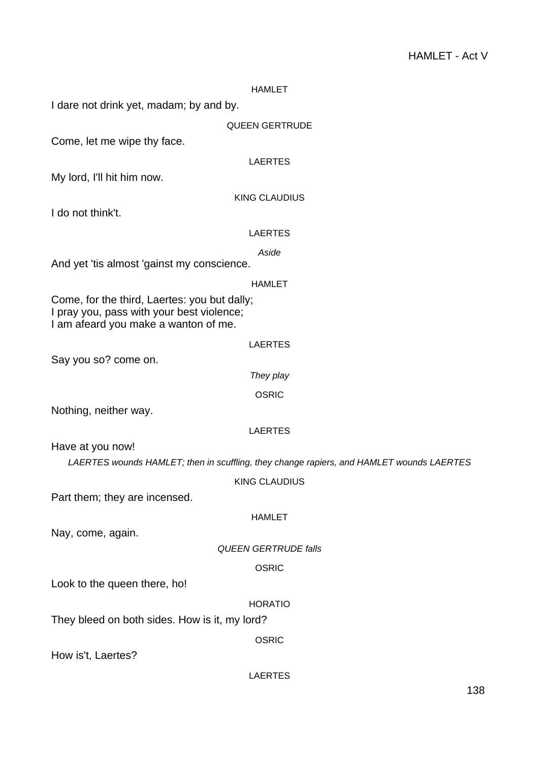| <b>HAMLET</b>                                                                            |
|------------------------------------------------------------------------------------------|
|                                                                                          |
| <b>QUEEN GERTRUDE</b>                                                                    |
|                                                                                          |
| <b>LAERTES</b>                                                                           |
|                                                                                          |
| <b>KING CLAUDIUS</b>                                                                     |
|                                                                                          |
| <b>LAERTES</b>                                                                           |
|                                                                                          |
| <b>HAMLET</b>                                                                            |
|                                                                                          |
| <b>LAERTES</b>                                                                           |
|                                                                                          |
| They play                                                                                |
| <b>OSRIC</b>                                                                             |
|                                                                                          |
| <b>LAERTES</b>                                                                           |
|                                                                                          |
| LAERTES wounds HAMLET; then in scuffling, they change rapiers, and HAMLET wounds LAERTES |
| <b>KING CLAUDIUS</b>                                                                     |
|                                                                                          |
| <b>HAMLET</b>                                                                            |
| <b>QUEEN GERTRUDE falls</b>                                                              |
| <b>OSRIC</b>                                                                             |
|                                                                                          |
| <b>HORATIO</b>                                                                           |
|                                                                                          |
| <b>OSRIC</b>                                                                             |
|                                                                                          |
| <b>LAERTES</b>                                                                           |
| Aside                                                                                    |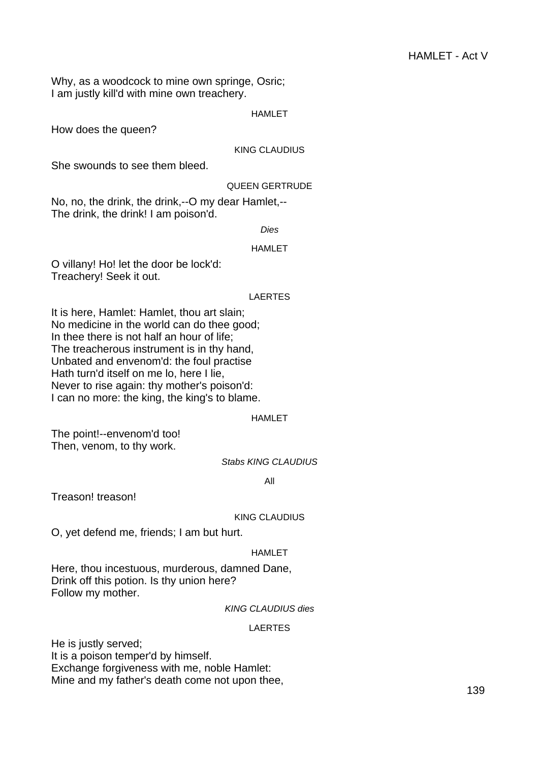Why, as a woodcock to mine own springe, Osric; I am justly kill'd with mine own treachery.

#### HAMLET

How does the queen?

#### KING CLAUDIUS

She swounds to see them bleed.

## QUEEN GERTRUDE

No, no, the drink, the drink,--O my dear Hamlet,-- The drink, the drink! I am poison'd.

Dies

#### HAMLET

O villany! Ho! let the door be lock'd: Treachery! Seek it out.

#### LAERTES

It is here, Hamlet: Hamlet, thou art slain; No medicine in the world can do thee good; In thee there is not half an hour of life; The treacherous instrument is in thy hand, Unbated and envenom'd: the foul practise Hath turn'd itself on me lo, here I lie, Never to rise again: thy mother's poison'd: I can no more: the king, the king's to blame.

#### HAMLET

The point!--envenom'd too! Then, venom, to thy work.

## Stabs KING CLAUDIUS

All

Treason! treason!

#### KING CLAUDIUS

O, yet defend me, friends; I am but hurt.

#### HAMLET

Here, thou incestuous, murderous, damned Dane, Drink off this potion. Is thy union here? Follow my mother.

## KING CLAUDIUS dies

## LAERTES

He is justly served; It is a poison temper'd by himself. Exchange forgiveness with me, noble Hamlet: Mine and my father's death come not upon thee,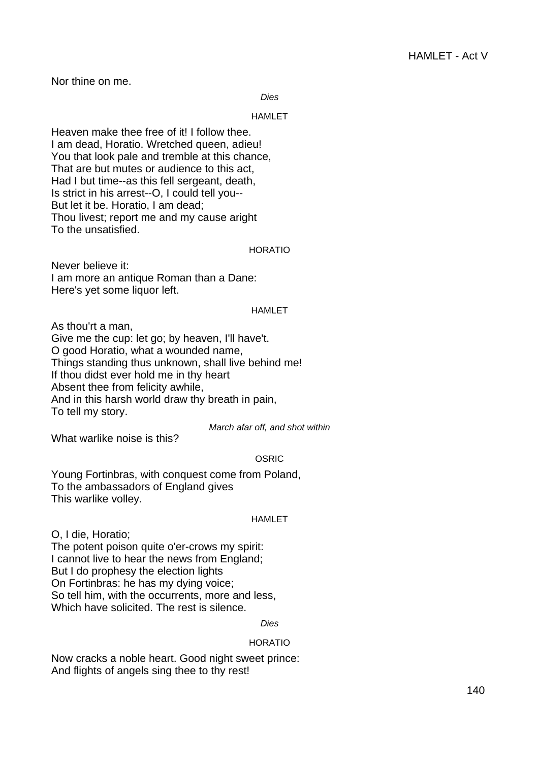Nor thine on me.

Dies

#### HAMLET

Heaven make thee free of it! I follow thee. I am dead, Horatio. Wretched queen, adieu! You that look pale and tremble at this chance, That are but mutes or audience to this act, Had I but time--as this fell sergeant, death, Is strict in his arrest--O, I could tell you-- But let it be. Horatio, I am dead; Thou livest; report me and my cause aright To the unsatisfied.

## HORATIO

Never believe it: I am more an antique Roman than a Dane: Here's yet some liquor left.

## HAMLET

As thou'rt a man, Give me the cup: let go; by heaven, I'll have't. O good Horatio, what a wounded name, Things standing thus unknown, shall live behind me! If thou didst ever hold me in thy heart Absent thee from felicity awhile, And in this harsh world draw thy breath in pain, To tell my story.

March afar off, and shot within

What warlike noise is this?

## **OSRIC**

Young Fortinbras, with conquest come from Poland, To the ambassadors of England gives This warlike volley.

#### **HAMI FT**

O, I die, Horatio;

The potent poison quite o'er-crows my spirit: I cannot live to hear the news from England; But I do prophesy the election lights On Fortinbras: he has my dying voice; So tell him, with the occurrents, more and less, Which have solicited. The rest is silence.

Dies

## HORATIO

Now cracks a noble heart. Good night sweet prince: And flights of angels sing thee to thy rest!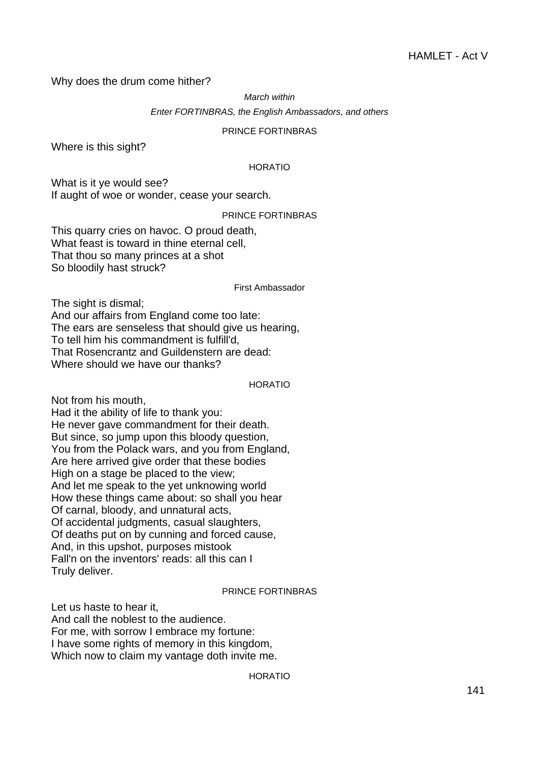Why does the drum come hither?

March within

Enter FORTINBRAS, the English Ambassadors, and others

## PRINCE FORTINBRAS

Where is this sight?

## HORATIO

What is it ye would see? If aught of woe or wonder, cease your search.

## PRINCE FORTINBRAS

This quarry cries on havoc. O proud death, What feast is toward in thine eternal cell, That thou so many princes at a shot So bloodily hast struck?

#### First Ambassador

The sight is dismal; And our affairs from England come too late: The ears are senseless that should give us hearing, To tell him his commandment is fulfill'd, That Rosencrantz and Guildenstern are dead: Where should we have our thanks?

#### HORATIO

Not from his mouth,

Had it the ability of life to thank you: He never gave commandment for their death. But since, so jump upon this bloody question, You from the Polack wars, and you from England, Are here arrived give order that these bodies High on a stage be placed to the view; And let me speak to the yet unknowing world How these things came about: so shall you hear Of carnal, bloody, and unnatural acts, Of accidental judgments, casual slaughters, Of deaths put on by cunning and forced cause, And, in this upshot, purposes mistook Fall'n on the inventors' reads: all this can I Truly deliver.

## PRINCE FORTINBRAS

Let us haste to hear it, And call the noblest to the audience. For me, with sorrow I embrace my fortune: I have some rights of memory in this kingdom, Which now to claim my vantage doth invite me.